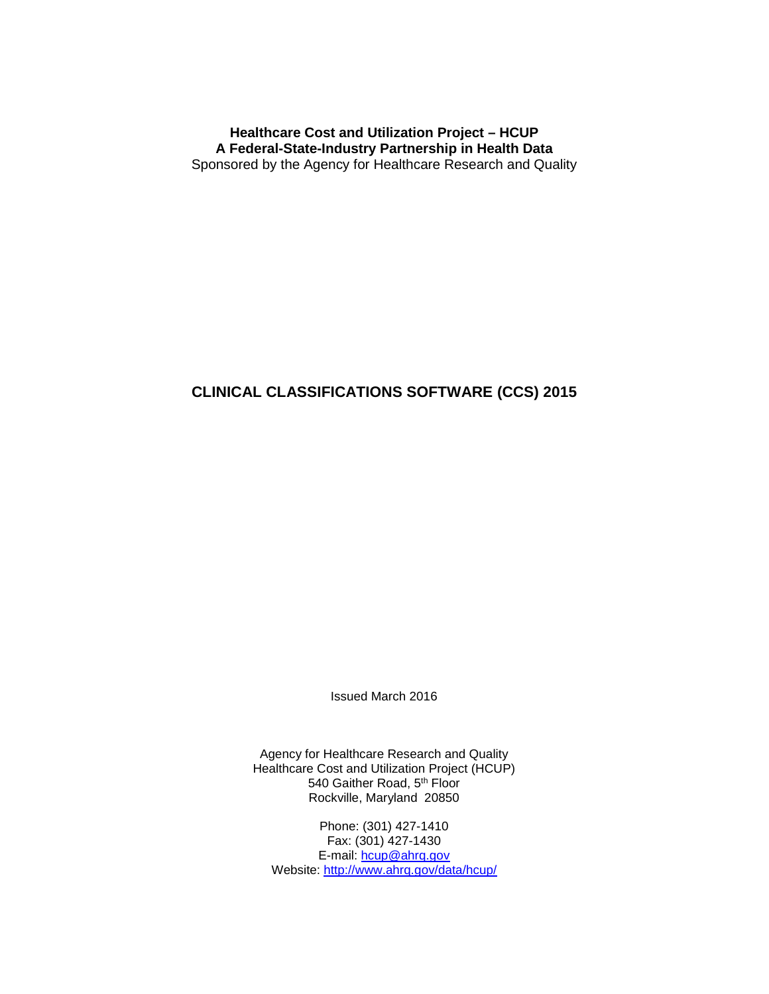**Healthcare Cost and Utilization Project – HCUP A Federal-State-Industry Partnership in Health Data** Sponsored by the Agency for Healthcare Research and Quality

## **CLINICAL CLASSIFICATIONS SOFTWARE (CCS) 2015**

Issued March 2016

Agency for Healthcare Research and Quality Healthcare Cost and Utilization Project (HCUP) 540 Gaither Road, 5<sup>th</sup> Floor Rockville, Maryland 20850

Phone: (301) 427-1410 Fax: (301) 427-1430 E-mail: [hcup@ahrq.gov](mailto:hcup@ahrq.gov) Website:<http://www.ahrq.gov/data/hcup/>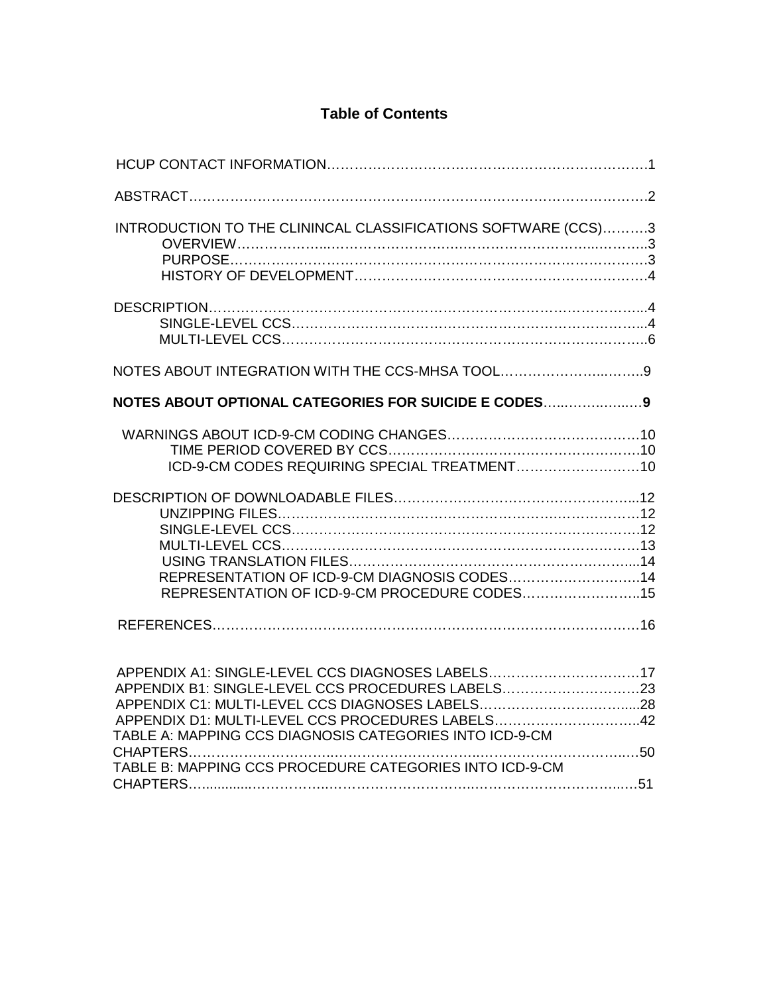# **Table of Contents**

| INTRODUCTION TO THE CLININCAL CLASSIFICATIONS SOFTWARE (CCS)3                                                                                                                                                        |  |
|----------------------------------------------------------------------------------------------------------------------------------------------------------------------------------------------------------------------|--|
|                                                                                                                                                                                                                      |  |
| NOTES ABOUT INTEGRATION WITH THE CCS-MHSA TOOL9                                                                                                                                                                      |  |
| NOTES ABOUT OPTIONAL CATEGORIES FOR SUICIDE E CODES9                                                                                                                                                                 |  |
|                                                                                                                                                                                                                      |  |
| REPRESENTATION OF ICD-9-CM DIAGNOSIS CODES14<br>REPRESENTATION OF ICD-9-CM PROCEDURE CODES15                                                                                                                         |  |
|                                                                                                                                                                                                                      |  |
| APPENDIX A1: SINGLE-LEVEL CCS DIAGNOSES LABELS17<br>APPENDIX B1: SINGLE-LEVEL CCS PROCEDURES LABELS23<br>APPENDIX D1: MULTI-LEVEL CCS PROCEDURES LABELS42<br>TABLE A: MAPPING CCS DIAGNOSIS CATEGORIES INTO ICD-9-CM |  |
| TABLE B: MAPPING CCS PROCEDURE CATEGORIES INTO ICD-9-CM                                                                                                                                                              |  |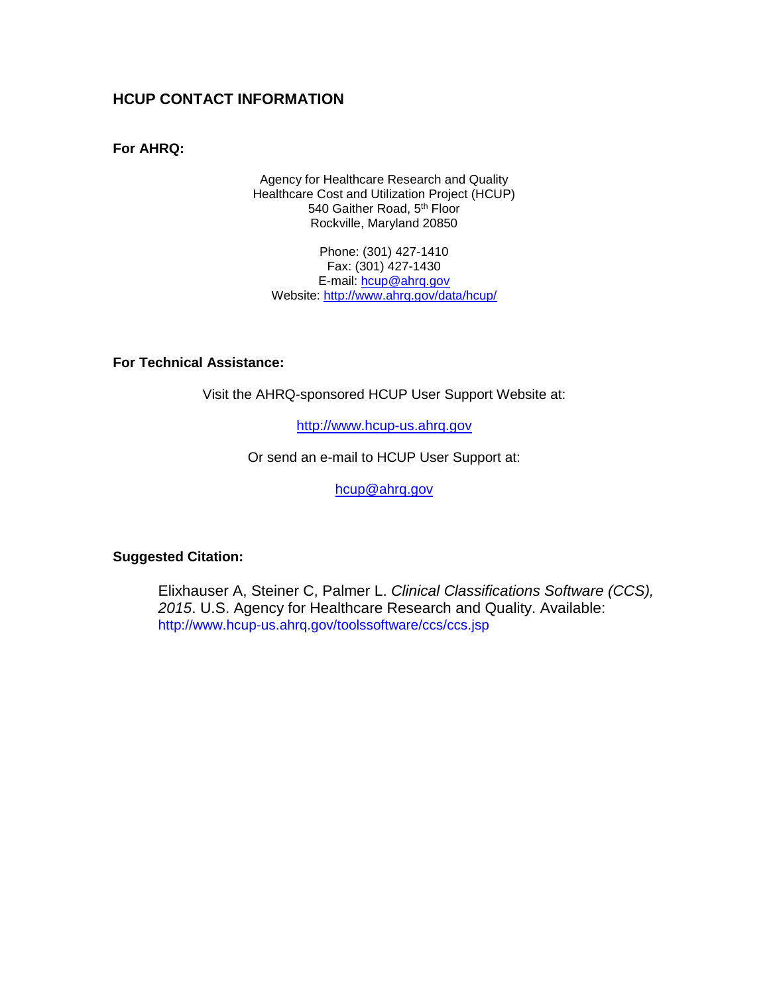## **HCUP CONTACT INFORMATION**

## **For AHRQ:**

Agency for Healthcare Research and Quality Healthcare Cost and Utilization Project (HCUP) 540 Gaither Road, 5<sup>th</sup> Floor Rockville, Maryland 20850

Phone: (301) 427-1410 Fax: (301) 427-1430 E-mail: [hcup@ahrq.gov](mailto:hcup@ahrq.gov) Website:<http://www.ahrq.gov/data/hcup/>

## **For Technical Assistance:**

Visit the AHRQ-sponsored HCUP User Support Website at:

[http://www.hcup-us.ahrq.gov](http://www.hcup-us.ahrq.gov/)

Or send an e-mail to HCUP User Support at:

[hcup@ahrq.gov](mailto:hcup@ahrq.gov)

#### **Suggested Citation:**

Elixhauser A, Steiner C, Palmer L. *Clinical Classifications Software (CCS), 2015*. U.S. Agency for Healthcare Research and Quality. Available: http://www.hcup-us.ahrq.gov/toolssoftware/ccs/ccs.jsp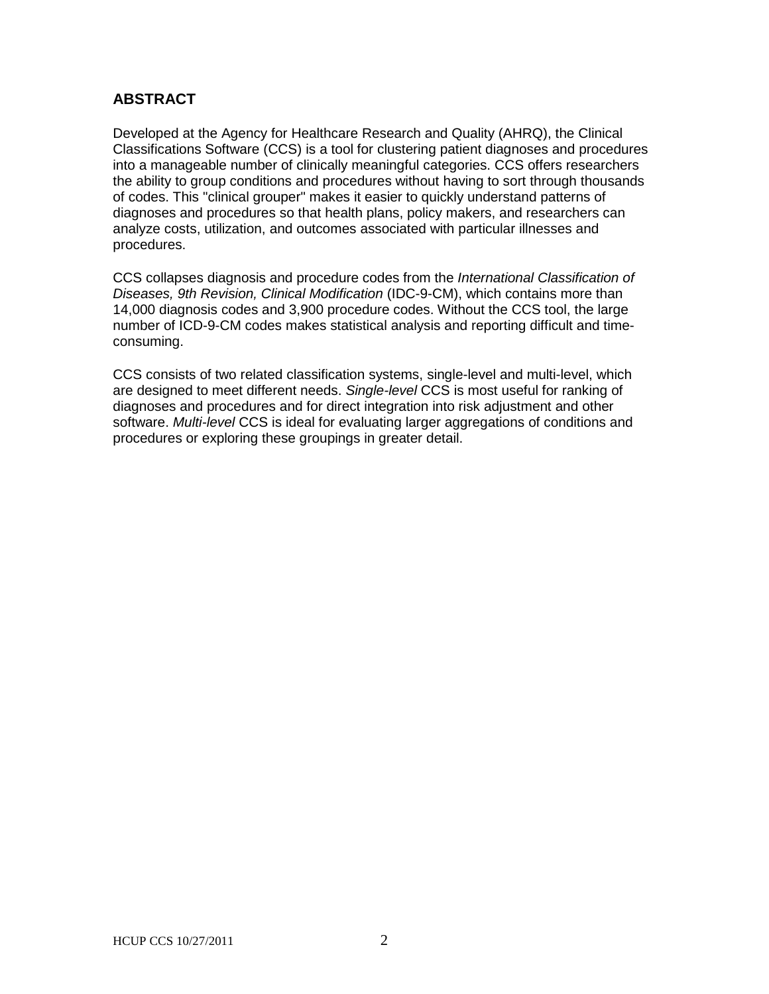# **ABSTRACT**

Developed at the Agency for Healthcare Research and Quality (AHRQ), the Clinical Classifications Software (CCS) is a tool for clustering patient diagnoses and procedures into a manageable number of clinically meaningful categories. CCS offers researchers the ability to group conditions and procedures without having to sort through thousands of codes. This "clinical grouper" makes it easier to quickly understand patterns of diagnoses and procedures so that health plans, policy makers, and researchers can analyze costs, utilization, and outcomes associated with particular illnesses and procedures.

CCS collapses diagnosis and procedure codes from the *International Classification of Diseases, 9th Revision, Clinical Modification* (IDC-9-CM), which contains more than 14,000 diagnosis codes and 3,900 procedure codes. Without the CCS tool, the large number of ICD-9-CM codes makes statistical analysis and reporting difficult and timeconsuming.

CCS consists of two related classification systems, single-level and multi-level, which are designed to meet different needs. *Single-level* CCS is most useful for ranking of diagnoses and procedures and for direct integration into risk adjustment and other software. *Multi-level* CCS is ideal for evaluating larger aggregations of conditions and procedures or exploring these groupings in greater detail.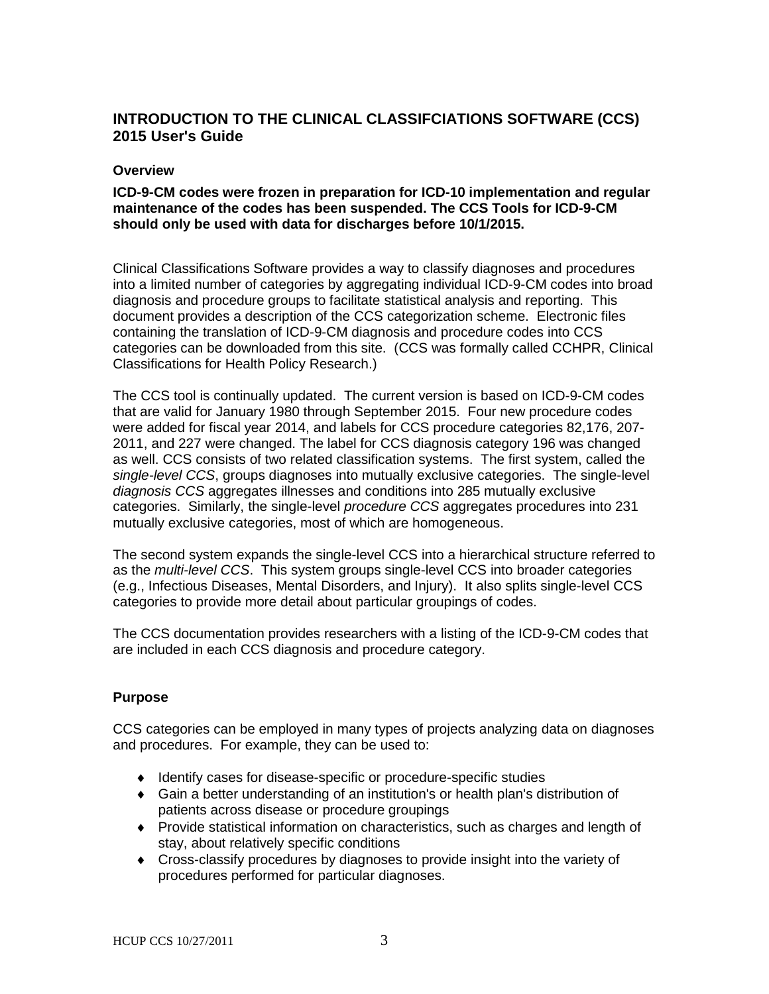# **INTRODUCTION TO THE CLINICAL CLASSIFCIATIONS SOFTWARE (CCS) 2015 User's Guide**

#### **Overview**

#### **ICD-9-CM codes were frozen in preparation for ICD-10 implementation and regular maintenance of the codes has been suspended. The CCS Tools for ICD-9-CM should only be used with data for discharges before 10/1/2015.**

Clinical Classifications Software provides a way to classify diagnoses and procedures into a limited number of categories by aggregating individual ICD-9-CM codes into broad diagnosis and procedure groups to facilitate statistical analysis and reporting. This document provides a description of the CCS categorization scheme. Electronic files containing the translation of ICD-9-CM diagnosis and procedure codes into CCS categories can be downloaded from this site. (CCS was formally called CCHPR, Clinical Classifications for Health Policy Research.)

The CCS tool is continually updated. The current version is based on ICD-9-CM codes that are valid for January 1980 through September 2015. Four new procedure codes were added for fiscal year 2014, and labels for CCS procedure categories 82,176, 207- 2011, and 227 were changed. The label for CCS diagnosis category 196 was changed as well. CCS consists of two related classification systems. The first system, called the *single-level CCS*, groups diagnoses into mutually exclusive categories. The single-level *diagnosis CCS* aggregates illnesses and conditions into 285 mutually exclusive categories. Similarly, the single-level *procedure CCS* aggregates procedures into 231 mutually exclusive categories, most of which are homogeneous.

The second system expands the single-level CCS into a hierarchical structure referred to as the *multi-level CCS*. This system groups single-level CCS into broader categories (e.g., Infectious Diseases, Mental Disorders, and Injury). It also splits single-level CCS categories to provide more detail about particular groupings of codes.

The CCS documentation provides researchers with a listing of the ICD-9-CM codes that are included in each CCS diagnosis and procedure category.

## **Purpose**

CCS categories can be employed in many types of projects analyzing data on diagnoses and procedures. For example, they can be used to:

- ♦ Identify cases for disease-specific or procedure-specific studies
- ♦ Gain a better understanding of an institution's or health plan's distribution of patients across disease or procedure groupings
- ♦ Provide statistical information on characteristics, such as charges and length of stay, about relatively specific conditions
- ♦ Cross-classify procedures by diagnoses to provide insight into the variety of procedures performed for particular diagnoses.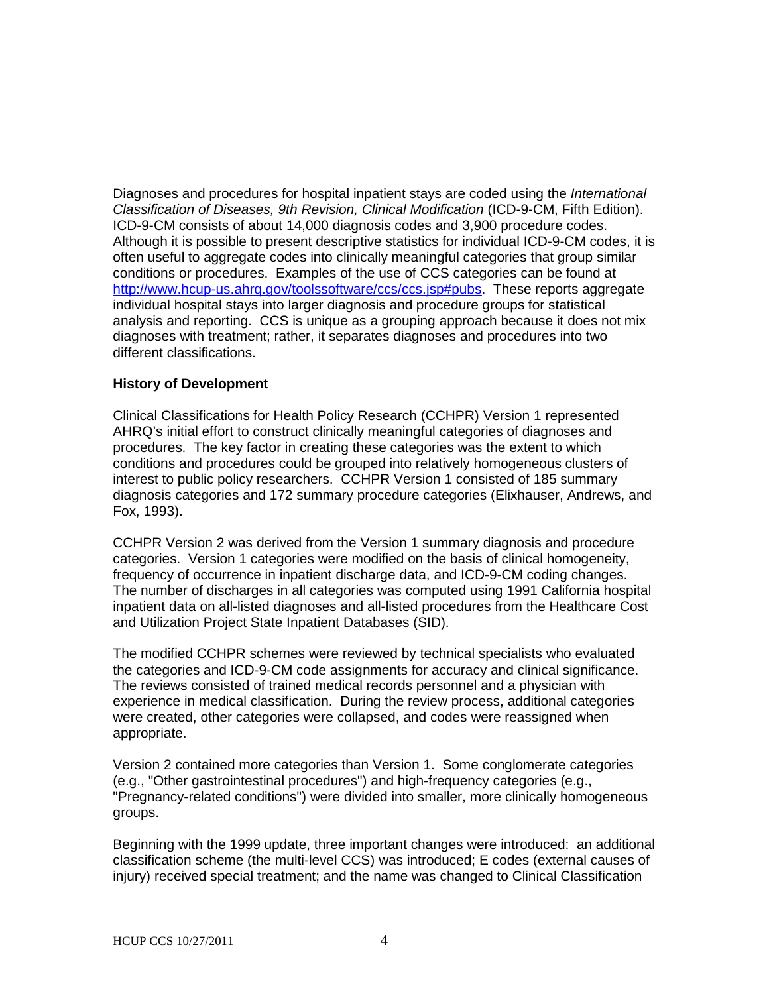Diagnoses and procedures for hospital inpatient stays are coded using the *International Classification of Diseases, 9th Revision, Clinical Modification* (ICD-9-CM, Fifth Edition). ICD-9-CM consists of about 14,000 diagnosis codes and 3,900 procedure codes. Although it is possible to present descriptive statistics for individual ICD-9-CM codes, it is often useful to aggregate codes into clinically meaningful categories that group similar conditions or procedures. Examples of the use of CCS categories can be found at [http://www.hcup-us.ahrq.gov/toolssoftware/ccs/ccs.jsp#pubs.](http://www.hcup-us.ahrq.gov/toolssoftware/ccs/ccs.jsp#pubs) These reports aggregate individual hospital stays into larger diagnosis and procedure groups for statistical analysis and reporting. CCS is unique as a grouping approach because it does not mix diagnoses with treatment; rather, it separates diagnoses and procedures into two different classifications.

### **History of Development**

Clinical Classifications for Health Policy Research (CCHPR) Version 1 represented AHRQ's initial effort to construct clinically meaningful categories of diagnoses and procedures. The key factor in creating these categories was the extent to which conditions and procedures could be grouped into relatively homogeneous clusters of interest to public policy researchers. CCHPR Version 1 consisted of 185 summary diagnosis categories and 172 summary procedure categories (Elixhauser, Andrews, and Fox, 1993).

CCHPR Version 2 was derived from the Version 1 summary diagnosis and procedure categories. Version 1 categories were modified on the basis of clinical homogeneity, frequency of occurrence in inpatient discharge data, and ICD-9-CM coding changes. The number of discharges in all categories was computed using 1991 California hospital inpatient data on all-listed diagnoses and all-listed procedures from the Healthcare Cost and Utilization Project State Inpatient Databases (SID).

The modified CCHPR schemes were reviewed by technical specialists who evaluated the categories and ICD-9-CM code assignments for accuracy and clinical significance. The reviews consisted of trained medical records personnel and a physician with experience in medical classification. During the review process, additional categories were created, other categories were collapsed, and codes were reassigned when appropriate.

Version 2 contained more categories than Version 1. Some conglomerate categories (e.g., "Other gastrointestinal procedures") and high-frequency categories (e.g., "Pregnancy-related conditions") were divided into smaller, more clinically homogeneous groups.

Beginning with the 1999 update, three important changes were introduced: an additional classification scheme (the multi-level CCS) was introduced; E codes (external causes of injury) received special treatment; and the name was changed to Clinical Classification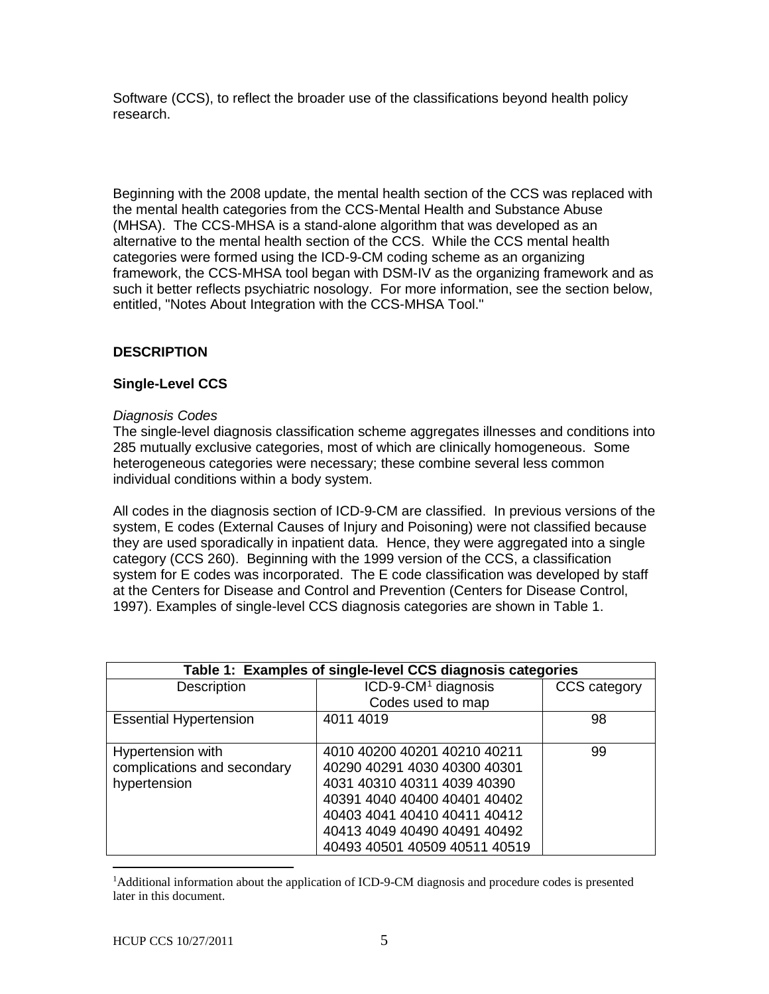Software (CCS), to reflect the broader use of the classifications beyond health policy research.

Beginning with the 2008 update, the mental health section of the CCS was replaced with the mental health categories from the CCS-Mental Health and Substance Abuse (MHSA). The CCS-MHSA is a stand-alone algorithm that was developed as an alternative to the mental health section of the CCS. While the CCS mental health categories were formed using the ICD-9-CM coding scheme as an organizing framework, the CCS-MHSA tool began with DSM-IV as the organizing framework and as such it better reflects psychiatric nosology. For more information, see the section below, entitled, "Notes About Integration with the CCS-MHSA Tool."

## **DESCRIPTION**

#### **Single-Level CCS**

#### *Diagnosis Codes*

The single-level diagnosis classification scheme aggregates illnesses and conditions into 285 mutually exclusive categories, most of which are clinically homogeneous. Some heterogeneous categories were necessary; these combine several less common individual conditions within a body system.

All codes in the diagnosis section of ICD-9-CM are classified. In previous versions of the system, E codes (External Causes of Injury and Poisoning) were not classified because they are used sporadically in inpatient data. Hence, they were aggregated into a single category (CCS 260). Beginning with the 1999 version of the CCS, a classification system for E codes was incorporated. The E code classification was developed by staff at the Centers for Disease and Control and Prevention (Centers for Disease Control, 1997). Examples of single-level CCS diagnosis categories are shown in Table 1.

| Table 1: Examples of single-level CCS diagnosis categories |                                 |              |
|------------------------------------------------------------|---------------------------------|--------------|
| Description                                                | ICD-9-CM <sup>1</sup> diagnosis | CCS category |
|                                                            | Codes used to map               |              |
| <b>Essential Hypertension</b>                              | 4011 4019                       | 98           |
|                                                            |                                 |              |
| Hypertension with                                          | 4010 40200 40201 40210 40211    | 99           |
| complications and secondary                                | 40290 40291 4030 40300 40301    |              |
| hypertension                                               | 4031 40310 40311 4039 40390     |              |
|                                                            | 40391 4040 40400 40401 40402    |              |
|                                                            | 40403 4041 40410 40411 40412    |              |
|                                                            | 40413 4049 40490 40491 40492    |              |
|                                                            | 40493 40501 40509 40511 40519   |              |

<span id="page-6-0"></span> $\frac{1}{1}$ <sup>1</sup>Additional information about the application of ICD-9-CM diagnosis and procedure codes is presented later in this document.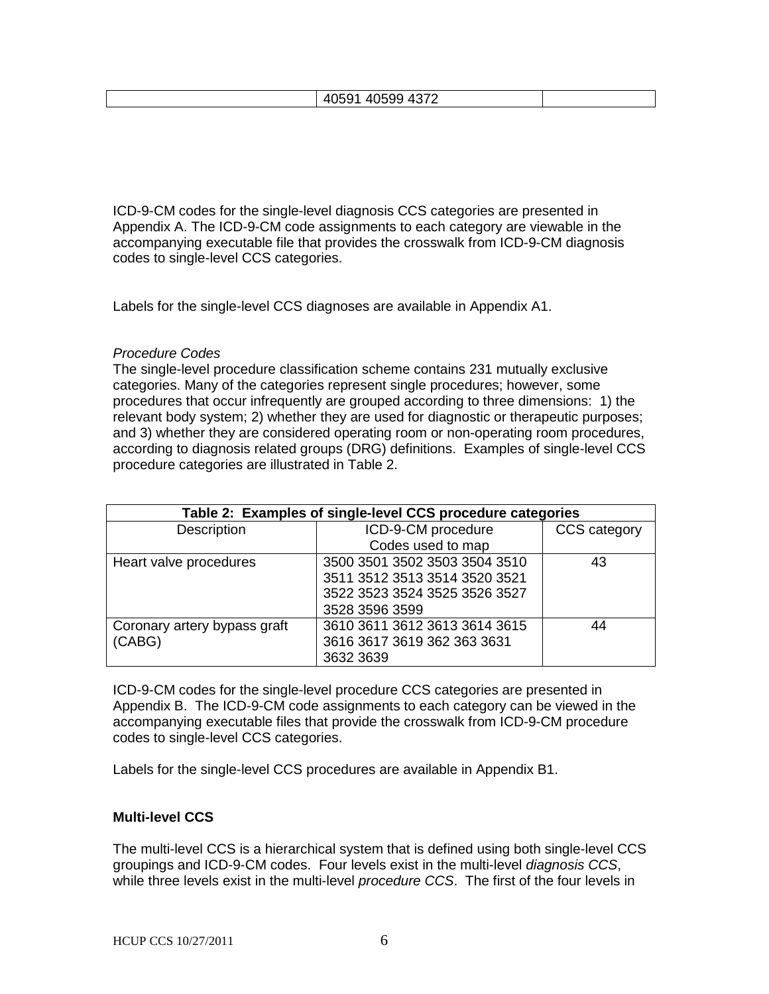ICD-9-CM codes for the single-level diagnosis CCS categories are presented in Appendix A. The ICD-9-CM code assignments to each category are viewable in the accompanying executable file that provides the crosswalk from ICD-9-CM diagnosis codes to single-level CCS categories.

Labels for the single-level CCS diagnoses are available in Appendix A1.

### *Procedure Codes*

The single-level procedure classification scheme contains 231 mutually exclusive categories. Many of the categories represent single procedures; however, some procedures that occur infrequently are grouped according to three dimensions: 1) the relevant body system; 2) whether they are used for diagnostic or therapeutic purposes; and 3) whether they are considered operating room or non-operating room procedures, according to diagnosis related groups (DRG) definitions. Examples of single-level CCS procedure categories are illustrated in Table 2.

| Table 2: Examples of single-level CCS procedure categories |                               |                     |
|------------------------------------------------------------|-------------------------------|---------------------|
| Description                                                | ICD-9-CM procedure            | <b>CCS</b> category |
|                                                            | Codes used to map             |                     |
| Heart valve procedures                                     | 3500 3501 3502 3503 3504 3510 | 43                  |
|                                                            | 3511 3512 3513 3514 3520 3521 |                     |
|                                                            | 3522 3523 3524 3525 3526 3527 |                     |
|                                                            | 3528 3596 3599                |                     |
| Coronary artery bypass graft                               | 3610 3611 3612 3613 3614 3615 | 44                  |
| (CABG)                                                     | 3616 3617 3619 362 363 3631   |                     |
|                                                            | 3632 3639                     |                     |

ICD-9-CM codes for the single-level procedure CCS categories are presented in Appendix B. The ICD-9-CM code assignments to each category can be viewed in the accompanying executable files that provide the crosswalk from ICD-9-CM procedure codes to single-level CCS categories.

Labels for the single-level CCS procedures are available in Appendix B1.

## **Multi-level CCS**

The multi-level CCS is a hierarchical system that is defined using both single-level CCS groupings and ICD-9-CM codes. Four levels exist in the multi-level *diagnosis CCS*, while three levels exist in the multi-level *procedure CCS*. The first of the four levels in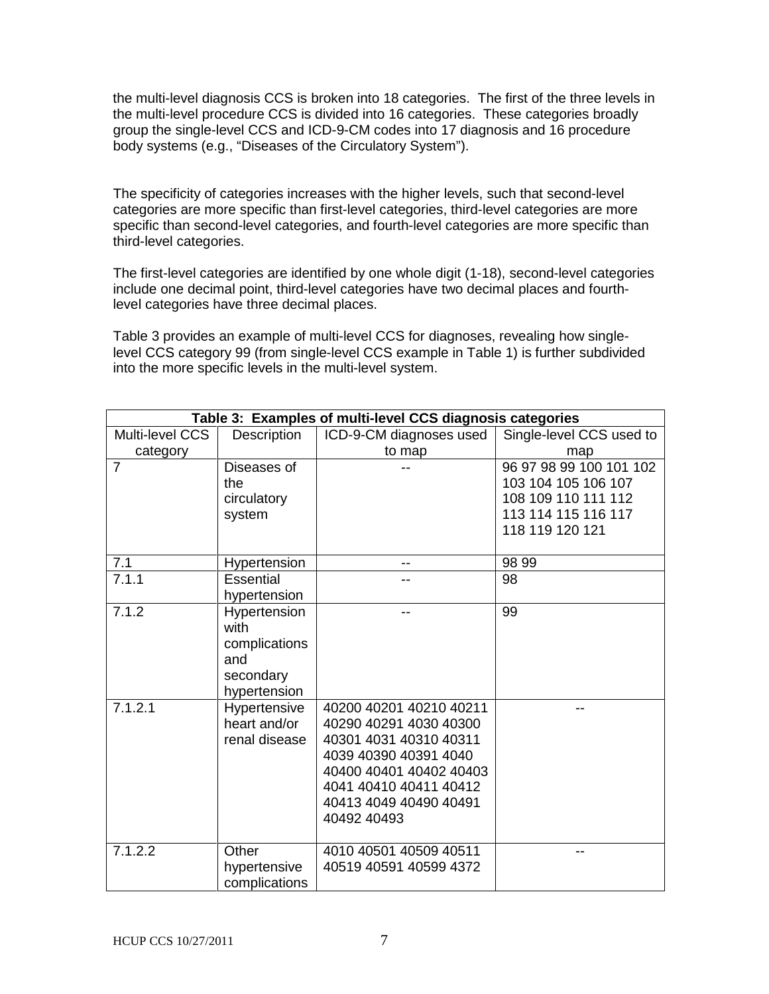the multi-level diagnosis CCS is broken into 18 categories. The first of the three levels in the multi-level procedure CCS is divided into 16 categories. These categories broadly group the single-level CCS and ICD-9-CM codes into 17 diagnosis and 16 procedure body systems (e.g., "Diseases of the Circulatory System").

The specificity of categories increases with the higher levels, such that second-level categories are more specific than first-level categories, third-level categories are more specific than second-level categories, and fourth-level categories are more specific than third-level categories.

The first-level categories are identified by one whole digit (1-18), second-level categories include one decimal point, third-level categories have two decimal places and fourthlevel categories have three decimal places.

Table 3 provides an example of multi-level CCS for diagnoses, revealing how singlelevel CCS category 99 (from single-level CCS example in Table 1) is further subdivided into the more specific levels in the multi-level system.

| Table 3: Examples of multi-level CCS diagnosis categories |                                                                           |                                                                                                                                                                                                    |                                                                                                                 |
|-----------------------------------------------------------|---------------------------------------------------------------------------|----------------------------------------------------------------------------------------------------------------------------------------------------------------------------------------------------|-----------------------------------------------------------------------------------------------------------------|
| Multi-level CCS                                           | Description                                                               | ICD-9-CM diagnoses used                                                                                                                                                                            | Single-level CCS used to                                                                                        |
| category                                                  |                                                                           | to map                                                                                                                                                                                             | map                                                                                                             |
| $\overline{7}$                                            | Diseases of<br>the<br>circulatory<br>system                               |                                                                                                                                                                                                    | 96 97 98 99 100 101 102<br>103 104 105 106 107<br>108 109 110 111 112<br>113 114 115 116 117<br>118 119 120 121 |
| 7.1                                                       | Hypertension                                                              |                                                                                                                                                                                                    | 98 99                                                                                                           |
| 7.1.1                                                     | Essential<br>hypertension                                                 | --                                                                                                                                                                                                 | 98                                                                                                              |
| 7.1.2                                                     | Hypertension<br>with<br>complications<br>and<br>secondary<br>hypertension | --                                                                                                                                                                                                 | 99                                                                                                              |
| 7.1.2.1                                                   | Hypertensive<br>heart and/or<br>renal disease                             | 40200 40201 40210 40211<br>40290 40291 4030 40300<br>40301 4031 40310 40311<br>4039 40390 40391 4040<br>40400 40401 40402 40403<br>4041 40410 40411 40412<br>40413 4049 40490 40491<br>40492 40493 | --                                                                                                              |
| 7.1.2.2                                                   | Other<br>hypertensive<br>complications                                    | 4010 40501 40509 40511<br>40519 40591 40599 4372                                                                                                                                                   | --                                                                                                              |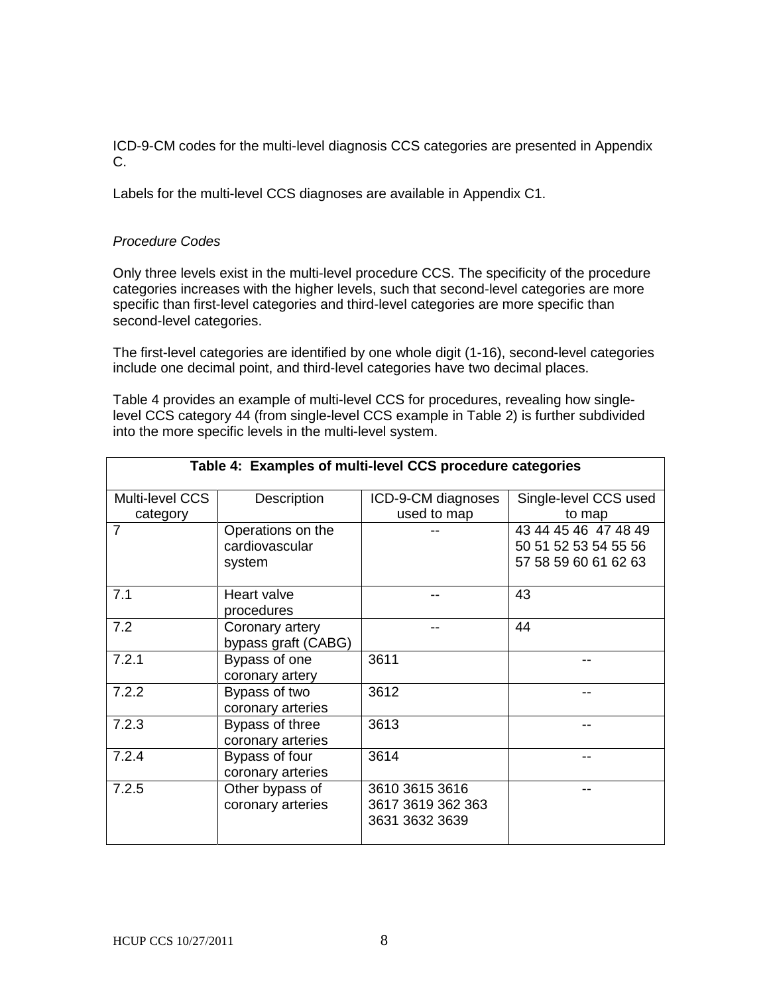ICD-9-CM codes for the multi-level diagnosis CCS categories are presented in Appendix C.

Labels for the multi-level CCS diagnoses are available in Appendix C1.

## *Procedure Codes*

Only three levels exist in the multi-level procedure CCS. The specificity of the procedure categories increases with the higher levels, such that second-level categories are more specific than first-level categories and third-level categories are more specific than second-level categories.

The first-level categories are identified by one whole digit (1-16), second-level categories include one decimal point, and third-level categories have two decimal places.

Table 4 provides an example of multi-level CCS for procedures, revealing how singlelevel CCS category 44 (from single-level CCS example in Table 2) is further subdivided into the more specific levels in the multi-level system.

| Table 4: Examples of multi-level CCS procedure categories |                                               |                                                       |                                                                      |
|-----------------------------------------------------------|-----------------------------------------------|-------------------------------------------------------|----------------------------------------------------------------------|
| Multi-level CCS                                           | Description                                   | ICD-9-CM diagnoses                                    | Single-level CCS used                                                |
| category                                                  |                                               | used to map                                           | to map                                                               |
| $\overline{7}$                                            | Operations on the<br>cardiovascular<br>system |                                                       | 43 44 45 46 47 48 49<br>50 51 52 53 54 55 56<br>57 58 59 60 61 62 63 |
| 7.1                                                       | Heart valve<br>procedures                     |                                                       | 43                                                                   |
| 7.2                                                       | Coronary artery<br>bypass graft (CABG)        |                                                       | 44                                                                   |
| 7.2.1                                                     | Bypass of one<br>coronary artery              | 3611                                                  |                                                                      |
| 7.2.2                                                     | Bypass of two<br>coronary arteries            | 3612                                                  |                                                                      |
| 7.2.3                                                     | Bypass of three<br>coronary arteries          | 3613                                                  | --                                                                   |
| 7.2.4                                                     | Bypass of four<br>coronary arteries           | 3614                                                  | --                                                                   |
| 7.2.5                                                     | Other bypass of<br>coronary arteries          | 3610 3615 3616<br>3617 3619 362 363<br>3631 3632 3639 |                                                                      |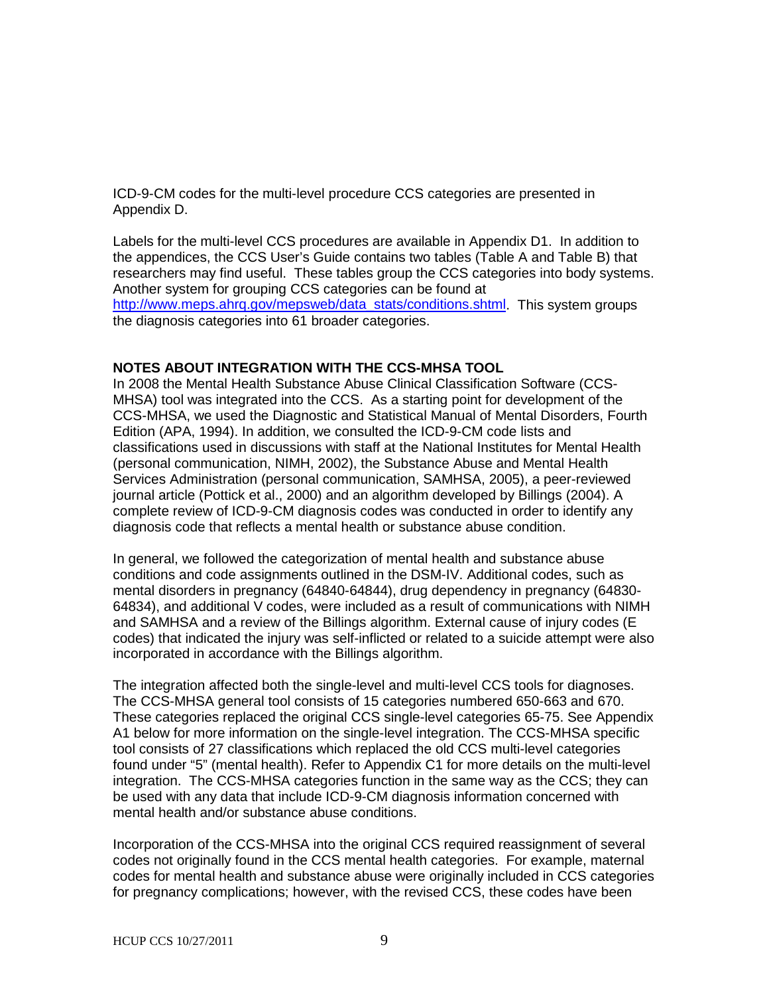ICD-9-CM codes for the multi-level procedure CCS categories are presented in Appendix D.

Labels for the multi-level CCS procedures are available in Appendix D1. In addition to the appendices, the CCS User's Guide contains two tables (Table A and Table B) that researchers may find useful. These tables group the CCS categories into body systems. Another system for grouping CCS categories can be found at [http://www.meps.ahrq.gov/mepsweb/data\\_stats/conditions.shtml.](http://www.meps.ahrq.gov/mepsweb/data_stats/conditions.shtml) This system groups the diagnosis categories into 61 broader categories.

## **NOTES ABOUT INTEGRATION WITH THE CCS-MHSA TOOL**

In 2008 the Mental Health Substance Abuse Clinical Classification Software (CCS-MHSA) tool was integrated into the CCS. As a starting point for development of the CCS-MHSA, we used the Diagnostic and Statistical Manual of Mental Disorders, Fourth Edition (APA, 1994). In addition, we consulted the ICD-9-CM code lists and classifications used in discussions with staff at the National Institutes for Mental Health (personal communication, NIMH, 2002), the Substance Abuse and Mental Health Services Administration (personal communication, SAMHSA, 2005), a peer-reviewed journal article (Pottick et al., 2000) and an algorithm developed by Billings (2004). A complete review of ICD-9-CM diagnosis codes was conducted in order to identify any diagnosis code that reflects a mental health or substance abuse condition.

In general, we followed the categorization of mental health and substance abuse conditions and code assignments outlined in the DSM-IV. Additional codes, such as mental disorders in pregnancy (64840-64844), drug dependency in pregnancy (64830- 64834), and additional V codes, were included as a result of communications with NIMH and SAMHSA and a review of the Billings algorithm. External cause of injury codes (E codes) that indicated the injury was self-inflicted or related to a suicide attempt were also incorporated in accordance with the Billings algorithm.

The integration affected both the single-level and multi-level CCS tools for diagnoses. The CCS-MHSA general tool consists of 15 categories numbered 650-663 and 670. These categories replaced the original CCS single-level categories 65-75. See Appendix A1 below for more information on the single-level integration. The CCS-MHSA specific tool consists of 27 classifications which replaced the old CCS multi-level categories found under "5" (mental health). Refer to Appendix C1 for more details on the multi-level integration. The CCS-MHSA categories function in the same way as the CCS; they can be used with any data that include ICD-9-CM diagnosis information concerned with mental health and/or substance abuse conditions.

Incorporation of the CCS-MHSA into the original CCS required reassignment of several codes not originally found in the CCS mental health categories. For example, maternal codes for mental health and substance abuse were originally included in CCS categories for pregnancy complications; however, with the revised CCS, these codes have been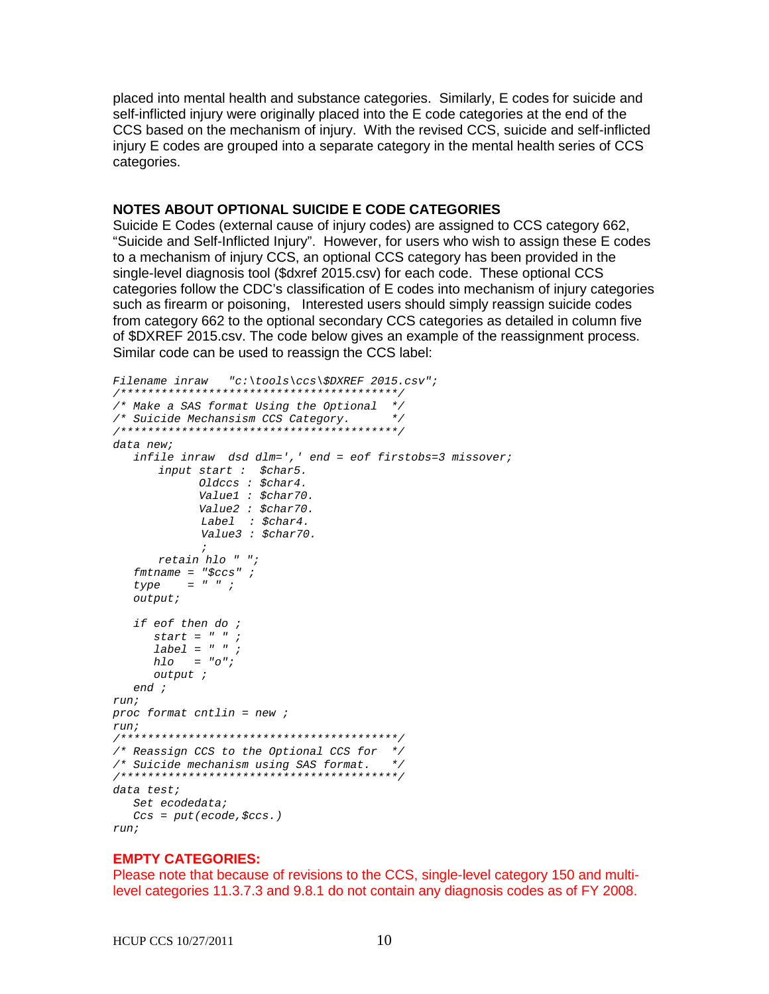placed into mental health and substance categories. Similarly, E codes for suicide and self-inflicted injury were originally placed into the E code categories at the end of the CCS based on the mechanism of injury. With the revised CCS, suicide and self-inflicted injury E codes are grouped into a separate category in the mental health series of CCS categories.

#### **NOTES ABOUT OPTIONAL SUICIDE E CODE CATEGORIES**

Suicide E Codes (external cause of injury codes) are assigned to CCS category 662, "Suicide and Self-Inflicted Injury". However, for users who wish to assign these E codes to a mechanism of injury CCS, an optional CCS category has been provided in the single-level diagnosis tool (\$dxref 2015.csv) for each code. These optional CCS categories follow the CDC's classification of E codes into mechanism of injury categories such as firearm or poisoning, Interested users should simply reassign suicide codes from category 662 to the optional secondary CCS categories as detailed in column five of \$DXREF 2015.csv. The code below gives an example of the reassignment process. Similar code can be used to reassign the CCS label:

```
Filename inraw "c:\tools\ccs\$DXREF 2015.csv";
/*****************************************/
/* Make a SAS format Using the Optional */
/* Suicide Mechansism CCS Category. */
/*****************************************/
data new;
   infile inraw dsd dlm=',' end = eof firstobs=3 missover;
       input start : $char5.
        Oldccs : $char4.
             Value1 : $char70.
            Value2 : $char70.
            Label : $char4.
            Value3 : $char70.
 ;
     retain hlo " ";
   fmtname = "$ccs" ;
    type = " " ;
    output;
    if eof then do ;
      start = " " ;
       label = " " ;
      hlo = "o";
      output ;
    end ;
run;
proc format cntlin = new ;
run;
/*****************************************/
/* Reassign CCS to the Optional CCS for */
/* Suicide mechanism using SAS format. */
/*****************************************/
data test;
   Set ecodedata;
    Ccs = put(ecode,$ccs.)
run;
```
## **EMPTY CATEGORIES:**

Please note that because of revisions to the CCS, single-level category 150 and multilevel categories 11.3.7.3 and 9.8.1 do not contain any diagnosis codes as of FY 2008.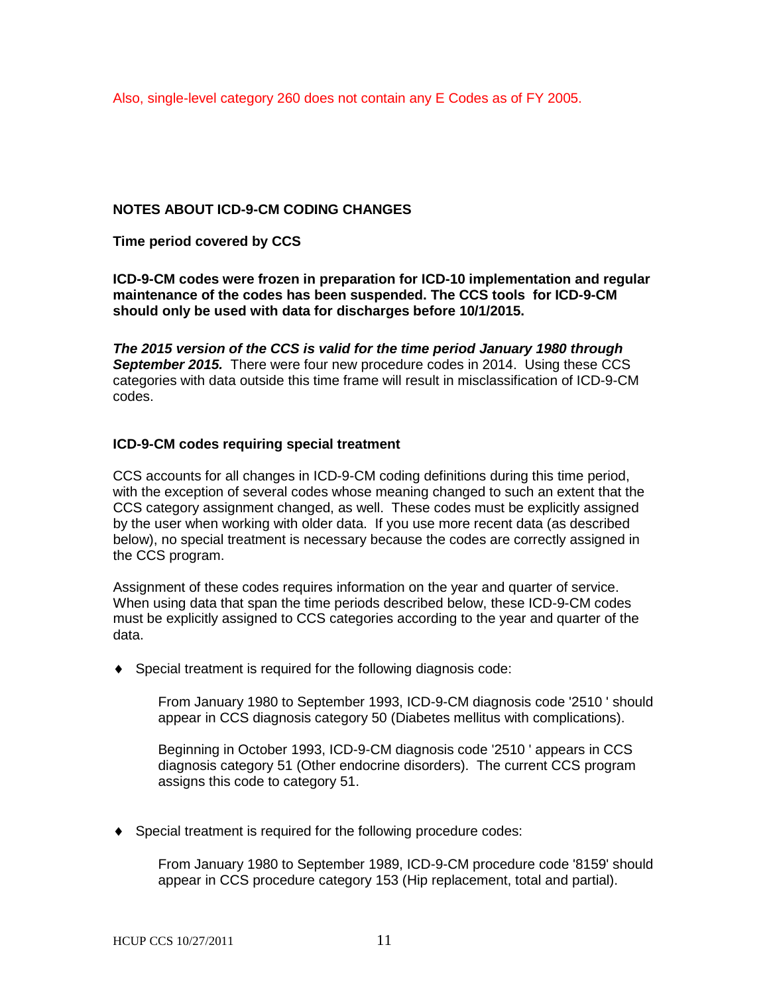Also, single-level category 260 does not contain any E Codes as of FY 2005.

## **NOTES ABOUT ICD-9-CM CODING CHANGES**

**Time period covered by CCS**

**ICD-9-CM codes were frozen in preparation for ICD-10 implementation and regular maintenance of the codes has been suspended. The CCS tools for ICD-9-CM should only be used with data for discharges before 10/1/2015.** 

*The 2015 version of the CCS is valid for the time period January 1980 through September 2015.* There were four new procedure codes in 2014. Using these CCS categories with data outside this time frame will result in misclassification of ICD-9-CM codes.

## **ICD-9-CM codes requiring special treatment**

CCS accounts for all changes in ICD-9-CM coding definitions during this time period, with the exception of several codes whose meaning changed to such an extent that the CCS category assignment changed, as well. These codes must be explicitly assigned by the user when working with older data. If you use more recent data (as described below), no special treatment is necessary because the codes are correctly assigned in the CCS program.

Assignment of these codes requires information on the year and quarter of service. When using data that span the time periods described below, these ICD-9-CM codes must be explicitly assigned to CCS categories according to the year and quarter of the data.

♦ Special treatment is required for the following diagnosis code:

From January 1980 to September 1993, ICD-9-CM diagnosis code '2510 ' should appear in CCS diagnosis category 50 (Diabetes mellitus with complications).

Beginning in October 1993, ICD-9-CM diagnosis code '2510 ' appears in CCS diagnosis category 51 (Other endocrine disorders). The current CCS program assigns this code to category 51.

♦ Special treatment is required for the following procedure codes:

From January 1980 to September 1989, ICD-9-CM procedure code '8159' should appear in CCS procedure category 153 (Hip replacement, total and partial).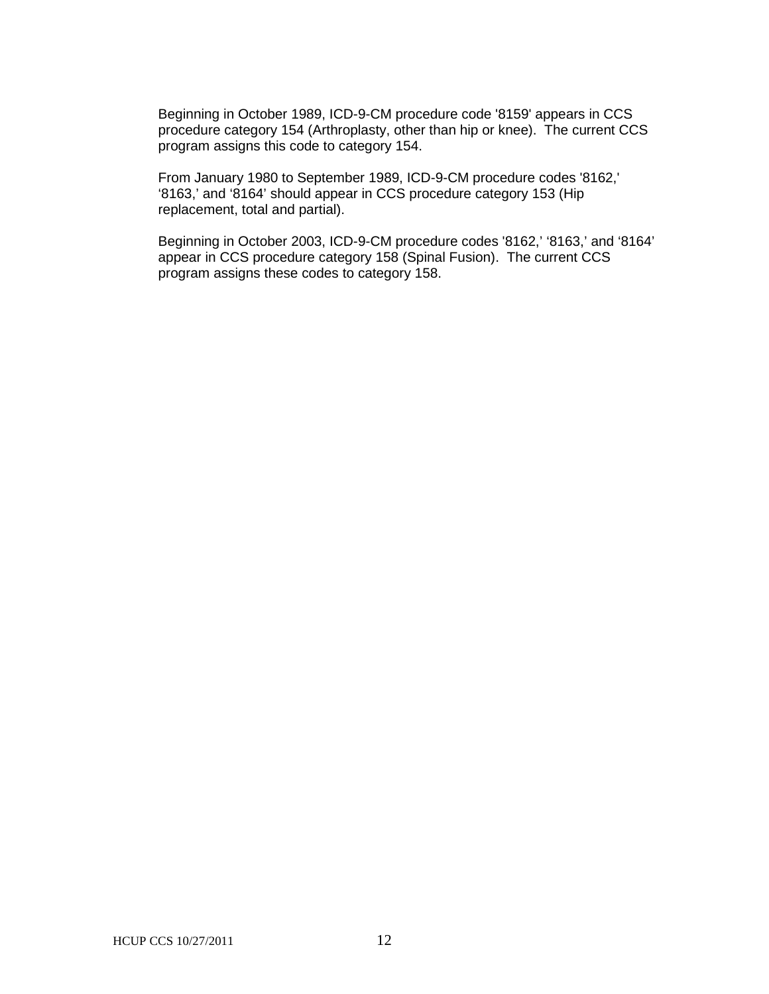Beginning in October 1989, ICD-9-CM procedure code '8159' appears in CCS procedure category 154 (Arthroplasty, other than hip or knee). The current CCS program assigns this code to category 154.

From January 1980 to September 1989, ICD-9-CM procedure codes '8162,' '8163,' and '8164' should appear in CCS procedure category 153 (Hip replacement, total and partial).

Beginning in October 2003, ICD-9-CM procedure codes '8162,' '8163,' and '8164' appear in CCS procedure category 158 (Spinal Fusion). The current CCS program assigns these codes to category 158.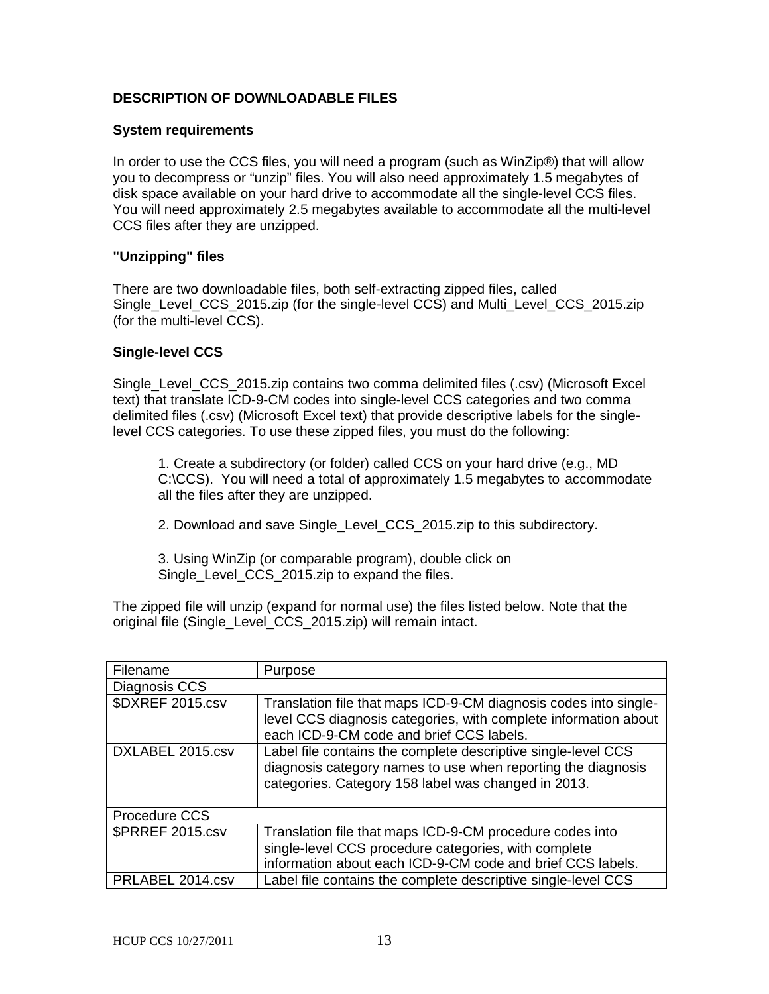## **DESCRIPTION OF DOWNLOADABLE FILES**

#### **System requirements**

In order to use the CCS files, you will need a program (such as WinZip®) that will allow you to decompress or "unzip" files. You will also need approximately 1.5 megabytes of disk space available on your hard drive to accommodate all the single-level CCS files. You will need approximately 2.5 megabytes available to accommodate all the multi-level CCS files after they are unzipped.

### **"Unzipping" files**

There are two downloadable files, both self-extracting zipped files, called Single\_Level\_CCS\_2015.zip (for the single-level CCS) and Multi\_Level\_CCS\_2015.zip (for the multi-level CCS).

### **Single-level CCS**

Single\_Level\_CCS\_2015.zip contains two comma delimited files (.csv) (Microsoft Excel text) that translate ICD-9-CM codes into single-level CCS categories and two comma delimited files (.csv) (Microsoft Excel text) that provide descriptive labels for the singlelevel CCS categories. To use these zipped files, you must do the following:

1. Create a subdirectory (or folder) called CCS on your hard drive (e.g., MD C:\CCS). You will need a total of approximately 1.5 megabytes to accommodate all the files after they are unzipped.

2. Download and save Single\_Level\_CCS\_2015.zip to this subdirectory.

3. Using WinZip (or comparable program), double click on Single Level CCS 2015.zip to expand the files.

The zipped file will unzip (expand for normal use) the files listed below. Note that the original file (Single\_Level\_CCS\_2015.zip) will remain intact.

| Filename                | Purpose                                                                                                                                                                              |
|-------------------------|--------------------------------------------------------------------------------------------------------------------------------------------------------------------------------------|
| Diagnosis CCS           |                                                                                                                                                                                      |
| \$DXREF 2015.csv        | Translation file that maps ICD-9-CM diagnosis codes into single-<br>level CCS diagnosis categories, with complete information about<br>each ICD-9-CM code and brief CCS labels.      |
| DXLABEL 2015.csv        | Label file contains the complete descriptive single-level CCS<br>diagnosis category names to use when reporting the diagnosis<br>categories. Category 158 label was changed in 2013. |
| Procedure CCS           |                                                                                                                                                                                      |
| <b>\$PRREF 2015.csv</b> | Translation file that maps ICD-9-CM procedure codes into<br>single-level CCS procedure categories, with complete<br>information about each ICD-9-CM code and brief CCS labels.       |
| PRLABEL 2014.csv        | Label file contains the complete descriptive single-level CCS                                                                                                                        |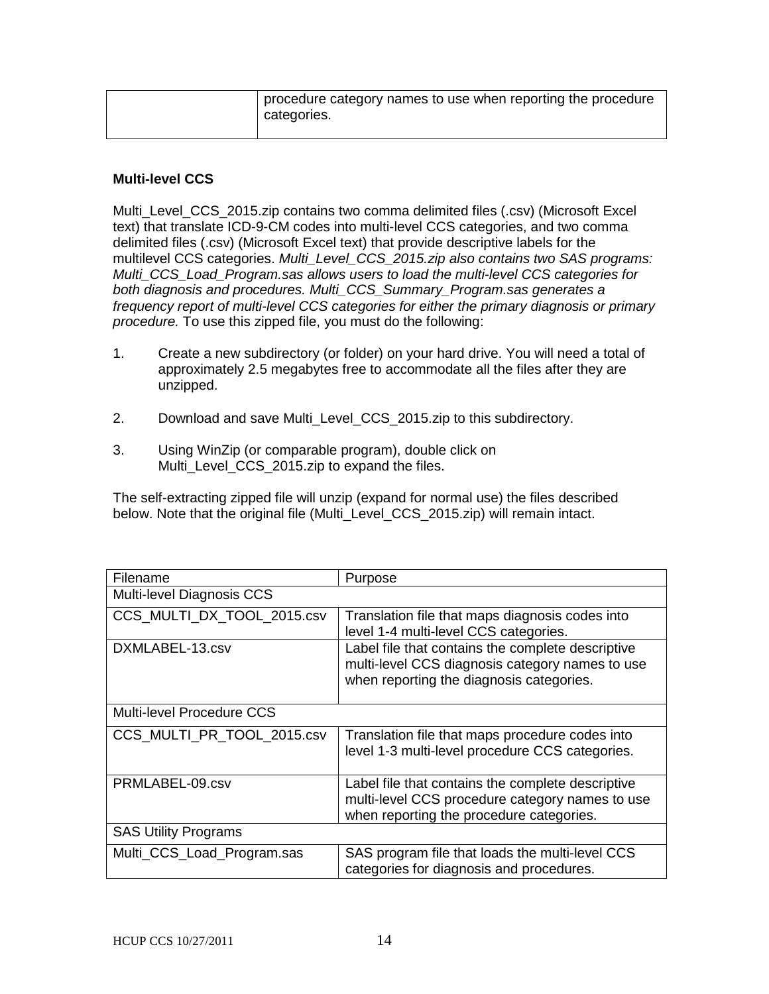| procedure category names to use when reporting the procedure<br>categories. |
|-----------------------------------------------------------------------------|
|                                                                             |

## **Multi-level CCS**

Multi\_Level\_CCS\_2015.zip contains two comma delimited files (.csv) (Microsoft Excel text) that translate ICD-9-CM codes into multi-level CCS categories, and two comma delimited files (.csv) (Microsoft Excel text) that provide descriptive labels for the multilevel CCS categories. *Multi\_Level\_CCS\_2015.zip also contains two SAS programs: Multi\_CCS\_Load\_Program.sas allows users to load the multi-level CCS categories for both diagnosis and procedures. Multi\_CCS\_Summary\_Program.sas generates a frequency report of multi-level CCS categories for either the primary diagnosis or primary procedure.* To use this zipped file, you must do the following:

- 1. Create a new subdirectory (or folder) on your hard drive. You will need a total of approximately 2.5 megabytes free to accommodate all the files after they are unzipped.
- 2. Download and save Multi\_Level\_CCS\_2015.zip to this subdirectory.
- 3. Using WinZip (or comparable program), double click on Multi<sub>Level</sub> CCS 2015.zip to expand the files.

The self-extracting zipped file will unzip (expand for normal use) the files described below. Note that the original file (Multi\_Level\_CCS\_2015.zip) will remain intact.

| Filename                    | Purpose                                                                                                                                          |
|-----------------------------|--------------------------------------------------------------------------------------------------------------------------------------------------|
| Multi-level Diagnosis CCS   |                                                                                                                                                  |
| CCS MULTI DX TOOL 2015.csv  | Translation file that maps diagnosis codes into<br>level 1-4 multi-level CCS categories.                                                         |
| DXMLABEL-13.csv             | Label file that contains the complete descriptive<br>multi-level CCS diagnosis category names to use<br>when reporting the diagnosis categories. |
| Multi-level Procedure CCS   |                                                                                                                                                  |
| CCS MULTI PR TOOL 2015.csv  | Translation file that maps procedure codes into<br>level 1-3 multi-level procedure CCS categories.                                               |
| PRMLABEL-09.csv             | Label file that contains the complete descriptive<br>multi-level CCS procedure category names to use<br>when reporting the procedure categories. |
| <b>SAS Utility Programs</b> |                                                                                                                                                  |
| Multi_CCS_Load_Program.sas  | SAS program file that loads the multi-level CCS<br>categories for diagnosis and procedures.                                                      |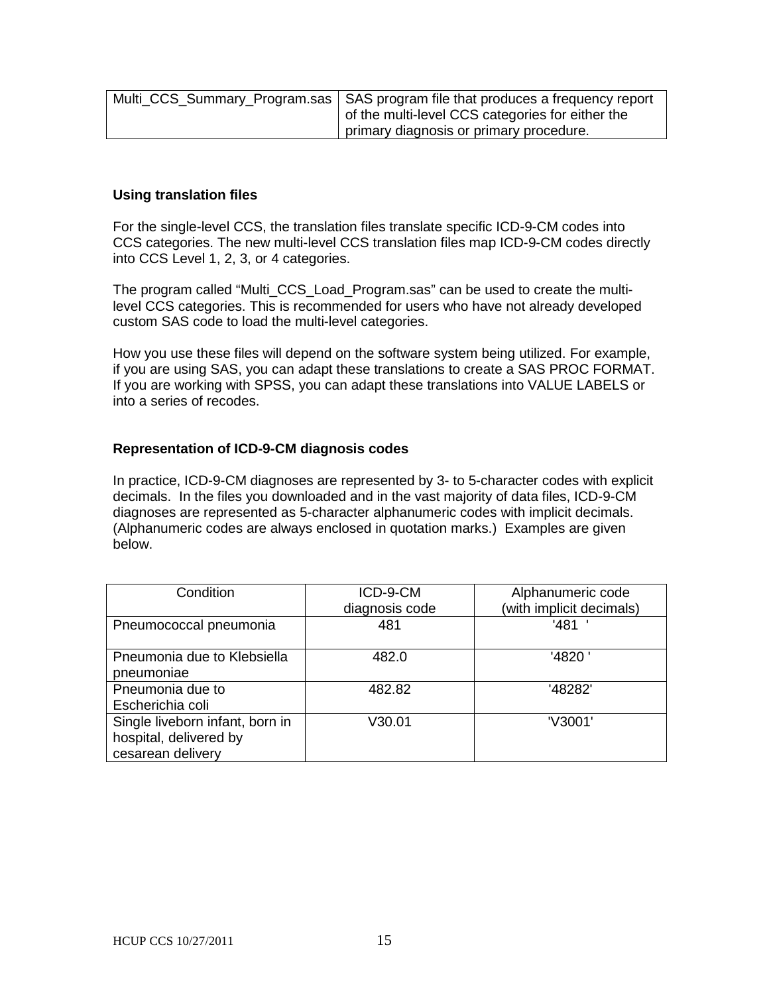| Multi_CCS_Summary_Program.sas   SAS program file that produces a frequency report |
|-----------------------------------------------------------------------------------|
| of the multi-level CCS categories for either the                                  |
| primary diagnosis or primary procedure.                                           |

### **Using translation files**

For the single-level CCS, the translation files translate specific ICD-9-CM codes into CCS categories. The new multi-level CCS translation files map ICD-9-CM codes directly into CCS Level 1, 2, 3, or 4 categories.

The program called "Multi\_CCS\_Load\_Program.sas" can be used to create the multilevel CCS categories. This is recommended for users who have not already developed custom SAS code to load the multi-level categories.

How you use these files will depend on the software system being utilized. For example, if you are using SAS, you can adapt these translations to create a SAS PROC FORMAT. If you are working with SPSS, you can adapt these translations into VALUE LABELS or into a series of recodes.

### **Representation of ICD-9-CM diagnosis codes**

In practice, ICD-9-CM diagnoses are represented by 3- to 5-character codes with explicit decimals. In the files you downloaded and in the vast majority of data files, ICD-9-CM diagnoses are represented as 5-character alphanumeric codes with implicit decimals. (Alphanumeric codes are always enclosed in quotation marks.) Examples are given below.

| Condition                       | ICD-9-CM       | Alphanumeric code        |
|---------------------------------|----------------|--------------------------|
|                                 | diagnosis code | (with implicit decimals) |
| Pneumococcal pneumonia          | 481            | '481                     |
|                                 |                |                          |
| Pneumonia due to Klebsiella     | 482.0          | '4820'                   |
| pneumoniae                      |                |                          |
| Pneumonia due to                | 482.82         | '48282'                  |
| Escherichia coli                |                |                          |
| Single liveborn infant, born in | V30.01         | 'V3001'                  |
| hospital, delivered by          |                |                          |
| cesarean delivery               |                |                          |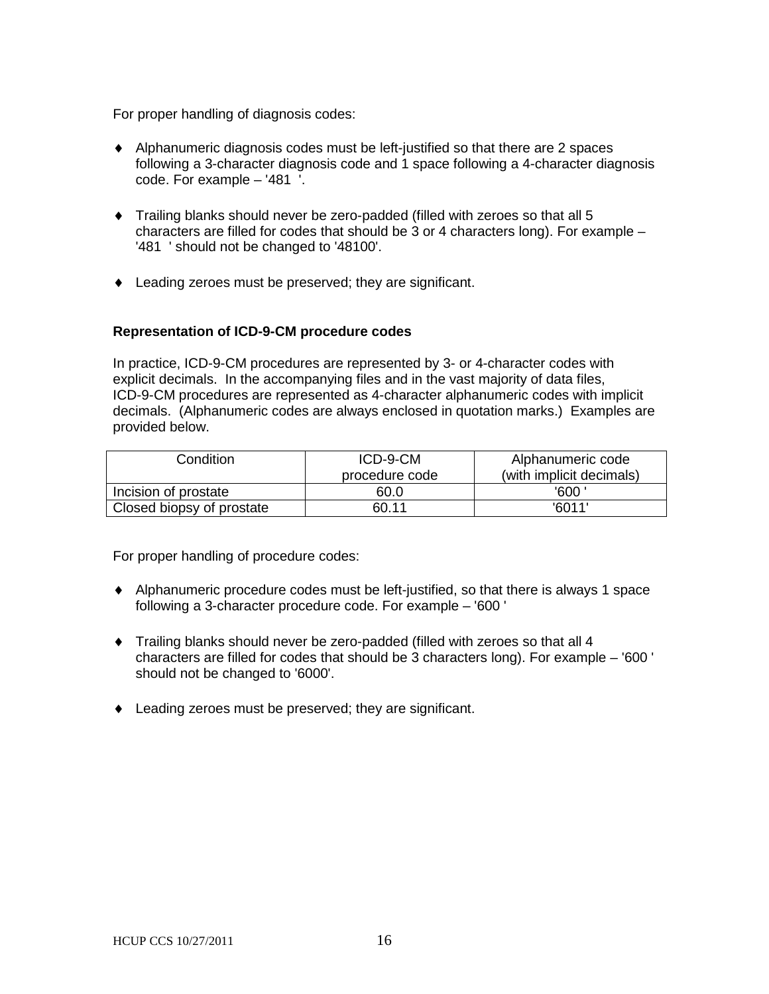For proper handling of diagnosis codes:

- ♦ Alphanumeric diagnosis codes must be left-justified so that there are 2 spaces following a 3-character diagnosis code and 1 space following a 4-character diagnosis code. For example – '481 '.
- ♦ Trailing blanks should never be zero-padded (filled with zeroes so that all 5 characters are filled for codes that should be 3 or 4 characters long). For example – '481 ' should not be changed to '48100'.
- ♦ Leading zeroes must be preserved; they are significant.

### **Representation of ICD-9-CM procedure codes**

In practice, ICD-9-CM procedures are represented by 3- or 4-character codes with explicit decimals. In the accompanying files and in the vast majority of data files, ICD-9-CM procedures are represented as 4-character alphanumeric codes with implicit decimals. (Alphanumeric codes are always enclosed in quotation marks.) Examples are provided below.

| Condition                 | ICD-9-CM       | Alphanumeric code        |
|---------------------------|----------------|--------------------------|
|                           | procedure code | (with implicit decimals) |
| Incision of prostate      | 60.0           | '600 '                   |
| Closed biopsy of prostate | 60.11          | '6011'                   |

For proper handling of procedure codes:

- ♦ Alphanumeric procedure codes must be left-justified, so that there is always 1 space following a 3-character procedure code. For example – '600 '
- ♦ Trailing blanks should never be zero-padded (filled with zeroes so that all 4 characters are filled for codes that should be 3 characters long). For example – '600 ' should not be changed to '6000'.
- ♦ Leading zeroes must be preserved; they are significant.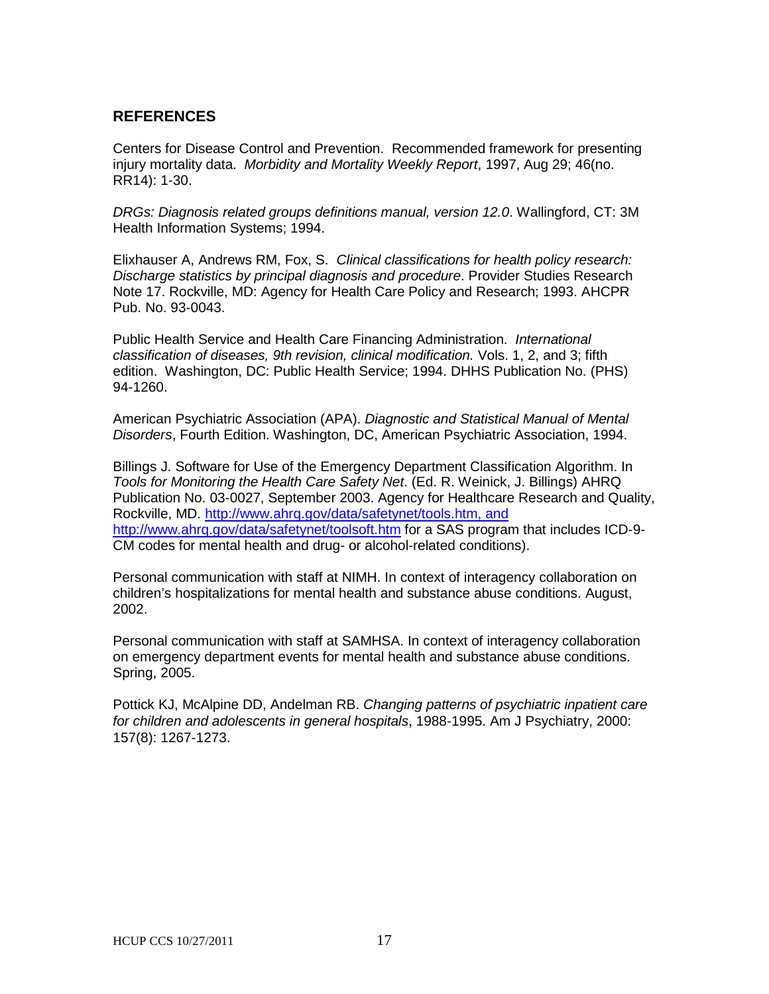## **REFERENCES**

Centers for Disease Control and Prevention. Recommended framework for presenting injury mortality data. *Morbidity and Mortality Weekly Report*, 1997, Aug 29; 46(no. RR14): 1-30.

*DRGs: Diagnosis related groups definitions manual, version 12.0*. Wallingford, CT: 3M Health Information Systems; 1994.

Elixhauser A, Andrews RM, Fox, S. *Clinical classifications for health policy research: Discharge statistics by principal diagnosis and procedure*. Provider Studies Research Note 17. Rockville, MD: Agency for Health Care Policy and Research; 1993. AHCPR Pub. No. 93-0043.

Public Health Service and Health Care Financing Administration. *International classification of diseases, 9th revision, clinical modification.* Vols. 1, 2, and 3; fifth edition. Washington, DC: Public Health Service; 1994. DHHS Publication No. (PHS) 94-1260.

American Psychiatric Association (APA). *Diagnostic and Statistical Manual of Mental Disorders*, Fourth Edition. Washington, DC, American Psychiatric Association, 1994.

Billings J. Software for Use of the Emergency Department Classification Algorithm. In *Tools for Monitoring the Health Care Safety Net*. (Ed. R. Weinick, J. Billings) AHRQ Publication No. 03-0027, September 2003. Agency for Healthcare Research and Quality, Rockville, MD. [http://www.ahrq.gov/data/safetynet/tools.htm, and](http://www.ahrq.gov/data/safetynet/tools.htm)  [http://www.ahrq.gov/data/safetynet/toolsoft.htm](http://www.ahrq.gov/data/safetynet/tools.htm) for a SAS program that includes ICD-9- CM codes for mental health and drug- or alcohol-related conditions).

Personal communication with staff at NIMH. In context of interagency collaboration on children's hospitalizations for mental health and substance abuse conditions. August, 2002.

Personal communication with staff at SAMHSA. In context of interagency collaboration on emergency department events for mental health and substance abuse conditions. Spring, 2005.

Pottick KJ, McAlpine DD, Andelman RB. *Changing patterns of psychiatric inpatient care for children and adolescents in general hospitals*, 1988-1995. Am J Psychiatry, 2000: 157(8): 1267-1273.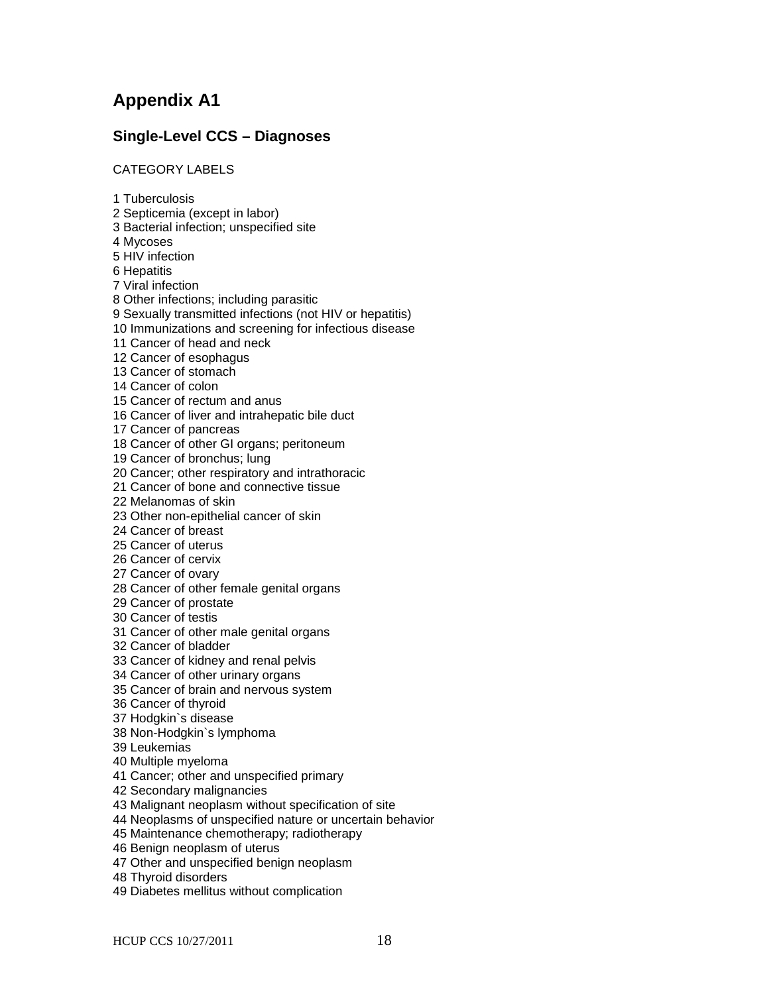# **Appendix A1**

# **Single-Level CCS – Diagnoses**

CATEGORY LABELS

1 Tuberculosis 2 Septicemia (except in labor) 3 Bacterial infection; unspecified site 4 Mycoses 5 HIV infection 6 Hepatitis 7 Viral infection 8 Other infections; including parasitic 9 Sexually transmitted infections (not HIV or hepatitis) 10 Immunizations and screening for infectious disease 11 Cancer of head and neck 12 Cancer of esophagus 13 Cancer of stomach 14 Cancer of colon 15 Cancer of rectum and anus 16 Cancer of liver and intrahepatic bile duct 17 Cancer of pancreas 18 Cancer of other GI organs; peritoneum 19 Cancer of bronchus; lung 20 Cancer; other respiratory and intrathoracic 21 Cancer of bone and connective tissue 22 Melanomas of skin 23 Other non-epithelial cancer of skin 24 Cancer of breast 25 Cancer of uterus 26 Cancer of cervix 27 Cancer of ovary 28 Cancer of other female genital organs 29 Cancer of prostate 30 Cancer of testis 31 Cancer of other male genital organs 32 Cancer of bladder 33 Cancer of kidney and renal pelvis 34 Cancer of other urinary organs 35 Cancer of brain and nervous system 36 Cancer of thyroid 37 Hodgkin`s disease 38 Non-Hodgkin`s lymphoma 39 Leukemias 40 Multiple myeloma 41 Cancer; other and unspecified primary 42 Secondary malignancies 43 Malignant neoplasm without specification of site 44 Neoplasms of unspecified nature or uncertain behavior 45 Maintenance chemotherapy; radiotherapy 46 Benign neoplasm of uterus 47 Other and unspecified benign neoplasm 48 Thyroid disorders 49 Diabetes mellitus without complication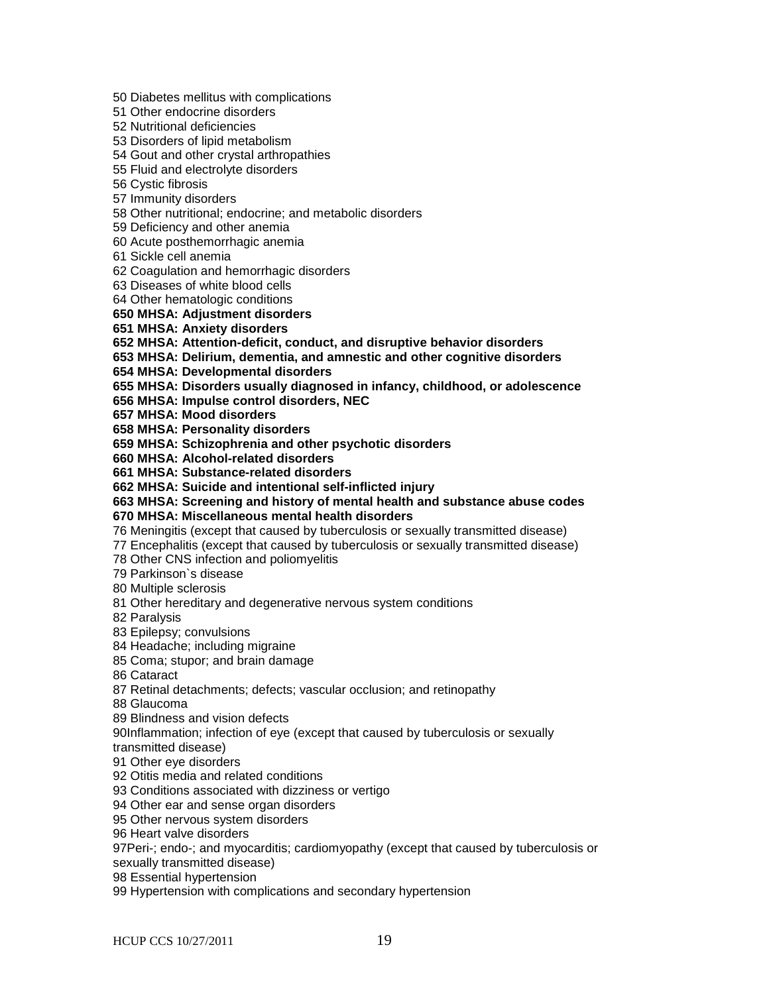50 Diabetes mellitus with complications

51 Other endocrine disorders

52 Nutritional deficiencies

53 Disorders of lipid metabolism

54 Gout and other crystal arthropathies

55 Fluid and electrolyte disorders

56 Cystic fibrosis

57 Immunity disorders

58 Other nutritional; endocrine; and metabolic disorders

59 Deficiency and other anemia

60 Acute posthemorrhagic anemia

61 Sickle cell anemia

62 Coagulation and hemorrhagic disorders

63 Diseases of white blood cells

64 Other hematologic conditions

#### **650 MHSA: Adjustment disorders**

**651 MHSA: Anxiety disorders**

**652 MHSA: Attention-deficit, conduct, and disruptive behavior disorders**

**653 MHSA: Delirium, dementia, and amnestic and other cognitive disorders**

**654 MHSA: Developmental disorders**

**655 MHSA: Disorders usually diagnosed in infancy, childhood, or adolescence**

**656 MHSA: Impulse control disorders, NEC**

**657 MHSA: Mood disorders**

**658 MHSA: Personality disorders**

**659 MHSA: Schizophrenia and other psychotic disorders**

**660 MHSA: Alcohol-related disorders**

**661 MHSA: Substance-related disorders**

**662 MHSA: Suicide and intentional self-inflicted injury**

**663 MHSA: Screening and history of mental health and substance abuse codes 670 MHSA: Miscellaneous mental health disorders**

76 Meningitis (except that caused by tuberculosis or sexually transmitted disease)

77 Encephalitis (except that caused by tuberculosis or sexually transmitted disease)

78 Other CNS infection and poliomyelitis

79 Parkinson`s disease

80 Multiple sclerosis

81 Other hereditary and degenerative nervous system conditions

82 Paralysis

83 Epilepsy; convulsions

84 Headache; including migraine

85 Coma; stupor; and brain damage

86 Cataract

87 Retinal detachments; defects; vascular occlusion; and retinopathy

88 Glaucoma

89 Blindness and vision defects

90Inflammation; infection of eye (except that caused by tuberculosis or sexually

transmitted disease)

91 Other eye disorders

92 Otitis media and related conditions

93 Conditions associated with dizziness or vertigo

94 Other ear and sense organ disorders

95 Other nervous system disorders

96 Heart valve disorders

97Peri-; endo-; and myocarditis; cardiomyopathy (except that caused by tuberculosis or

sexually transmitted disease)

98 Essential hypertension

99 Hypertension with complications and secondary hypertension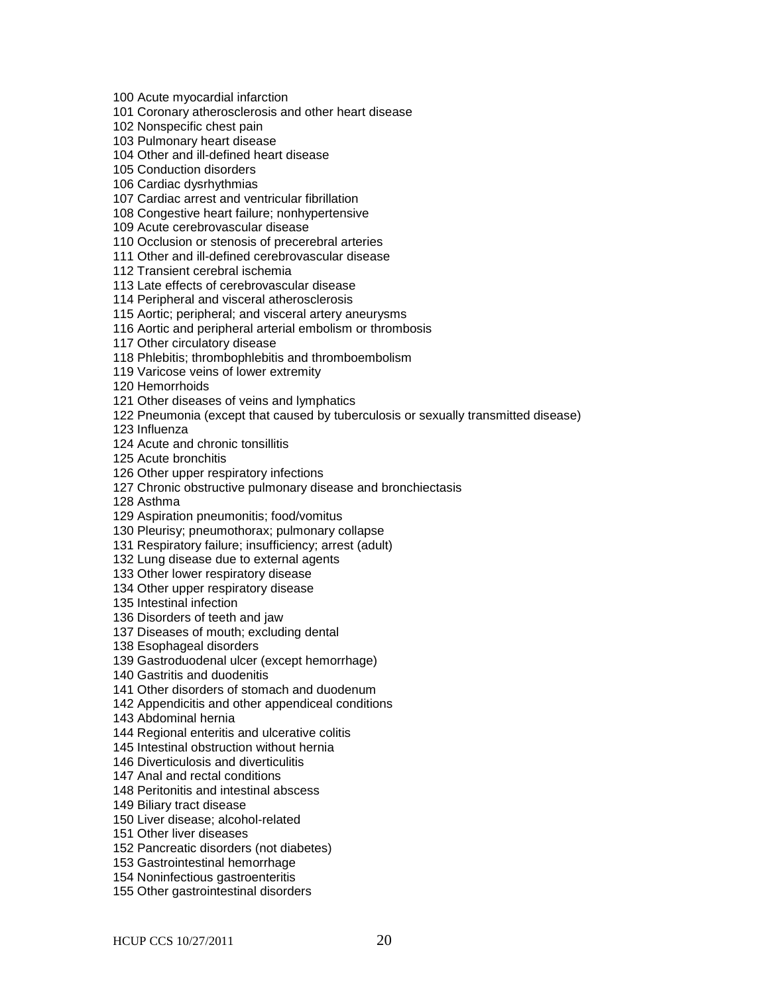100 Acute myocardial infarction

101 Coronary atherosclerosis and other heart disease

102 Nonspecific chest pain

103 Pulmonary heart disease

104 Other and ill-defined heart disease

105 Conduction disorders

106 Cardiac dysrhythmias

107 Cardiac arrest and ventricular fibrillation

108 Congestive heart failure; nonhypertensive

109 Acute cerebrovascular disease

110 Occlusion or stenosis of precerebral arteries

111 Other and ill-defined cerebrovascular disease

112 Transient cerebral ischemia

113 Late effects of cerebrovascular disease

114 Peripheral and visceral atherosclerosis

115 Aortic; peripheral; and visceral artery aneurysms

116 Aortic and peripheral arterial embolism or thrombosis

117 Other circulatory disease

118 Phlebitis; thrombophlebitis and thromboembolism

119 Varicose veins of lower extremity

120 Hemorrhoids

121 Other diseases of veins and lymphatics

122 Pneumonia (except that caused by tuberculosis or sexually transmitted disease)

123 Influenza

124 Acute and chronic tonsillitis

125 Acute bronchitis

126 Other upper respiratory infections

127 Chronic obstructive pulmonary disease and bronchiectasis

128 Asthma

129 Aspiration pneumonitis; food/vomitus

130 Pleurisy; pneumothorax; pulmonary collapse

131 Respiratory failure; insufficiency; arrest (adult)

132 Lung disease due to external agents

133 Other lower respiratory disease

134 Other upper respiratory disease

135 Intestinal infection

136 Disorders of teeth and jaw

137 Diseases of mouth; excluding dental

138 Esophageal disorders

139 Gastroduodenal ulcer (except hemorrhage)

140 Gastritis and duodenitis

141 Other disorders of stomach and duodenum

142 Appendicitis and other appendiceal conditions

143 Abdominal hernia

144 Regional enteritis and ulcerative colitis

145 Intestinal obstruction without hernia

146 Diverticulosis and diverticulitis

147 Anal and rectal conditions

148 Peritonitis and intestinal abscess

149 Biliary tract disease

150 Liver disease; alcohol-related

151 Other liver diseases

152 Pancreatic disorders (not diabetes)

153 Gastrointestinal hemorrhage

154 Noninfectious gastroenteritis

155 Other gastrointestinal disorders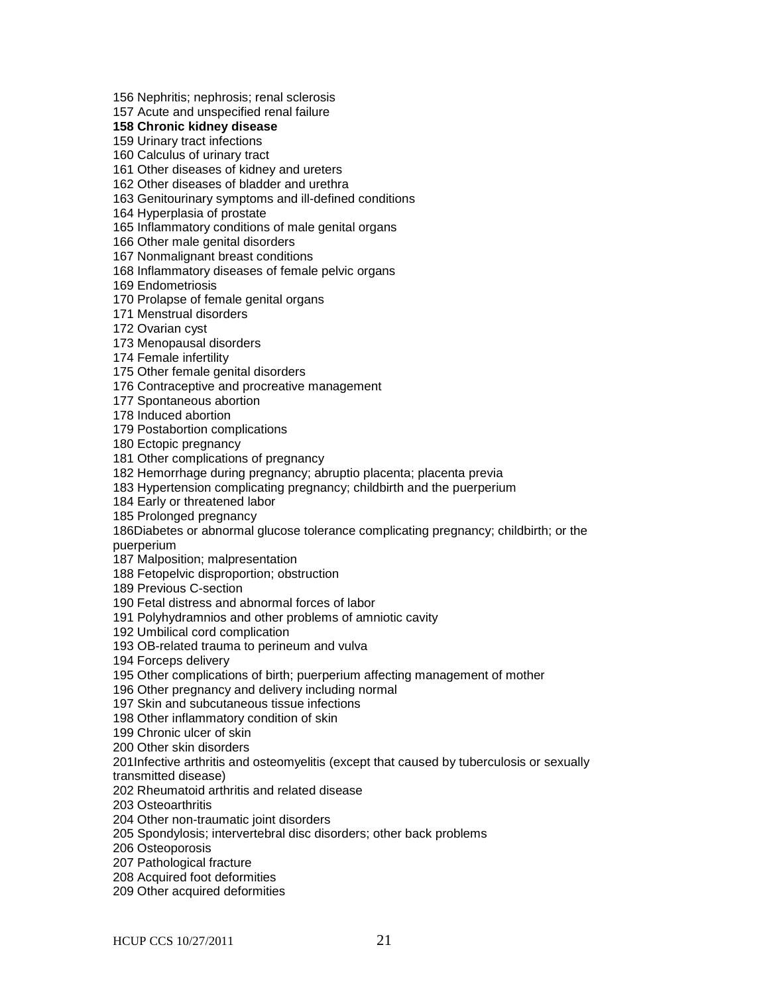156 Nephritis; nephrosis; renal sclerosis

157 Acute and unspecified renal failure

**158 Chronic kidney disease**

159 Urinary tract infections

160 Calculus of urinary tract

161 Other diseases of kidney and ureters

162 Other diseases of bladder and urethra

163 Genitourinary symptoms and ill-defined conditions

164 Hyperplasia of prostate

165 Inflammatory conditions of male genital organs

166 Other male genital disorders

167 Nonmalignant breast conditions

168 Inflammatory diseases of female pelvic organs

169 Endometriosis

170 Prolapse of female genital organs

171 Menstrual disorders

172 Ovarian cyst

173 Menopausal disorders

174 Female infertility

175 Other female genital disorders

176 Contraceptive and procreative management

177 Spontaneous abortion

178 Induced abortion

179 Postabortion complications

180 Ectopic pregnancy

181 Other complications of pregnancy

182 Hemorrhage during pregnancy; abruptio placenta; placenta previa

183 Hypertension complicating pregnancy; childbirth and the puerperium

184 Early or threatened labor

185 Prolonged pregnancy

186Diabetes or abnormal glucose tolerance complicating pregnancy; childbirth; or the

puerperium

187 Malposition; malpresentation

188 Fetopelvic disproportion; obstruction

189 Previous C-section

190 Fetal distress and abnormal forces of labor

191 Polyhydramnios and other problems of amniotic cavity

192 Umbilical cord complication

193 OB-related trauma to perineum and vulva

194 Forceps delivery

195 Other complications of birth; puerperium affecting management of mother

196 Other pregnancy and delivery including normal

197 Skin and subcutaneous tissue infections

198 Other inflammatory condition of skin

199 Chronic ulcer of skin

200 Other skin disorders

201Infective arthritis and osteomyelitis (except that caused by tuberculosis or sexually

transmitted disease)

202 Rheumatoid arthritis and related disease

203 Osteoarthritis

204 Other non-traumatic joint disorders

205 Spondylosis; intervertebral disc disorders; other back problems

206 Osteoporosis

207 Pathological fracture

208 Acquired foot deformities

209 Other acquired deformities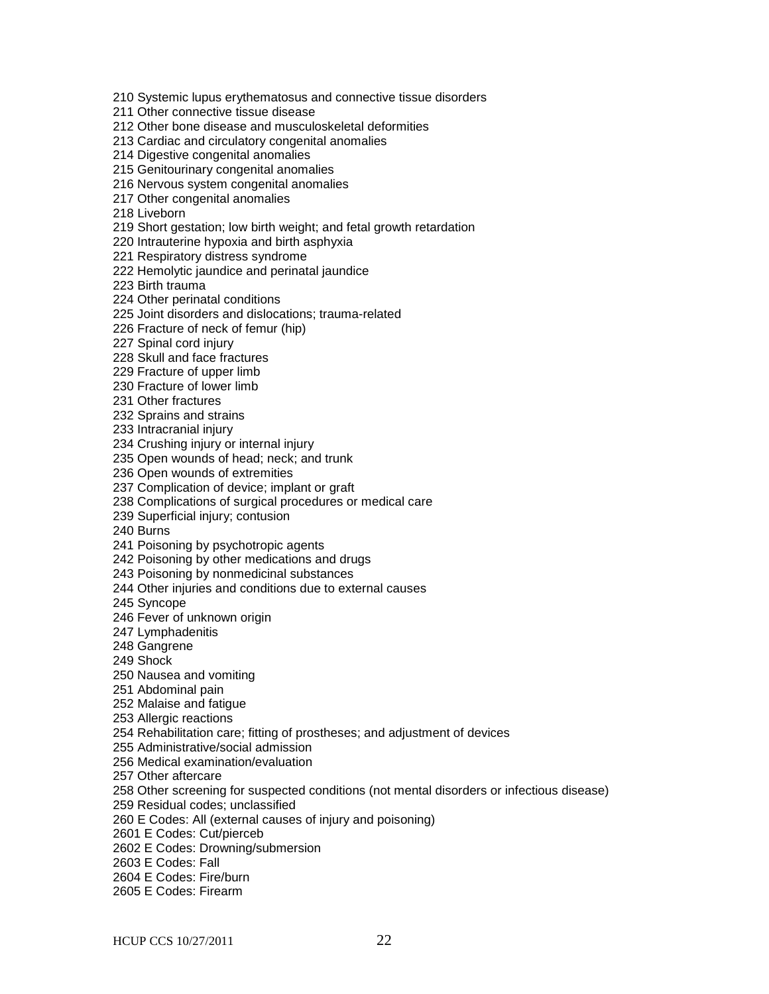210 Systemic lupus erythematosus and connective tissue disorders

211 Other connective tissue disease

212 Other bone disease and musculoskeletal deformities

213 Cardiac and circulatory congenital anomalies

214 Digestive congenital anomalies

215 Genitourinary congenital anomalies

216 Nervous system congenital anomalies

217 Other congenital anomalies

218 Liveborn

219 Short gestation; low birth weight; and fetal growth retardation

220 Intrauterine hypoxia and birth asphyxia

221 Respiratory distress syndrome

222 Hemolytic jaundice and perinatal jaundice

223 Birth trauma

224 Other perinatal conditions

225 Joint disorders and dislocations; trauma-related

226 Fracture of neck of femur (hip)

227 Spinal cord injury

228 Skull and face fractures

229 Fracture of upper limb

230 Fracture of lower limb

231 Other fractures

232 Sprains and strains

233 Intracranial injury

234 Crushing injury or internal injury

235 Open wounds of head; neck; and trunk

236 Open wounds of extremities

237 Complication of device; implant or graft

238 Complications of surgical procedures or medical care

239 Superficial injury; contusion

240 Burns

241 Poisoning by psychotropic agents

242 Poisoning by other medications and drugs

243 Poisoning by nonmedicinal substances

244 Other injuries and conditions due to external causes

245 Syncope

246 Fever of unknown origin

247 Lymphadenitis

248 Gangrene

249 Shock

250 Nausea and vomiting

251 Abdominal pain

252 Malaise and fatigue

253 Allergic reactions

254 Rehabilitation care; fitting of prostheses; and adjustment of devices

255 Administrative/social admission

256 Medical examination/evaluation

257 Other aftercare

258 Other screening for suspected conditions (not mental disorders or infectious disease)

259 Residual codes; unclassified

260 E Codes: All (external causes of injury and poisoning)

2601 E Codes: Cut/pierceb

2602 E Codes: Drowning/submersion

2603 E Codes: Fall

2604 E Codes: Fire/burn

2605 E Codes: Firearm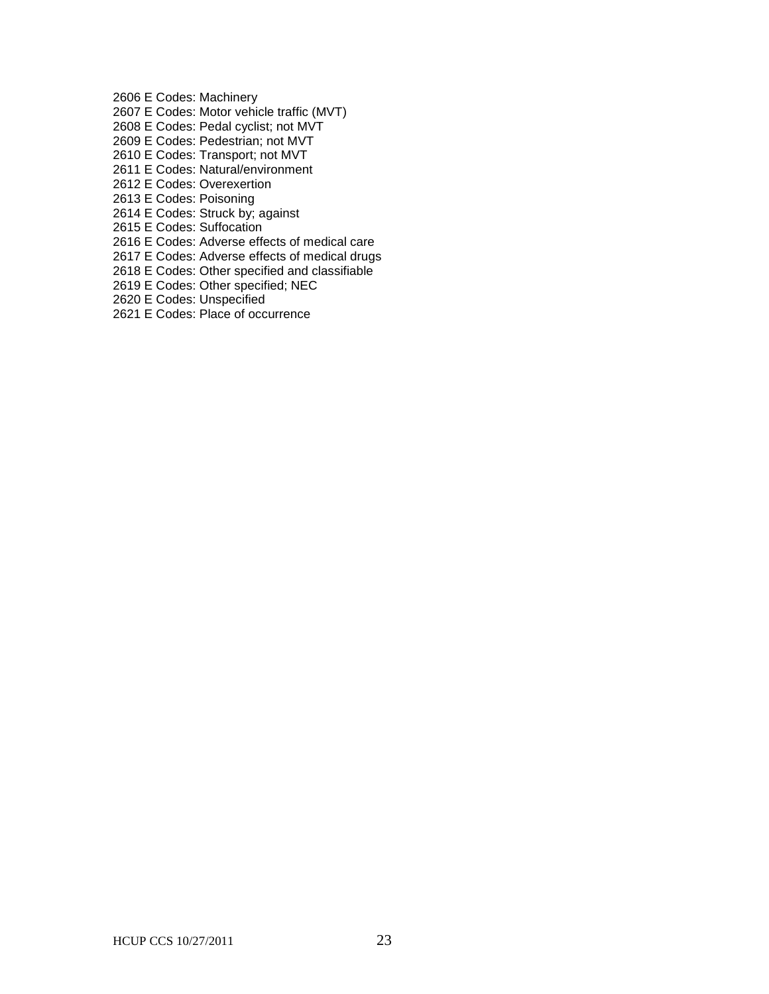2606 E Codes: Machinery

- 2607 E Codes: Motor vehicle traffic (MVT)
- 2608 E Codes: Pedal cyclist; not MVT
- 2609 E Codes: Pedestrian; not MVT
- 2610 E Codes: Transport; not MVT
- 2611 E Codes: Natural/environment
- 2612 E Codes: Overexertion
- 2613 E Codes: Poisoning
- 2614 E Codes: Struck by; against
- 2615 E Codes: Suffocation
- 2616 E Codes: Adverse effects of medical care
- 2617 E Codes: Adverse effects of medical drugs
- 2618 E Codes: Other specified and classifiable
- 2619 E Codes: Other specified; NEC
- 2620 E Codes: Unspecified
- 2621 E Codes: Place of occurrence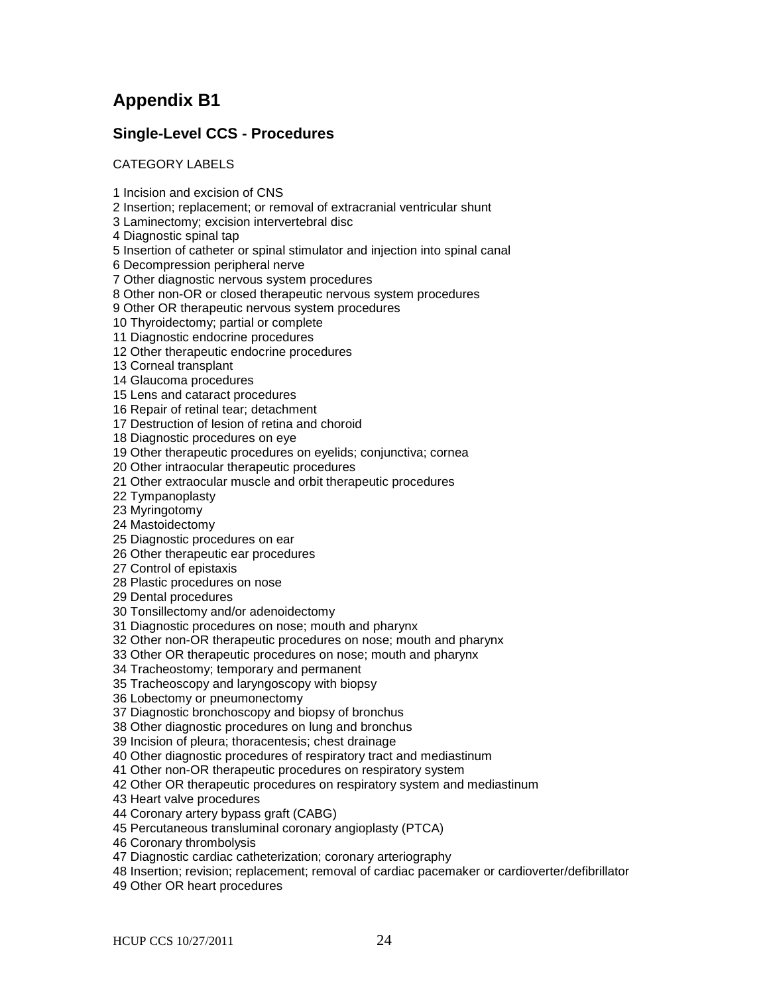# **Appendix B1**

# **Single-Level CCS - Procedures**

CATEGORY LABELS

1 Incision and excision of CNS

2 Insertion; replacement; or removal of extracranial ventricular shunt

3 Laminectomy; excision intervertebral disc

4 Diagnostic spinal tap

5 Insertion of catheter or spinal stimulator and injection into spinal canal

6 Decompression peripheral nerve

7 Other diagnostic nervous system procedures

8 Other non-OR or closed therapeutic nervous system procedures

9 Other OR therapeutic nervous system procedures

10 Thyroidectomy; partial or complete

11 Diagnostic endocrine procedures

12 Other therapeutic endocrine procedures

13 Corneal transplant

14 Glaucoma procedures

15 Lens and cataract procedures

16 Repair of retinal tear; detachment

17 Destruction of lesion of retina and choroid

18 Diagnostic procedures on eye

19 Other therapeutic procedures on eyelids; conjunctiva; cornea

20 Other intraocular therapeutic procedures

21 Other extraocular muscle and orbit therapeutic procedures

22 Tympanoplasty

23 Myringotomy

24 Mastoidectomy

25 Diagnostic procedures on ear

26 Other therapeutic ear procedures

27 Control of epistaxis

28 Plastic procedures on nose

29 Dental procedures

30 Tonsillectomy and/or adenoidectomy

31 Diagnostic procedures on nose; mouth and pharynx

32 Other non-OR therapeutic procedures on nose; mouth and pharynx

33 Other OR therapeutic procedures on nose; mouth and pharynx

34 Tracheostomy; temporary and permanent

35 Tracheoscopy and laryngoscopy with biopsy

36 Lobectomy or pneumonectomy

37 Diagnostic bronchoscopy and biopsy of bronchus

38 Other diagnostic procedures on lung and bronchus

39 Incision of pleura; thoracentesis; chest drainage

40 Other diagnostic procedures of respiratory tract and mediastinum

41 Other non-OR therapeutic procedures on respiratory system

42 Other OR therapeutic procedures on respiratory system and mediastinum

43 Heart valve procedures

44 Coronary artery bypass graft (CABG)

45 Percutaneous transluminal coronary angioplasty (PTCA)

46 Coronary thrombolysis

47 Diagnostic cardiac catheterization; coronary arteriography

48 Insertion; revision; replacement; removal of cardiac pacemaker or cardioverter/defibrillator

49 Other OR heart procedures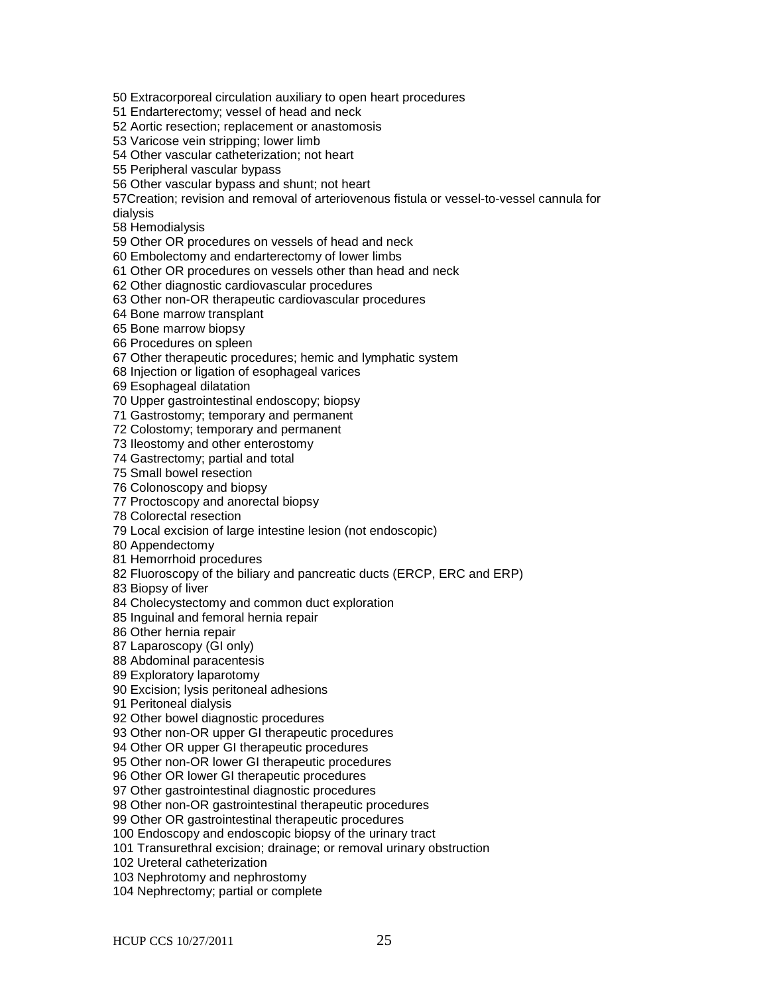50 Extracorporeal circulation auxiliary to open heart procedures

51 Endarterectomy; vessel of head and neck

52 Aortic resection; replacement or anastomosis

53 Varicose vein stripping; lower limb

54 Other vascular catheterization; not heart

55 Peripheral vascular bypass

56 Other vascular bypass and shunt; not heart

57Creation; revision and removal of arteriovenous fistula or vessel-to-vessel cannula for

dialysis

58 Hemodialysis

59 Other OR procedures on vessels of head and neck

60 Embolectomy and endarterectomy of lower limbs

61 Other OR procedures on vessels other than head and neck

62 Other diagnostic cardiovascular procedures

63 Other non-OR therapeutic cardiovascular procedures

64 Bone marrow transplant

65 Bone marrow biopsy

66 Procedures on spleen

67 Other therapeutic procedures; hemic and lymphatic system

68 Injection or ligation of esophageal varices

69 Esophageal dilatation

70 Upper gastrointestinal endoscopy; biopsy

71 Gastrostomy; temporary and permanent

72 Colostomy; temporary and permanent

73 Ileostomy and other enterostomy

74 Gastrectomy; partial and total

75 Small bowel resection

76 Colonoscopy and biopsy

77 Proctoscopy and anorectal biopsy

78 Colorectal resection

79 Local excision of large intestine lesion (not endoscopic)

80 Appendectomy

81 Hemorrhoid procedures

82 Fluoroscopy of the biliary and pancreatic ducts (ERCP, ERC and ERP)

83 Biopsy of liver

84 Cholecystectomy and common duct exploration

85 Inguinal and femoral hernia repair

86 Other hernia repair

87 Laparoscopy (GI only)

88 Abdominal paracentesis

89 Exploratory laparotomy

90 Excision; lysis peritoneal adhesions

91 Peritoneal dialysis

92 Other bowel diagnostic procedures

93 Other non-OR upper GI therapeutic procedures

94 Other OR upper GI therapeutic procedures

95 Other non-OR lower GI therapeutic procedures

96 Other OR lower GI therapeutic procedures

97 Other gastrointestinal diagnostic procedures

98 Other non-OR gastrointestinal therapeutic procedures

99 Other OR gastrointestinal therapeutic procedures

100 Endoscopy and endoscopic biopsy of the urinary tract

101 Transurethral excision; drainage; or removal urinary obstruction

102 Ureteral catheterization

103 Nephrotomy and nephrostomy

104 Nephrectomy; partial or complete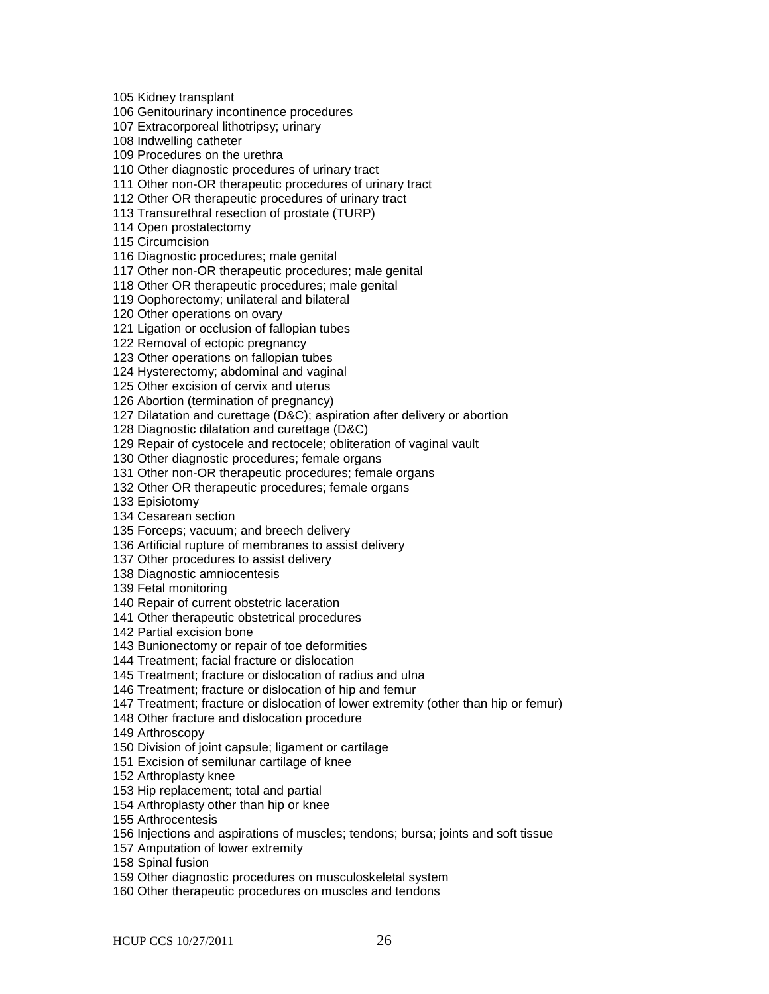105 Kidney transplant

106 Genitourinary incontinence procedures

107 Extracorporeal lithotripsy; urinary

108 Indwelling catheter

109 Procedures on the urethra

110 Other diagnostic procedures of urinary tract

111 Other non-OR therapeutic procedures of urinary tract

112 Other OR therapeutic procedures of urinary tract

113 Transurethral resection of prostate (TURP)

114 Open prostatectomy

115 Circumcision

116 Diagnostic procedures; male genital

117 Other non-OR therapeutic procedures; male genital

118 Other OR therapeutic procedures; male genital

119 Oophorectomy; unilateral and bilateral

120 Other operations on ovary

121 Ligation or occlusion of fallopian tubes

122 Removal of ectopic pregnancy

123 Other operations on fallopian tubes

124 Hysterectomy; abdominal and vaginal

125 Other excision of cervix and uterus

126 Abortion (termination of pregnancy)

127 Dilatation and curettage (D&C); aspiration after delivery or abortion

128 Diagnostic dilatation and curettage (D&C)

129 Repair of cystocele and rectocele; obliteration of vaginal vault

130 Other diagnostic procedures; female organs

131 Other non-OR therapeutic procedures; female organs

132 Other OR therapeutic procedures; female organs

133 Episiotomy

134 Cesarean section

135 Forceps; vacuum; and breech delivery

136 Artificial rupture of membranes to assist delivery

137 Other procedures to assist delivery

138 Diagnostic amniocentesis

139 Fetal monitoring

140 Repair of current obstetric laceration

141 Other therapeutic obstetrical procedures

142 Partial excision bone

143 Bunionectomy or repair of toe deformities

144 Treatment; facial fracture or dislocation

145 Treatment; fracture or dislocation of radius and ulna

146 Treatment; fracture or dislocation of hip and femur

147 Treatment; fracture or dislocation of lower extremity (other than hip or femur)

148 Other fracture and dislocation procedure

149 Arthroscopy

150 Division of joint capsule; ligament or cartilage

151 Excision of semilunar cartilage of knee

152 Arthroplasty knee

153 Hip replacement; total and partial

154 Arthroplasty other than hip or knee

155 Arthrocentesis

156 Injections and aspirations of muscles; tendons; bursa; joints and soft tissue

157 Amputation of lower extremity

158 Spinal fusion

159 Other diagnostic procedures on musculoskeletal system

160 Other therapeutic procedures on muscles and tendons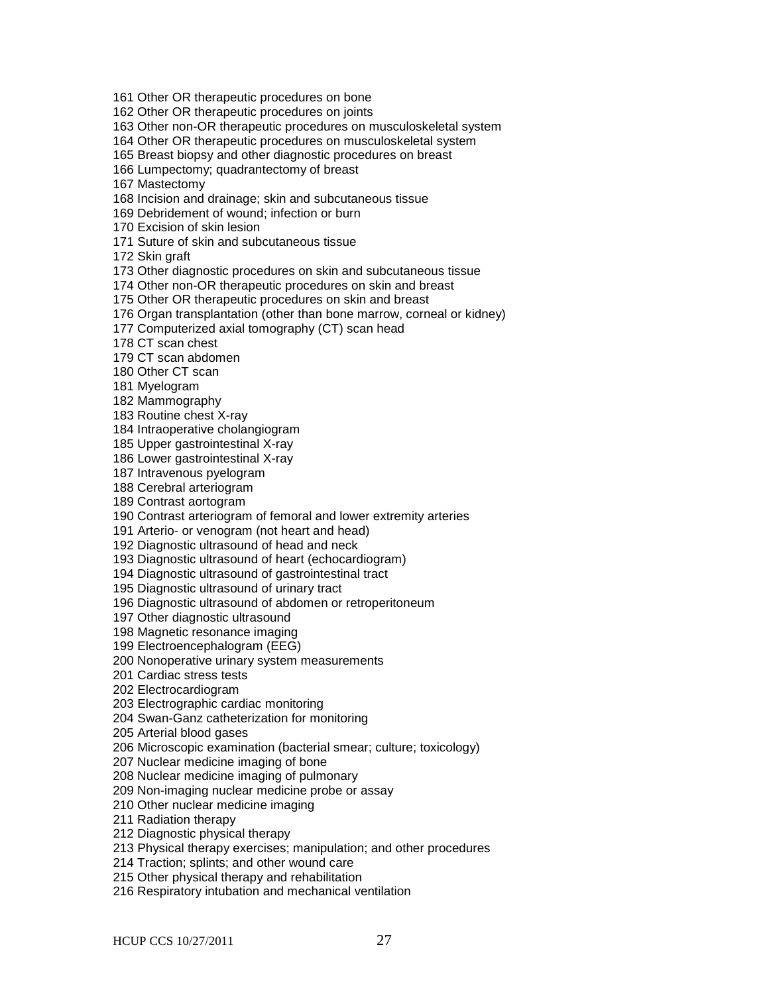161 Other OR therapeutic procedures on bone

162 Other OR therapeutic procedures on joints

163 Other non-OR therapeutic procedures on musculoskeletal system

164 Other OR therapeutic procedures on musculoskeletal system

165 Breast biopsy and other diagnostic procedures on breast

166 Lumpectomy; quadrantectomy of breast

167 Mastectomy

168 Incision and drainage; skin and subcutaneous tissue

169 Debridement of wound; infection or burn

170 Excision of skin lesion

171 Suture of skin and subcutaneous tissue

172 Skin graft

173 Other diagnostic procedures on skin and subcutaneous tissue

174 Other non-OR therapeutic procedures on skin and breast

175 Other OR therapeutic procedures on skin and breast

176 Organ transplantation (other than bone marrow, corneal or kidney)

177 Computerized axial tomography (CT) scan head

178 CT scan chest

179 CT scan abdomen

180 Other CT scan

181 Myelogram

182 Mammography

183 Routine chest X-ray

184 Intraoperative cholangiogram

185 Upper gastrointestinal X-ray

186 Lower gastrointestinal X-ray

187 Intravenous pyelogram

188 Cerebral arteriogram

189 Contrast aortogram

190 Contrast arteriogram of femoral and lower extremity arteries

191 Arterio- or venogram (not heart and head)

192 Diagnostic ultrasound of head and neck

193 Diagnostic ultrasound of heart (echocardiogram)

194 Diagnostic ultrasound of gastrointestinal tract

195 Diagnostic ultrasound of urinary tract

196 Diagnostic ultrasound of abdomen or retroperitoneum

197 Other diagnostic ultrasound

198 Magnetic resonance imaging

199 Electroencephalogram (EEG)

200 Nonoperative urinary system measurements

201 Cardiac stress tests

202 Electrocardiogram

203 Electrographic cardiac monitoring

204 Swan-Ganz catheterization for monitoring

205 Arterial blood gases

206 Microscopic examination (bacterial smear; culture; toxicology)

207 Nuclear medicine imaging of bone

208 Nuclear medicine imaging of pulmonary

209 Non-imaging nuclear medicine probe or assay

210 Other nuclear medicine imaging

211 Radiation therapy

212 Diagnostic physical therapy

213 Physical therapy exercises; manipulation; and other procedures

214 Traction; splints; and other wound care

215 Other physical therapy and rehabilitation

216 Respiratory intubation and mechanical ventilation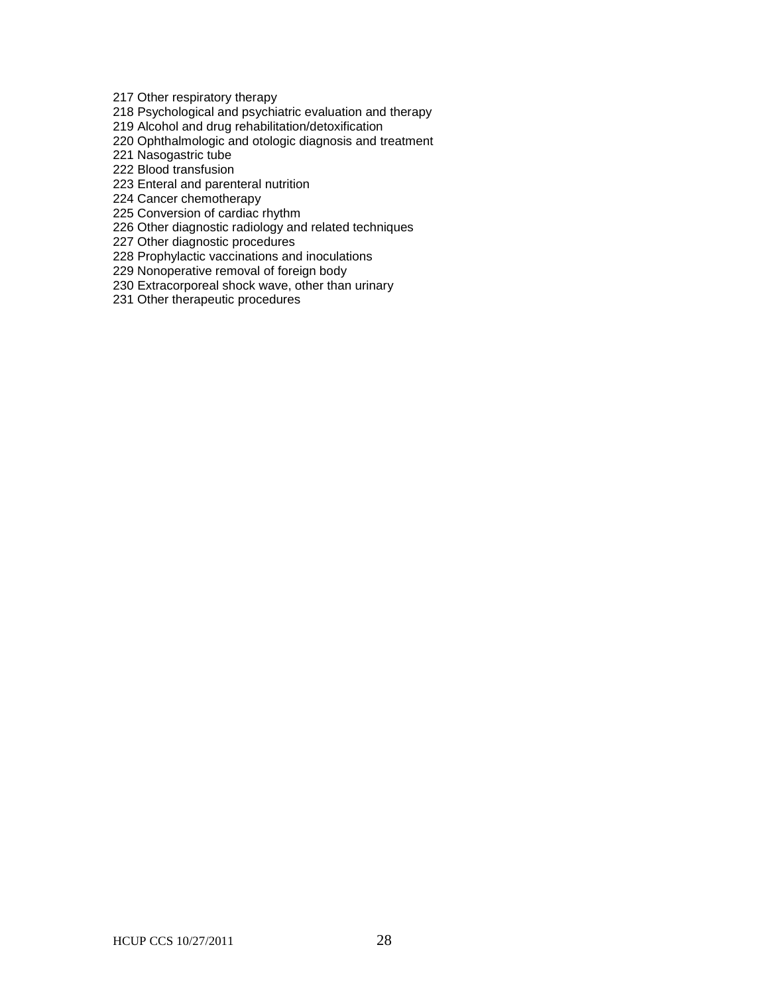217 Other respiratory therapy

218 Psychological and psychiatric evaluation and therapy

219 Alcohol and drug rehabilitation/detoxification

220 Ophthalmologic and otologic diagnosis and treatment

221 Nasogastric tube

222 Blood transfusion

223 Enteral and parenteral nutrition

224 Cancer chemotherapy

225 Conversion of cardiac rhythm

226 Other diagnostic radiology and related techniques

227 Other diagnostic procedures

228 Prophylactic vaccinations and inoculations

229 Nonoperative removal of foreign body

230 Extracorporeal shock wave, other than urinary

231 Other therapeutic procedures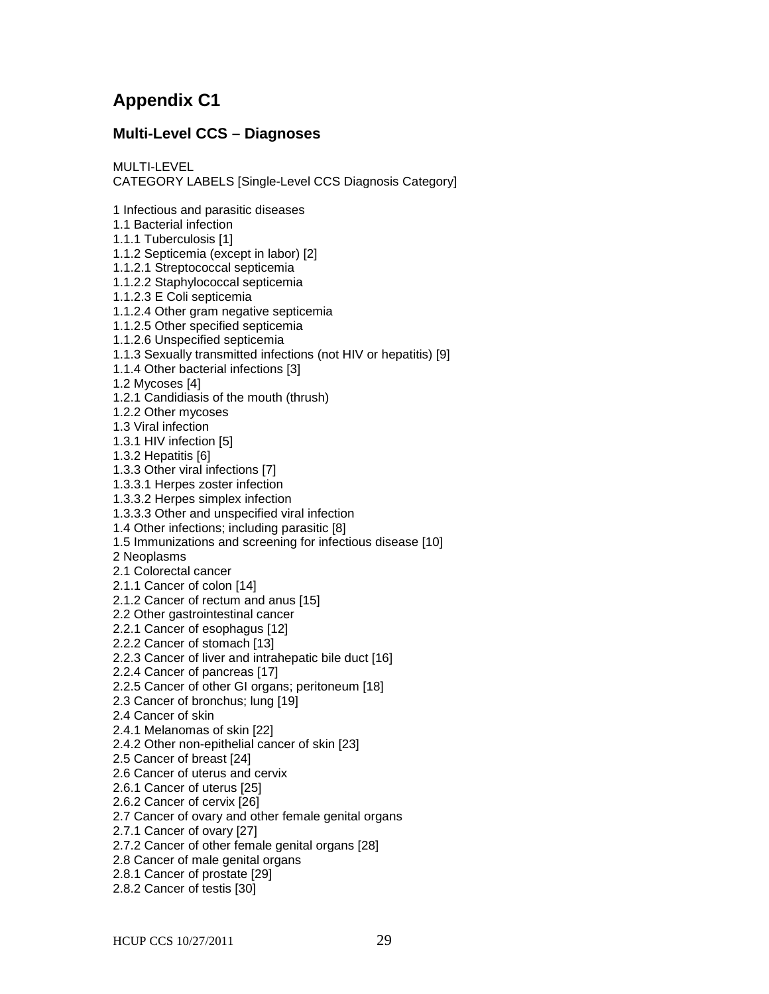# **Appendix C1**

## **Multi-Level CCS – Diagnoses**

MULTI-LEVEL CATEGORY LABELS [Single-Level CCS Diagnosis Category]

1 Infectious and parasitic diseases

1.1 Bacterial infection

1.1.1 Tuberculosis [1]

1.1.2 Septicemia (except in labor) [2]

1.1.2.1 Streptococcal septicemia

1.1.2.2 Staphylococcal septicemia

1.1.2.3 E Coli septicemia

1.1.2.4 Other gram negative septicemia

1.1.2.5 Other specified septicemia

1.1.2.6 Unspecified septicemia

1.1.3 Sexually transmitted infections (not HIV or hepatitis) [9]

1.1.4 Other bacterial infections [3]

1.2 Mycoses [4]

1.2.1 Candidiasis of the mouth (thrush)

1.2.2 Other mycoses

1.3 Viral infection

1.3.1 HIV infection [5]

1.3.2 Hepatitis [6]

1.3.3 Other viral infections [7]

1.3.3.1 Herpes zoster infection

1.3.3.2 Herpes simplex infection

1.3.3.3 Other and unspecified viral infection

1.4 Other infections; including parasitic [8]

1.5 Immunizations and screening for infectious disease [10]

2 Neoplasms

2.1 Colorectal cancer

2.1.1 Cancer of colon [14]

2.1.2 Cancer of rectum and anus [15]

2.2 Other gastrointestinal cancer

2.2.1 Cancer of esophagus [12]

2.2.2 Cancer of stomach [13]

2.2.3 Cancer of liver and intrahepatic bile duct [16]

2.2.4 Cancer of pancreas [17]

2.2.5 Cancer of other GI organs; peritoneum [18]

2.3 Cancer of bronchus; lung [19]

2.4 Cancer of skin

2.4.1 Melanomas of skin [22]

2.4.2 Other non-epithelial cancer of skin [23]

2.5 Cancer of breast [24]

2.6 Cancer of uterus and cervix

2.6.1 Cancer of uterus [25]

2.6.2 Cancer of cervix [26]

2.7 Cancer of ovary and other female genital organs

2.7.1 Cancer of ovary [27]

2.7.2 Cancer of other female genital organs [28]

2.8 Cancer of male genital organs

2.8.1 Cancer of prostate [29]

2.8.2 Cancer of testis [30]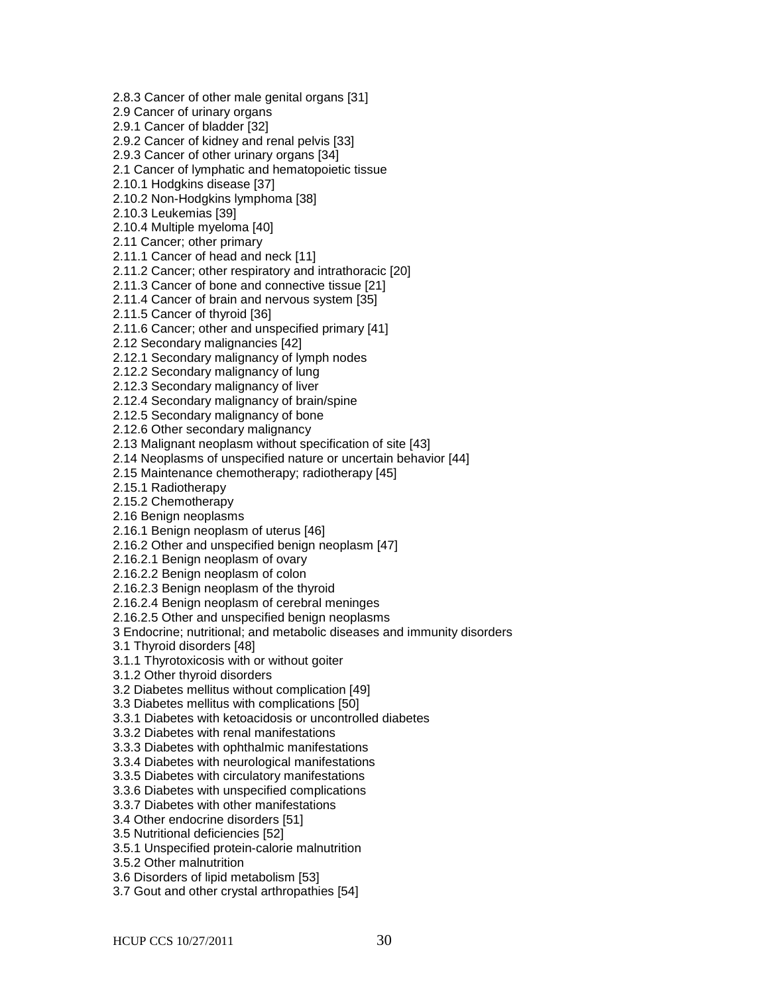2.8.3 Cancer of other male genital organs [31]

2.9 Cancer of urinary organs

2.9.1 Cancer of bladder [32]

2.9.2 Cancer of kidney and renal pelvis [33]

2.9.3 Cancer of other urinary organs [34]

2.1 Cancer of lymphatic and hematopoietic tissue

2.10.1 Hodgkins disease [37]

2.10.2 Non-Hodgkins lymphoma [38]

2.10.3 Leukemias [39]

2.10.4 Multiple myeloma [40]

2.11 Cancer; other primary

2.11.1 Cancer of head and neck [11]

2.11.2 Cancer; other respiratory and intrathoracic [20]

2.11.3 Cancer of bone and connective tissue [21]

2.11.4 Cancer of brain and nervous system [35]

2.11.5 Cancer of thyroid [36]

2.11.6 Cancer; other and unspecified primary [41]

2.12 Secondary malignancies [42]

2.12.1 Secondary malignancy of lymph nodes

2.12.2 Secondary malignancy of lung

2.12.3 Secondary malignancy of liver

2.12.4 Secondary malignancy of brain/spine

2.12.5 Secondary malignancy of bone

2.12.6 Other secondary malignancy

2.13 Malignant neoplasm without specification of site [43]

2.14 Neoplasms of unspecified nature or uncertain behavior [44]

2.15 Maintenance chemotherapy; radiotherapy [45]

2.15.1 Radiotherapy

2.15.2 Chemotherapy

2.16 Benign neoplasms

2.16.1 Benign neoplasm of uterus [46]

2.16.2 Other and unspecified benign neoplasm [47]

2.16.2.1 Benign neoplasm of ovary

2.16.2.2 Benign neoplasm of colon

2.16.2.3 Benign neoplasm of the thyroid

2.16.2.4 Benign neoplasm of cerebral meninges

2.16.2.5 Other and unspecified benign neoplasms

3 Endocrine; nutritional; and metabolic diseases and immunity disorders

3.1 Thyroid disorders [48]

3.1.1 Thyrotoxicosis with or without goiter

3.1.2 Other thyroid disorders

3.2 Diabetes mellitus without complication [49]

3.3 Diabetes mellitus with complications [50]

3.3.1 Diabetes with ketoacidosis or uncontrolled diabetes

3.3.2 Diabetes with renal manifestations

3.3.3 Diabetes with ophthalmic manifestations

3.3.4 Diabetes with neurological manifestations

3.3.5 Diabetes with circulatory manifestations

3.3.6 Diabetes with unspecified complications

3.3.7 Diabetes with other manifestations

3.4 Other endocrine disorders [51]

3.5 Nutritional deficiencies [52]

3.5.1 Unspecified protein-calorie malnutrition

3.5.2 Other malnutrition

3.6 Disorders of lipid metabolism [53]

3.7 Gout and other crystal arthropathies [54]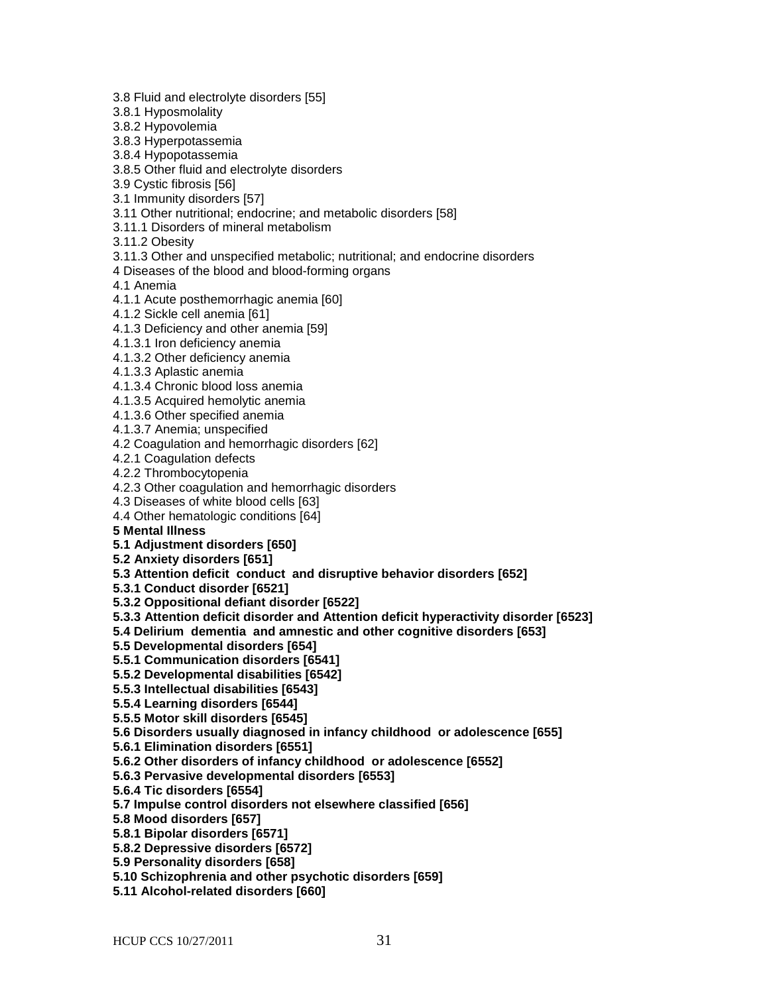3.8 Fluid and electrolyte disorders [55]

3.8.1 Hyposmolality

3.8.2 Hypovolemia

3.8.3 Hyperpotassemia

3.8.4 Hypopotassemia

3.8.5 Other fluid and electrolyte disorders

3.9 Cystic fibrosis [56]

3.1 Immunity disorders [57]

3.11 Other nutritional; endocrine; and metabolic disorders [58]

3.11.1 Disorders of mineral metabolism

3.11.2 Obesity

3.11.3 Other and unspecified metabolic; nutritional; and endocrine disorders

4 Diseases of the blood and blood-forming organs

4.1 Anemia

4.1.1 Acute posthemorrhagic anemia [60]

4.1.2 Sickle cell anemia [61]

4.1.3 Deficiency and other anemia [59]

4.1.3.1 Iron deficiency anemia

4.1.3.2 Other deficiency anemia

4.1.3.3 Aplastic anemia

4.1.3.4 Chronic blood loss anemia

4.1.3.5 Acquired hemolytic anemia

4.1.3.6 Other specified anemia

4.1.3.7 Anemia; unspecified

4.2 Coagulation and hemorrhagic disorders [62]

4.2.1 Coagulation defects

4.2.2 Thrombocytopenia

4.2.3 Other coagulation and hemorrhagic disorders

4.3 Diseases of white blood cells [63]

4.4 Other hematologic conditions [64]

**5 Mental Illness**

**5.1 Adjustment disorders [650]**

**5.2 Anxiety disorders [651]**

**5.3 Attention deficit conduct and disruptive behavior disorders [652]**

**5.3.1 Conduct disorder [6521]**

**5.3.2 Oppositional defiant disorder [6522]**

**5.3.3 Attention deficit disorder and Attention deficit hyperactivity disorder [6523]** 

**5.4 Delirium dementia and amnestic and other cognitive disorders [653]**

**5.5 Developmental disorders [654]**

**5.5.1 Communication disorders [6541]**

**5.5.2 Developmental disabilities [6542]**

**5.5.3 Intellectual disabilities [6543]**

**5.5.4 Learning disorders [6544]** 

**5.5.5 Motor skill disorders [6545]**

**5.6 Disorders usually diagnosed in infancy childhood or adolescence [655]**

**5.6.1 Elimination disorders [6551]**

**5.6.2 Other disorders of infancy childhood or adolescence [6552]**

**5.6.3 Pervasive developmental disorders [6553]**

**5.6.4 Tic disorders [6554]** 

**5.7 Impulse control disorders not elsewhere classified [656]**

**5.8 Mood disorders [657]**

**5.8.1 Bipolar disorders [6571]**

**5.8.2 Depressive disorders [6572]**

**5.9 Personality disorders [658]**

**5.10 Schizophrenia and other psychotic disorders [659]**

**5.11 Alcohol-related disorders [660]**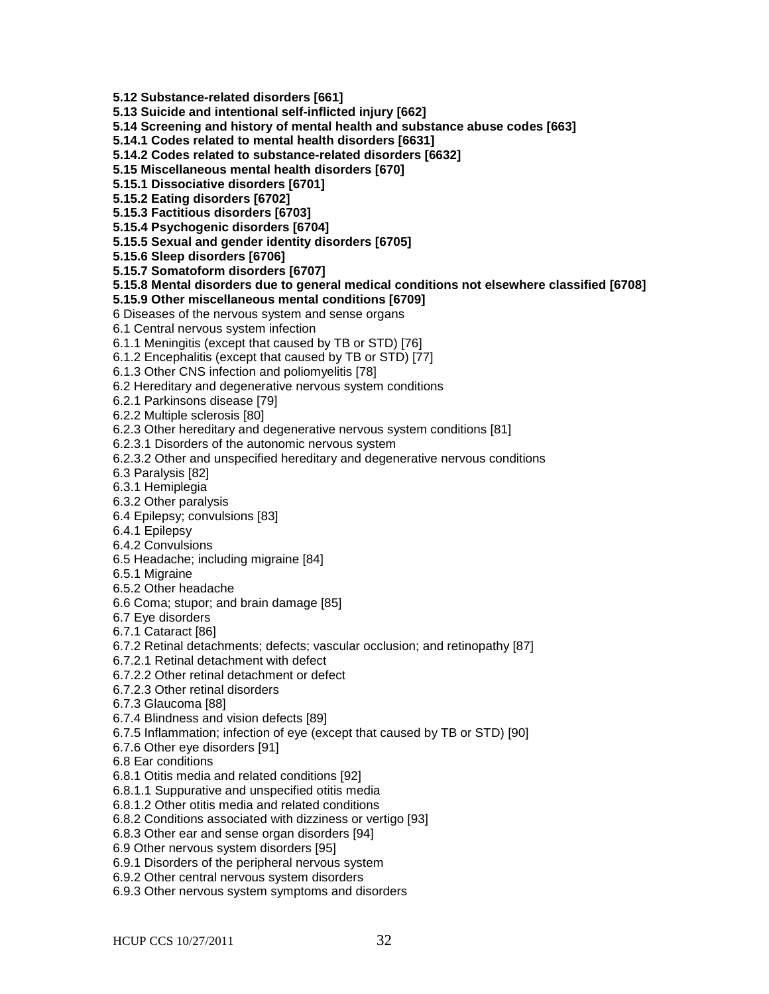**5.12 Substance-related disorders [661]**

**5.13 Suicide and intentional self-inflicted injury [662]**

**5.14 Screening and history of mental health and substance abuse codes [663]**

**5.14.1 Codes related to mental health disorders [6631]**

**5.14.2 Codes related to substance-related disorders [6632]**

**5.15 Miscellaneous mental health disorders [670]**

**5.15.1 Dissociative disorders [6701]**

**5.15.2 Eating disorders [6702]**

**5.15.3 Factitious disorders [6703]**

**5.15.4 Psychogenic disorders [6704]**

**5.15.5 Sexual and gender identity disorders [6705]**

**5.15.6 Sleep disorders [6706]**

**5.15.7 Somatoform disorders [6707]**

**5.15.8 Mental disorders due to general medical conditions not elsewhere classified [6708]**

**5.15.9 Other miscellaneous mental conditions [6709]**

6 Diseases of the nervous system and sense organs

6.1 Central nervous system infection

6.1.1 Meningitis (except that caused by TB or STD) [76]

6.1.2 Encephalitis (except that caused by TB or STD) [77]

6.1.3 Other CNS infection and poliomyelitis [78]

6.2 Hereditary and degenerative nervous system conditions

6.2.1 Parkinsons disease [79]

6.2.2 Multiple sclerosis [80]

6.2.3 Other hereditary and degenerative nervous system conditions [81]

6.2.3.1 Disorders of the autonomic nervous system

6.2.3.2 Other and unspecified hereditary and degenerative nervous conditions

6.3 Paralysis [82]

6.3.1 Hemiplegia

6.3.2 Other paralysis

6.4 Epilepsy; convulsions [83]

6.4.1 Epilepsy

6.4.2 Convulsions

6.5 Headache; including migraine [84]

6.5.1 Migraine

6.5.2 Other headache

6.6 Coma; stupor; and brain damage [85]

6.7 Eye disorders

6.7.1 Cataract [86]

6.7.2 Retinal detachments; defects; vascular occlusion; and retinopathy [87]

6.7.2.1 Retinal detachment with defect

6.7.2.2 Other retinal detachment or defect

6.7.2.3 Other retinal disorders

6.7.3 Glaucoma [88]

6.7.4 Blindness and vision defects [89]

6.7.5 Inflammation; infection of eye (except that caused by TB or STD) [90]

6.7.6 Other eye disorders [91]

6.8 Ear conditions

6.8.1 Otitis media and related conditions [92]

6.8.1.1 Suppurative and unspecified otitis media

6.8.1.2 Other otitis media and related conditions

6.8.2 Conditions associated with dizziness or vertigo [93]

6.8.3 Other ear and sense organ disorders [94]

6.9 Other nervous system disorders [95]

6.9.1 Disorders of the peripheral nervous system

6.9.2 Other central nervous system disorders

6.9.3 Other nervous system symptoms and disorders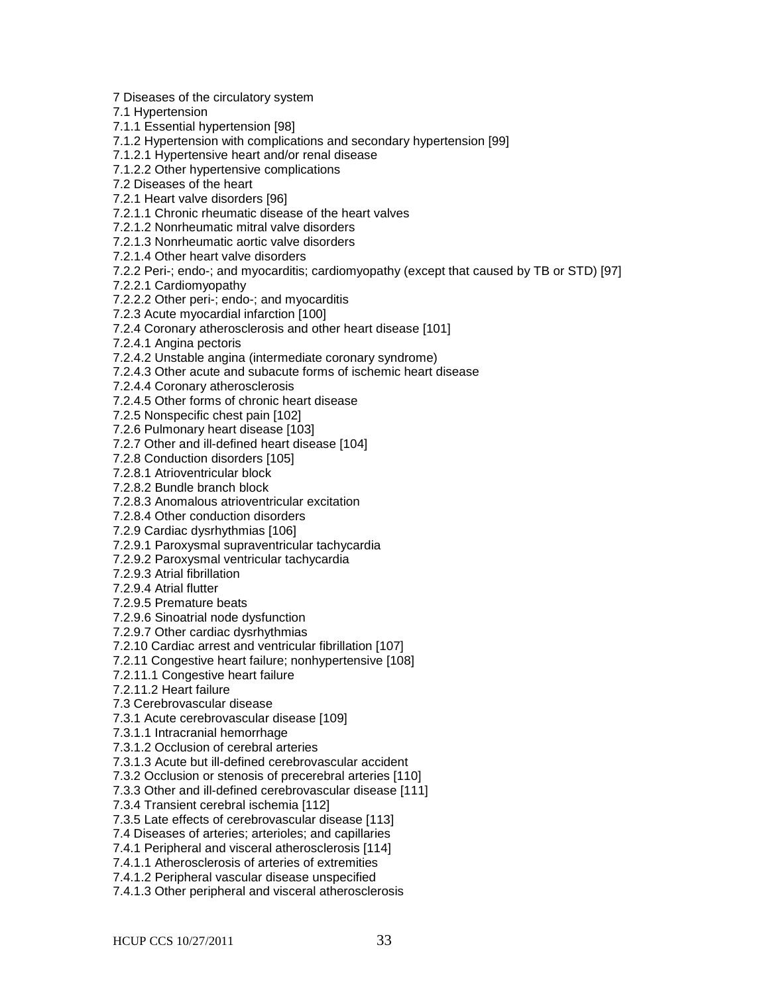7 Diseases of the circulatory system

7.1 Hypertension

7.1.1 Essential hypertension [98]

7.1.2 Hypertension with complications and secondary hypertension [99]

7.1.2.1 Hypertensive heart and/or renal disease

7.1.2.2 Other hypertensive complications

7.2 Diseases of the heart

7.2.1 Heart valve disorders [96]

7.2.1.1 Chronic rheumatic disease of the heart valves

7.2.1.2 Nonrheumatic mitral valve disorders

7.2.1.3 Nonrheumatic aortic valve disorders

7.2.1.4 Other heart valve disorders

7.2.2 Peri-; endo-; and myocarditis; cardiomyopathy (except that caused by TB or STD) [97]

7.2.2.1 Cardiomyopathy

7.2.2.2 Other peri-; endo-; and myocarditis

7.2.3 Acute myocardial infarction [100]

7.2.4 Coronary atherosclerosis and other heart disease [101]

7.2.4.1 Angina pectoris

7.2.4.2 Unstable angina (intermediate coronary syndrome)

7.2.4.3 Other acute and subacute forms of ischemic heart disease

7.2.4.4 Coronary atherosclerosis

7.2.4.5 Other forms of chronic heart disease

7.2.5 Nonspecific chest pain [102]

7.2.6 Pulmonary heart disease [103]

7.2.7 Other and ill-defined heart disease [104]

7.2.8 Conduction disorders [105]

7.2.8.1 Atrioventricular block

7.2.8.2 Bundle branch block

7.2.8.3 Anomalous atrioventricular excitation

7.2.8.4 Other conduction disorders

7.2.9 Cardiac dysrhythmias [106]

7.2.9.1 Paroxysmal supraventricular tachycardia

7.2.9.2 Paroxysmal ventricular tachycardia

7.2.9.3 Atrial fibrillation

7.2.9.4 Atrial flutter

7.2.9.5 Premature beats

7.2.9.6 Sinoatrial node dysfunction

7.2.9.7 Other cardiac dysrhythmias

7.2.10 Cardiac arrest and ventricular fibrillation [107]

7.2.11 Congestive heart failure; nonhypertensive [108]

7.2.11.1 Congestive heart failure

7.2.11.2 Heart failure

7.3 Cerebrovascular disease

7.3.1 Acute cerebrovascular disease [109]

7.3.1.1 Intracranial hemorrhage

7.3.1.2 Occlusion of cerebral arteries

7.3.1.3 Acute but ill-defined cerebrovascular accident

7.3.2 Occlusion or stenosis of precerebral arteries [110]

7.3.3 Other and ill-defined cerebrovascular disease [111]

7.3.4 Transient cerebral ischemia [112]

7.3.5 Late effects of cerebrovascular disease [113]

7.4 Diseases of arteries; arterioles; and capillaries

7.4.1 Peripheral and visceral atherosclerosis [114]

7.4.1.1 Atherosclerosis of arteries of extremities

7.4.1.2 Peripheral vascular disease unspecified

7.4.1.3 Other peripheral and visceral atherosclerosis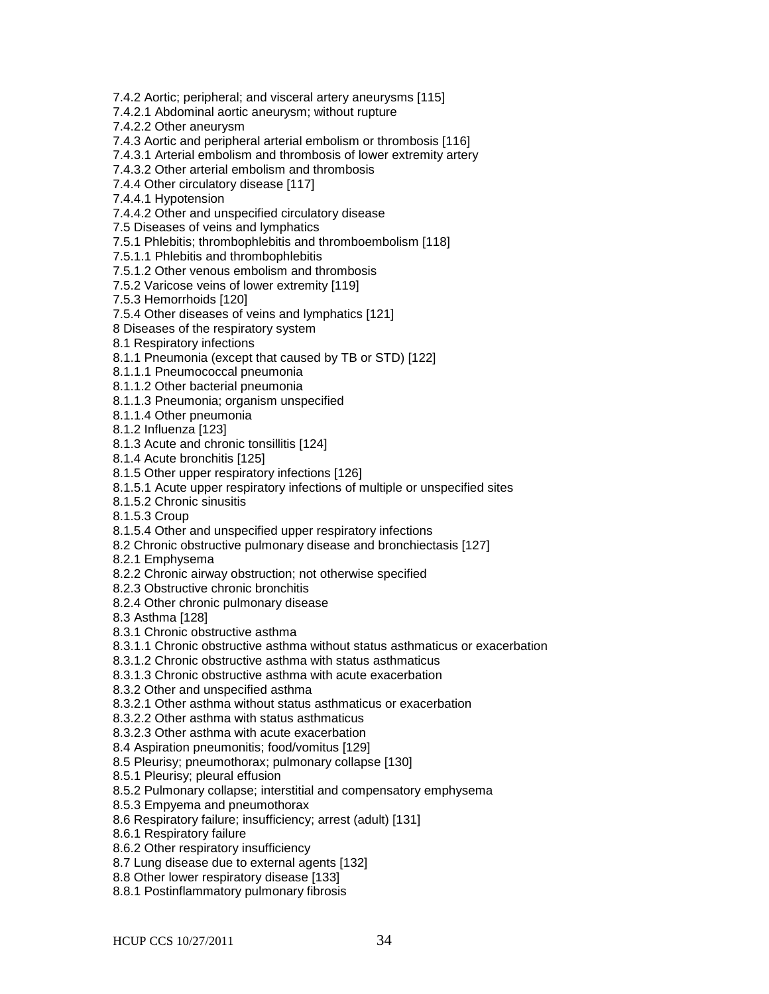7.4.2 Aortic; peripheral; and visceral artery aneurysms [115]

7.4.2.1 Abdominal aortic aneurysm; without rupture

7.4.2.2 Other aneurysm

7.4.3 Aortic and peripheral arterial embolism or thrombosis [116]

7.4.3.1 Arterial embolism and thrombosis of lower extremity artery

7.4.3.2 Other arterial embolism and thrombosis

7.4.4 Other circulatory disease [117]

7.4.4.1 Hypotension

7.4.4.2 Other and unspecified circulatory disease

7.5 Diseases of veins and lymphatics

7.5.1 Phlebitis; thrombophlebitis and thromboembolism [118]

7.5.1.1 Phlebitis and thrombophlebitis

7.5.1.2 Other venous embolism and thrombosis

7.5.2 Varicose veins of lower extremity [119]

7.5.3 Hemorrhoids [120]

7.5.4 Other diseases of veins and lymphatics [121]

8 Diseases of the respiratory system

8.1 Respiratory infections

8.1.1 Pneumonia (except that caused by TB or STD) [122]

8.1.1.1 Pneumococcal pneumonia

8.1.1.2 Other bacterial pneumonia

8.1.1.3 Pneumonia; organism unspecified

8.1.1.4 Other pneumonia

8.1.2 Influenza [123]

8.1.3 Acute and chronic tonsillitis [124]

8.1.4 Acute bronchitis [125]

8.1.5 Other upper respiratory infections [126]

8.1.5.1 Acute upper respiratory infections of multiple or unspecified sites

8.1.5.2 Chronic sinusitis

8.1.5.3 Croup

8.1.5.4 Other and unspecified upper respiratory infections

8.2 Chronic obstructive pulmonary disease and bronchiectasis [127]

8.2.1 Emphysema

8.2.2 Chronic airway obstruction; not otherwise specified

8.2.3 Obstructive chronic bronchitis

8.2.4 Other chronic pulmonary disease

8.3 Asthma [128]

8.3.1 Chronic obstructive asthma

8.3.1.1 Chronic obstructive asthma without status asthmaticus or exacerbation

8.3.1.2 Chronic obstructive asthma with status asthmaticus

8.3.1.3 Chronic obstructive asthma with acute exacerbation

8.3.2 Other and unspecified asthma

8.3.2.1 Other asthma without status asthmaticus or exacerbation

8.3.2.2 Other asthma with status asthmaticus

8.3.2.3 Other asthma with acute exacerbation

8.4 Aspiration pneumonitis; food/vomitus [129]

8.5 Pleurisy; pneumothorax; pulmonary collapse [130]

8.5.1 Pleurisy; pleural effusion

8.5.2 Pulmonary collapse; interstitial and compensatory emphysema

8.5.3 Empyema and pneumothorax

8.6 Respiratory failure; insufficiency; arrest (adult) [131]

8.6.1 Respiratory failure

8.6.2 Other respiratory insufficiency

8.7 Lung disease due to external agents [132]

8.8 Other lower respiratory disease [133]

8.8.1 Postinflammatory pulmonary fibrosis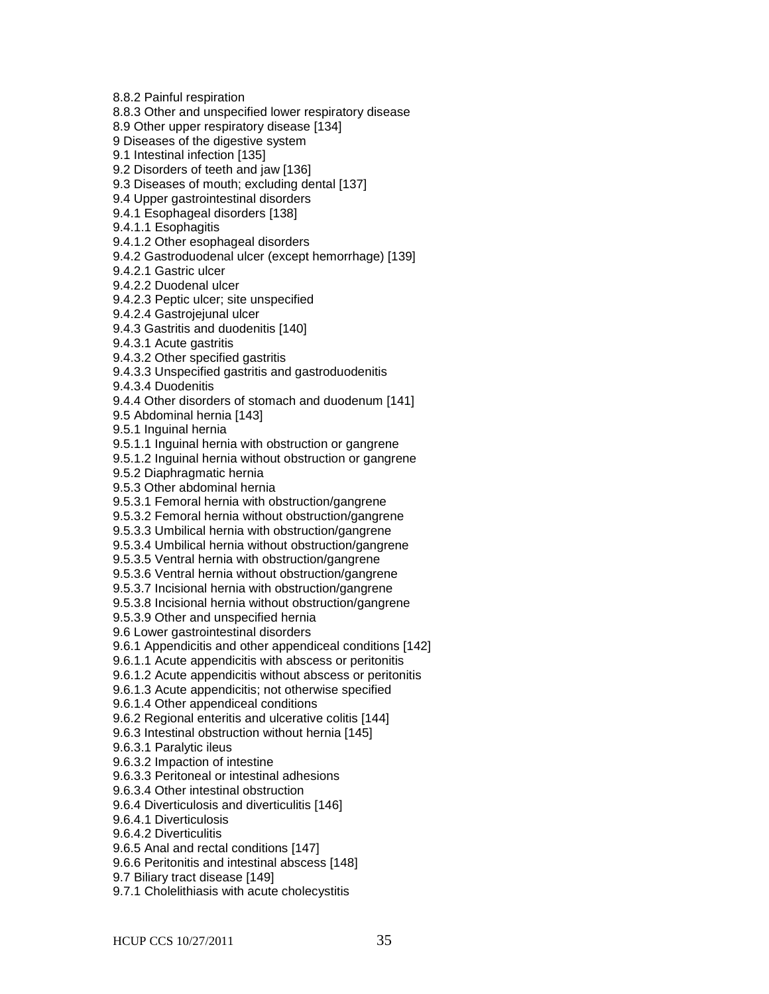8.8.2 Painful respiration

8.8.3 Other and unspecified lower respiratory disease

8.9 Other upper respiratory disease [134]

9 Diseases of the digestive system

9.1 Intestinal infection [135]

9.2 Disorders of teeth and jaw [136]

9.3 Diseases of mouth; excluding dental [137]

9.4 Upper gastrointestinal disorders

9.4.1 Esophageal disorders [138]

9.4.1.1 Esophagitis

9.4.1.2 Other esophageal disorders

9.4.2 Gastroduodenal ulcer (except hemorrhage) [139]

9.4.2.1 Gastric ulcer

9.4.2.2 Duodenal ulcer

9.4.2.3 Peptic ulcer; site unspecified

9.4.2.4 Gastrojejunal ulcer

9.4.3 Gastritis and duodenitis [140]

9.4.3.1 Acute gastritis

9.4.3.2 Other specified gastritis

9.4.3.3 Unspecified gastritis and gastroduodenitis

9.4.3.4 Duodenitis

9.4.4 Other disorders of stomach and duodenum [141]

9.5 Abdominal hernia [143]

9.5.1 Inguinal hernia

9.5.1.1 Inguinal hernia with obstruction or gangrene

9.5.1.2 Inguinal hernia without obstruction or gangrene

9.5.2 Diaphragmatic hernia

9.5.3 Other abdominal hernia

9.5.3.1 Femoral hernia with obstruction/gangrene

9.5.3.2 Femoral hernia without obstruction/gangrene

9.5.3.3 Umbilical hernia with obstruction/gangrene

9.5.3.4 Umbilical hernia without obstruction/gangrene

9.5.3.5 Ventral hernia with obstruction/gangrene

9.5.3.6 Ventral hernia without obstruction/gangrene

9.5.3.7 Incisional hernia with obstruction/gangrene

9.5.3.8 Incisional hernia without obstruction/gangrene

9.5.3.9 Other and unspecified hernia

9.6 Lower gastrointestinal disorders

9.6.1 Appendicitis and other appendiceal conditions [142]

9.6.1.1 Acute appendicitis with abscess or peritonitis

9.6.1.2 Acute appendicitis without abscess or peritonitis

9.6.1.3 Acute appendicitis; not otherwise specified

9.6.1.4 Other appendiceal conditions

9.6.2 Regional enteritis and ulcerative colitis [144]

9.6.3 Intestinal obstruction without hernia [145]

9.6.3.1 Paralytic ileus

9.6.3.2 Impaction of intestine

9.6.3.3 Peritoneal or intestinal adhesions

9.6.3.4 Other intestinal obstruction

9.6.4 Diverticulosis and diverticulitis [146]

9.6.4.1 Diverticulosis

9.6.4.2 Diverticulitis

9.6.5 Anal and rectal conditions [147]

9.6.6 Peritonitis and intestinal abscess [148]

9.7 Biliary tract disease [149]

9.7.1 Cholelithiasis with acute cholecystitis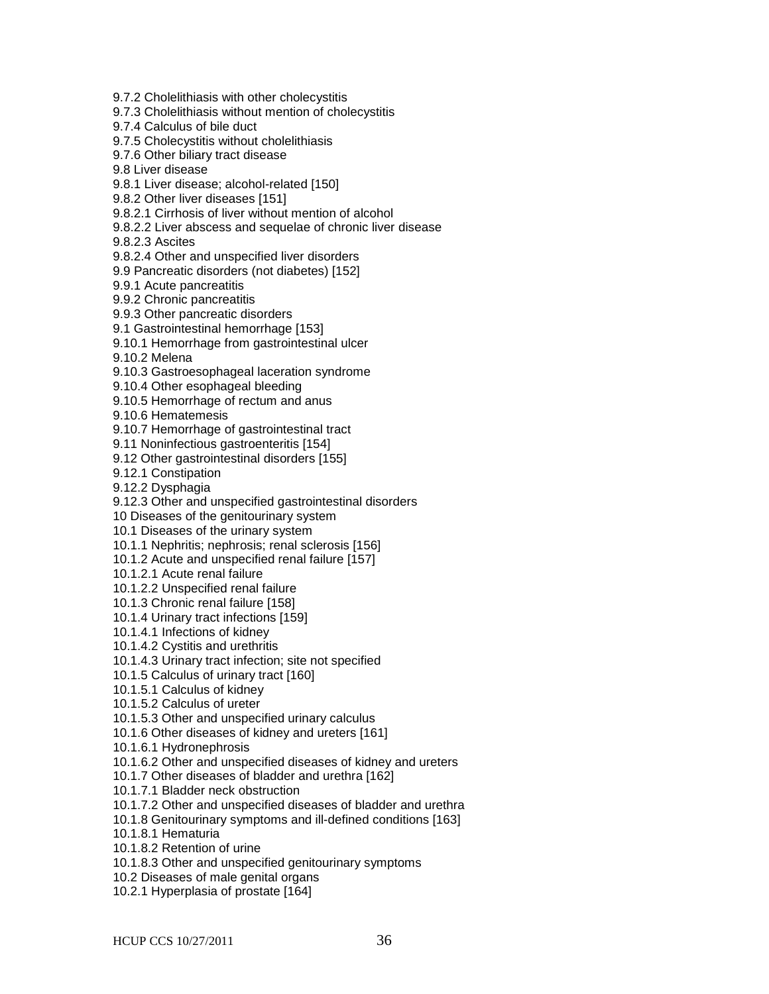9.7.2 Cholelithiasis with other cholecystitis

9.7.3 Cholelithiasis without mention of cholecystitis

9.7.4 Calculus of bile duct

9.7.5 Cholecystitis without cholelithiasis

9.7.6 Other biliary tract disease

9.8 Liver disease

9.8.1 Liver disease; alcohol-related [150]

9.8.2 Other liver diseases [151]

9.8.2.1 Cirrhosis of liver without mention of alcohol

9.8.2.2 Liver abscess and sequelae of chronic liver disease

9.8.2.3 Ascites

9.8.2.4 Other and unspecified liver disorders

9.9 Pancreatic disorders (not diabetes) [152]

9.9.1 Acute pancreatitis

9.9.2 Chronic pancreatitis

9.9.3 Other pancreatic disorders

9.1 Gastrointestinal hemorrhage [153]

9.10.1 Hemorrhage from gastrointestinal ulcer

9.10.2 Melena

9.10.3 Gastroesophageal laceration syndrome

9.10.4 Other esophageal bleeding

9.10.5 Hemorrhage of rectum and anus

9.10.6 Hematemesis

9.10.7 Hemorrhage of gastrointestinal tract

9.11 Noninfectious gastroenteritis [154]

9.12 Other gastrointestinal disorders [155]

9.12.1 Constipation

9.12.2 Dysphagia

9.12.3 Other and unspecified gastrointestinal disorders

10 Diseases of the genitourinary system

10.1 Diseases of the urinary system

10.1.1 Nephritis; nephrosis; renal sclerosis [156]

10.1.2 Acute and unspecified renal failure [157]

10.1.2.1 Acute renal failure

10.1.2.2 Unspecified renal failure

10.1.3 Chronic renal failure [158]

10.1.4 Urinary tract infections [159]

10.1.4.1 Infections of kidney

10.1.4.2 Cystitis and urethritis

10.1.4.3 Urinary tract infection; site not specified

10.1.5 Calculus of urinary tract [160]

10.1.5.1 Calculus of kidney

10.1.5.2 Calculus of ureter

10.1.5.3 Other and unspecified urinary calculus

10.1.6 Other diseases of kidney and ureters [161]

10.1.6.1 Hydronephrosis

10.1.6.2 Other and unspecified diseases of kidney and ureters

10.1.7 Other diseases of bladder and urethra [162]

10.1.7.1 Bladder neck obstruction

10.1.7.2 Other and unspecified diseases of bladder and urethra

10.1.8 Genitourinary symptoms and ill-defined conditions [163]

10.1.8.1 Hematuria

10.1.8.2 Retention of urine

10.1.8.3 Other and unspecified genitourinary symptoms

10.2 Diseases of male genital organs

10.2.1 Hyperplasia of prostate [164]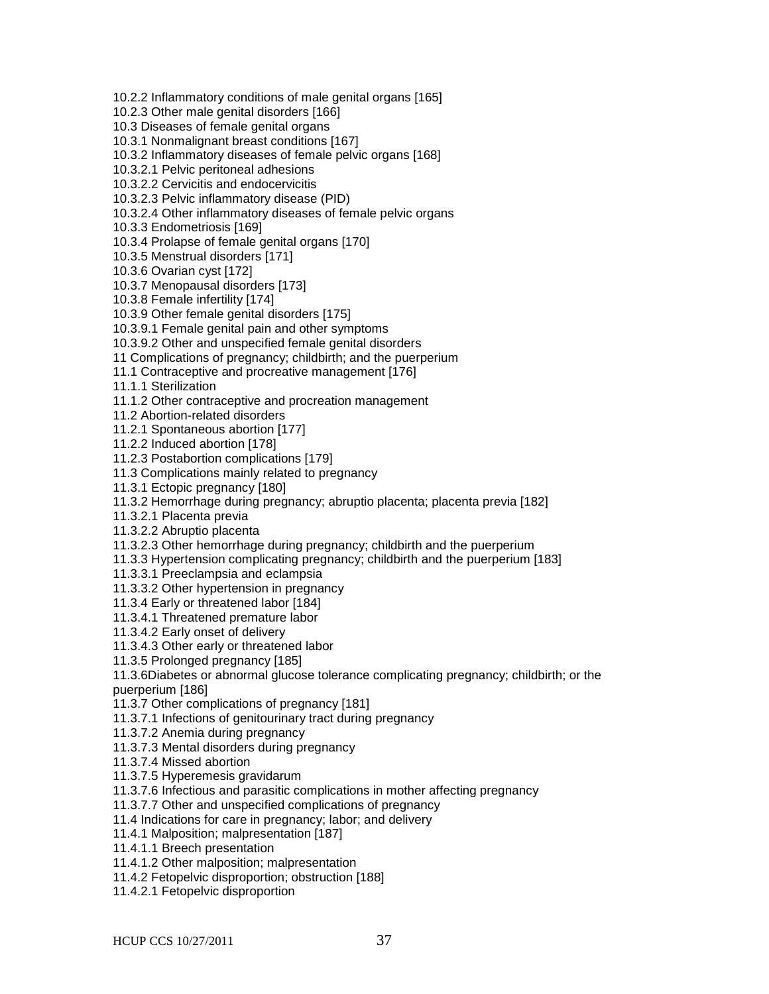10.2.2 Inflammatory conditions of male genital organs [165] 10.2.3 Other male genital disorders [166] 10.3 Diseases of female genital organs 10.3.1 Nonmalignant breast conditions [167] 10.3.2 Inflammatory diseases of female pelvic organs [168] 10.3.2.1 Pelvic peritoneal adhesions 10.3.2.2 Cervicitis and endocervicitis 10.3.2.3 Pelvic inflammatory disease (PID) 10.3.2.4 Other inflammatory diseases of female pelvic organs 10.3.3 Endometriosis [169] 10.3.4 Prolapse of female genital organs [170] 10.3.5 Menstrual disorders [171]

10.3.6 Ovarian cyst [172]

10.3.7 Menopausal disorders [173]

10.3.8 Female infertility [174]

10.3.9 Other female genital disorders [175]

10.3.9.1 Female genital pain and other symptoms

10.3.9.2 Other and unspecified female genital disorders

11 Complications of pregnancy; childbirth; and the puerperium

11.1 Contraceptive and procreative management [176]

11.1.1 Sterilization

11.1.2 Other contraceptive and procreation management

11.2 Abortion-related disorders

11.2.1 Spontaneous abortion [177]

11.2.2 Induced abortion [178]

11.2.3 Postabortion complications [179]

11.3 Complications mainly related to pregnancy

11.3.1 Ectopic pregnancy [180]

11.3.2 Hemorrhage during pregnancy; abruptio placenta; placenta previa [182]

11.3.2.1 Placenta previa

11.3.2.2 Abruptio placenta

11.3.2.3 Other hemorrhage during pregnancy; childbirth and the puerperium

11.3.3 Hypertension complicating pregnancy; childbirth and the puerperium [183]

11.3.3.1 Preeclampsia and eclampsia

11.3.3.2 Other hypertension in pregnancy

11.3.4 Early or threatened labor [184]

11.3.4.1 Threatened premature labor

11.3.4.2 Early onset of delivery

11.3.4.3 Other early or threatened labor

11.3.5 Prolonged pregnancy [185]

11.3.6Diabetes or abnormal glucose tolerance complicating pregnancy; childbirth; or the puerperium [186]

11.3.7 Other complications of pregnancy [181]

11.3.7.1 Infections of genitourinary tract during pregnancy

11.3.7.2 Anemia during pregnancy

11.3.7.3 Mental disorders during pregnancy

11.3.7.4 Missed abortion

11.3.7.5 Hyperemesis gravidarum

11.3.7.6 Infectious and parasitic complications in mother affecting pregnancy

11.3.7.7 Other and unspecified complications of pregnancy

11.4 Indications for care in pregnancy; labor; and delivery

11.4.1 Malposition; malpresentation [187]

11.4.1.1 Breech presentation

11.4.1.2 Other malposition; malpresentation

11.4.2 Fetopelvic disproportion; obstruction [188]

11.4.2.1 Fetopelvic disproportion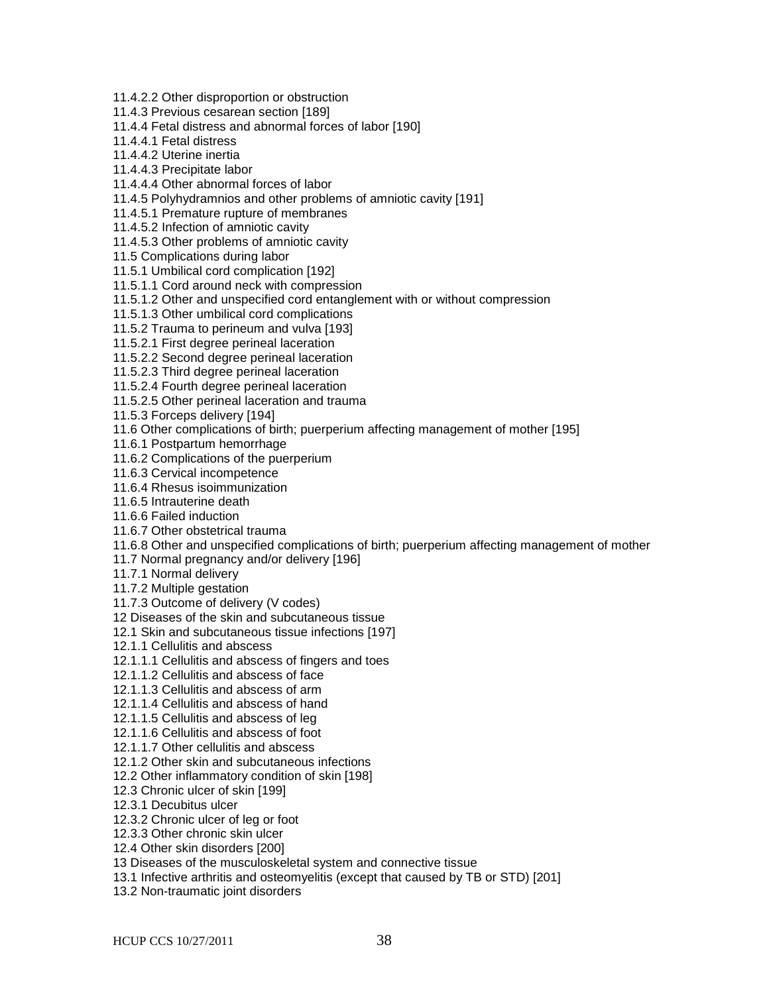11.4.2.2 Other disproportion or obstruction

11.4.3 Previous cesarean section [189]

11.4.4 Fetal distress and abnormal forces of labor [190]

11.4.4.1 Fetal distress

11.4.4.2 Uterine inertia

11.4.4.3 Precipitate labor

11.4.4.4 Other abnormal forces of labor

11.4.5 Polyhydramnios and other problems of amniotic cavity [191]

11.4.5.1 Premature rupture of membranes

11.4.5.2 Infection of amniotic cavity

11.4.5.3 Other problems of amniotic cavity

11.5 Complications during labor

11.5.1 Umbilical cord complication [192]

11.5.1.1 Cord around neck with compression

11.5.1.2 Other and unspecified cord entanglement with or without compression

11.5.1.3 Other umbilical cord complications

11.5.2 Trauma to perineum and vulva [193]

11.5.2.1 First degree perineal laceration

11.5.2.2 Second degree perineal laceration

11.5.2.3 Third degree perineal laceration

11.5.2.4 Fourth degree perineal laceration

11.5.2.5 Other perineal laceration and trauma

11.5.3 Forceps delivery [194]

11.6 Other complications of birth; puerperium affecting management of mother [195]

11.6.1 Postpartum hemorrhage

11.6.2 Complications of the puerperium

11.6.3 Cervical incompetence

11.6.4 Rhesus isoimmunization

11.6.5 Intrauterine death

11.6.6 Failed induction

11.6.7 Other obstetrical trauma

11.6.8 Other and unspecified complications of birth; puerperium affecting management of mother

11.7 Normal pregnancy and/or delivery [196]

11.7.1 Normal delivery

11.7.2 Multiple gestation

11.7.3 Outcome of delivery (V codes)

12 Diseases of the skin and subcutaneous tissue

12.1 Skin and subcutaneous tissue infections [197]

12.1.1 Cellulitis and abscess

12.1.1.1 Cellulitis and abscess of fingers and toes

12.1.1.2 Cellulitis and abscess of face

12.1.1.3 Cellulitis and abscess of arm

12.1.1.4 Cellulitis and abscess of hand

12.1.1.5 Cellulitis and abscess of leg

12.1.1.6 Cellulitis and abscess of foot

12.1.1.7 Other cellulitis and abscess

12.1.2 Other skin and subcutaneous infections

12.2 Other inflammatory condition of skin [198]

12.3 Chronic ulcer of skin [199]

12.3.1 Decubitus ulcer

12.3.2 Chronic ulcer of leg or foot

12.3.3 Other chronic skin ulcer

12.4 Other skin disorders [200]

13 Diseases of the musculoskeletal system and connective tissue

13.1 Infective arthritis and osteomyelitis (except that caused by TB or STD) [201]

13.2 Non-traumatic joint disorders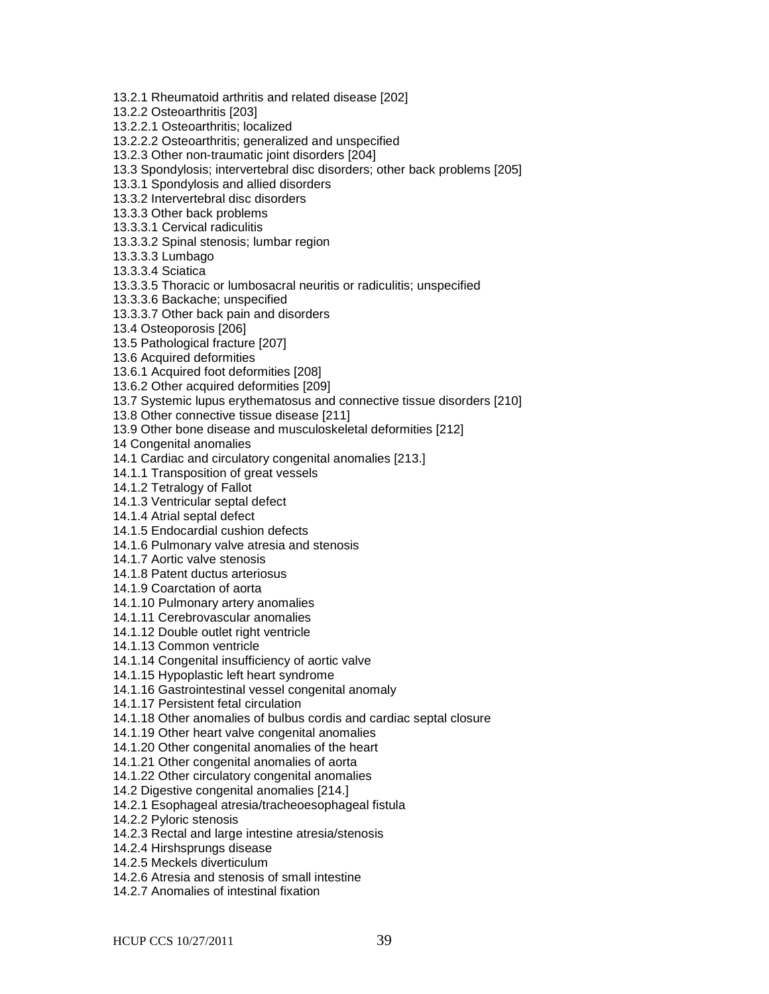13.2.1 Rheumatoid arthritis and related disease [202]

13.2.2 Osteoarthritis [203]

13.2.2.1 Osteoarthritis; localized

13.2.2.2 Osteoarthritis; generalized and unspecified

13.2.3 Other non-traumatic joint disorders [204]

13.3 Spondylosis; intervertebral disc disorders; other back problems [205]

13.3.1 Spondylosis and allied disorders

13.3.2 Intervertebral disc disorders

13.3.3 Other back problems

13.3.3.1 Cervical radiculitis

13.3.3.2 Spinal stenosis; lumbar region

13.3.3.3 Lumbago

13.3.3.4 Sciatica

13.3.3.5 Thoracic or lumbosacral neuritis or radiculitis; unspecified

13.3.3.6 Backache; unspecified

13.3.3.7 Other back pain and disorders

13.4 Osteoporosis [206]

13.5 Pathological fracture [207]

13.6 Acquired deformities

13.6.1 Acquired foot deformities [208]

13.6.2 Other acquired deformities [209]

13.7 Systemic lupus erythematosus and connective tissue disorders [210]

13.8 Other connective tissue disease [211]

13.9 Other bone disease and musculoskeletal deformities [212]

14 Congenital anomalies

14.1 Cardiac and circulatory congenital anomalies [213.]

14.1.1 Transposition of great vessels

14.1.2 Tetralogy of Fallot

14.1.3 Ventricular septal defect

14.1.4 Atrial septal defect

14.1.5 Endocardial cushion defects

14.1.6 Pulmonary valve atresia and stenosis

14.1.7 Aortic valve stenosis

14.1.8 Patent ductus arteriosus

14.1.9 Coarctation of aorta

14.1.10 Pulmonary artery anomalies

14.1.11 Cerebrovascular anomalies

14.1.12 Double outlet right ventricle

14.1.13 Common ventricle

14.1.14 Congenital insufficiency of aortic valve

14.1.15 Hypoplastic left heart syndrome

14.1.16 Gastrointestinal vessel congenital anomaly

14.1.17 Persistent fetal circulation

14.1.18 Other anomalies of bulbus cordis and cardiac septal closure

14.1.19 Other heart valve congenital anomalies

14.1.20 Other congenital anomalies of the heart

14.1.21 Other congenital anomalies of aorta

14.1.22 Other circulatory congenital anomalies

14.2 Digestive congenital anomalies [214.]

14.2.1 Esophageal atresia/tracheoesophageal fistula

14.2.2 Pyloric stenosis

14.2.3 Rectal and large intestine atresia/stenosis

14.2.4 Hirshsprungs disease

14.2.5 Meckels diverticulum

14.2.6 Atresia and stenosis of small intestine

14.2.7 Anomalies of intestinal fixation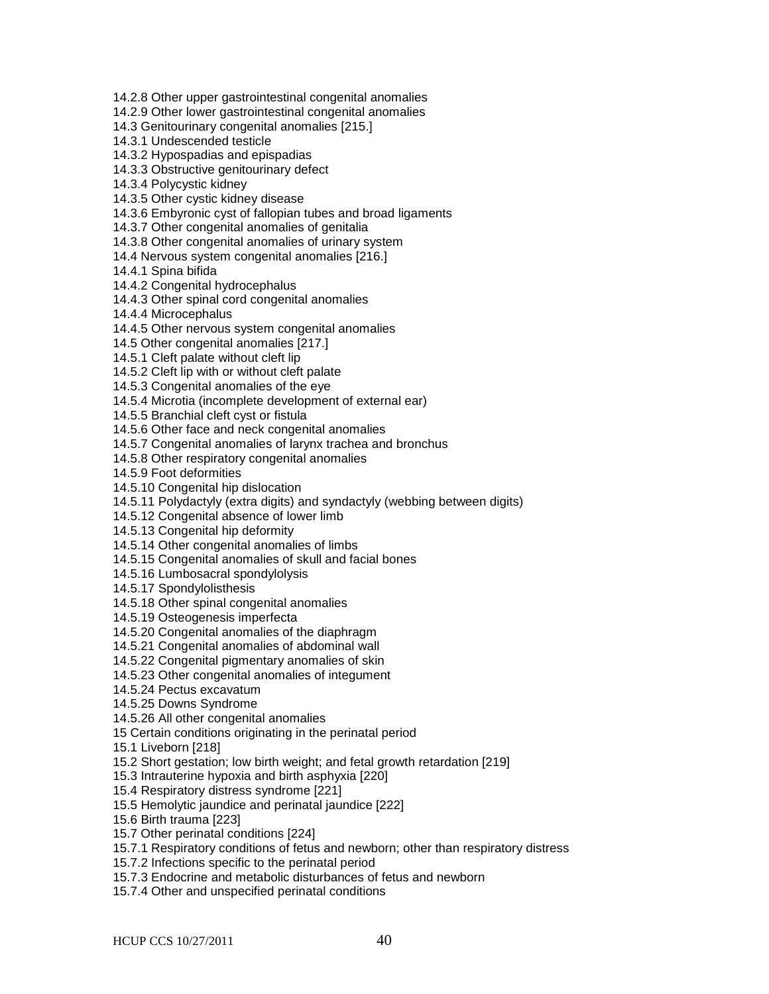14.2.8 Other upper gastrointestinal congenital anomalies

14.2.9 Other lower gastrointestinal congenital anomalies

14.3 Genitourinary congenital anomalies [215.]

14.3.1 Undescended testicle

14.3.2 Hypospadias and epispadias

14.3.3 Obstructive genitourinary defect

14.3.4 Polycystic kidney

14.3.5 Other cystic kidney disease

14.3.6 Embyronic cyst of fallopian tubes and broad ligaments

14.3.7 Other congenital anomalies of genitalia

14.3.8 Other congenital anomalies of urinary system

14.4 Nervous system congenital anomalies [216.]

14.4.1 Spina bifida

14.4.2 Congenital hydrocephalus

14.4.3 Other spinal cord congenital anomalies

14.4.4 Microcephalus

14.4.5 Other nervous system congenital anomalies

14.5 Other congenital anomalies [217.]

14.5.1 Cleft palate without cleft lip

14.5.2 Cleft lip with or without cleft palate

14.5.3 Congenital anomalies of the eye

14.5.4 Microtia (incomplete development of external ear)

14.5.5 Branchial cleft cyst or fistula

14.5.6 Other face and neck congenital anomalies

14.5.7 Congenital anomalies of larynx trachea and bronchus

14.5.8 Other respiratory congenital anomalies

14.5.9 Foot deformities

14.5.10 Congenital hip dislocation

14.5.11 Polydactyly (extra digits) and syndactyly (webbing between digits)

14.5.12 Congenital absence of lower limb

14.5.13 Congenital hip deformity

14.5.14 Other congenital anomalies of limbs

14.5.15 Congenital anomalies of skull and facial bones

14.5.16 Lumbosacral spondylolysis

14.5.17 Spondylolisthesis

14.5.18 Other spinal congenital anomalies

14.5.19 Osteogenesis imperfecta

14.5.20 Congenital anomalies of the diaphragm

14.5.21 Congenital anomalies of abdominal wall

14.5.22 Congenital pigmentary anomalies of skin

14.5.23 Other congenital anomalies of integument

14.5.24 Pectus excavatum

14.5.25 Downs Syndrome

14.5.26 All other congenital anomalies

15 Certain conditions originating in the perinatal period

15.1 Liveborn [218]

15.2 Short gestation; low birth weight; and fetal growth retardation [219]

15.3 Intrauterine hypoxia and birth asphyxia [220]

15.4 Respiratory distress syndrome [221]

15.5 Hemolytic jaundice and perinatal jaundice [222]

15.6 Birth trauma [223]

15.7 Other perinatal conditions [224]

15.7.1 Respiratory conditions of fetus and newborn; other than respiratory distress

15.7.2 Infections specific to the perinatal period

15.7.3 Endocrine and metabolic disturbances of fetus and newborn

15.7.4 Other and unspecified perinatal conditions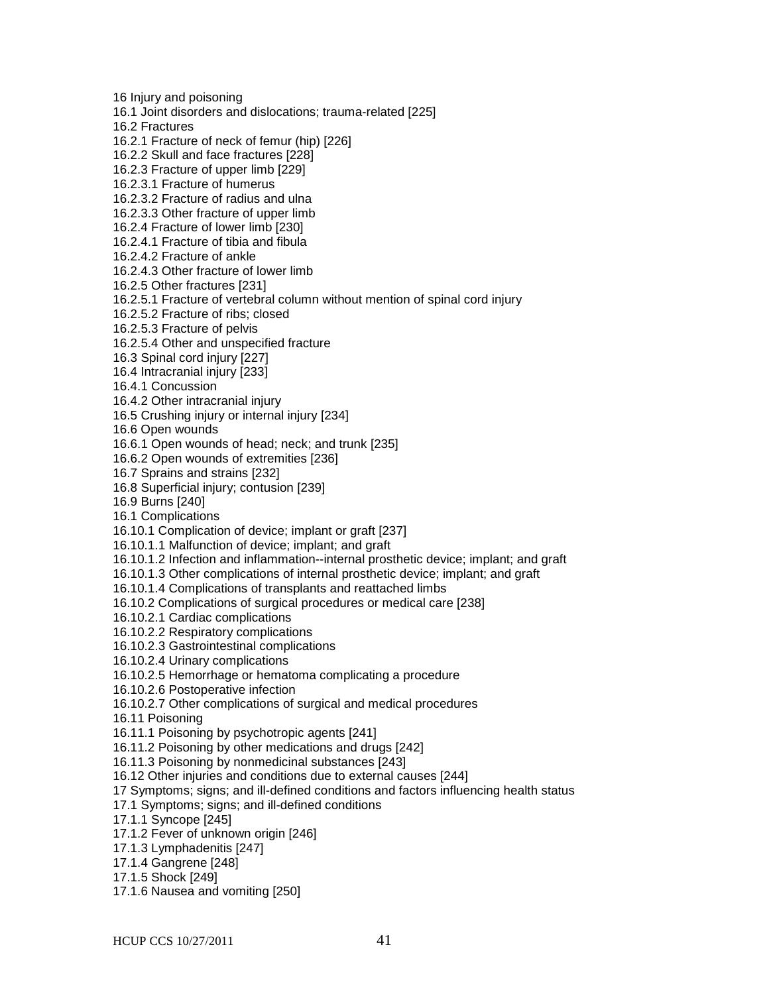16 Injury and poisoning 16.1 Joint disorders and dislocations; trauma-related [225] 16.2 Fractures 16.2.1 Fracture of neck of femur (hip) [226] 16.2.2 Skull and face fractures [228] 16.2.3 Fracture of upper limb [229] 16.2.3.1 Fracture of humerus 16.2.3.2 Fracture of radius and ulna 16.2.3.3 Other fracture of upper limb 16.2.4 Fracture of lower limb [230] 16.2.4.1 Fracture of tibia and fibula 16.2.4.2 Fracture of ankle 16.2.4.3 Other fracture of lower limb 16.2.5 Other fractures [231] 16.2.5.1 Fracture of vertebral column without mention of spinal cord injury 16.2.5.2 Fracture of ribs; closed 16.2.5.3 Fracture of pelvis 16.2.5.4 Other and unspecified fracture 16.3 Spinal cord injury [227] 16.4 Intracranial injury [233] 16.4.1 Concussion 16.4.2 Other intracranial injury 16.5 Crushing injury or internal injury [234] 16.6 Open wounds 16.6.1 Open wounds of head; neck; and trunk [235] 16.6.2 Open wounds of extremities [236] 16.7 Sprains and strains [232] 16.8 Superficial injury; contusion [239] 16.9 Burns [240] 16.1 Complications 16.10.1 Complication of device; implant or graft [237] 16.10.1.1 Malfunction of device; implant; and graft 16.10.1.2 Infection and inflammation--internal prosthetic device; implant; and graft 16.10.1.3 Other complications of internal prosthetic device; implant; and graft 16.10.1.4 Complications of transplants and reattached limbs 16.10.2 Complications of surgical procedures or medical care [238] 16.10.2.1 Cardiac complications 16.10.2.2 Respiratory complications 16.10.2.3 Gastrointestinal complications 16.10.2.4 Urinary complications 16.10.2.5 Hemorrhage or hematoma complicating a procedure 16.10.2.6 Postoperative infection 16.10.2.7 Other complications of surgical and medical procedures 16.11 Poisoning 16.11.1 Poisoning by psychotropic agents [241] 16.11.2 Poisoning by other medications and drugs [242] 16.11.3 Poisoning by nonmedicinal substances [243] 16.12 Other injuries and conditions due to external causes [244] 17 Symptoms; signs; and ill-defined conditions and factors influencing health status 17.1 Symptoms; signs; and ill-defined conditions 17.1.1 Syncope [245] 17.1.2 Fever of unknown origin [246] 17.1.3 Lymphadenitis [247] 17.1.4 Gangrene [248] 17.1.5 Shock [249] 17.1.6 Nausea and vomiting [250]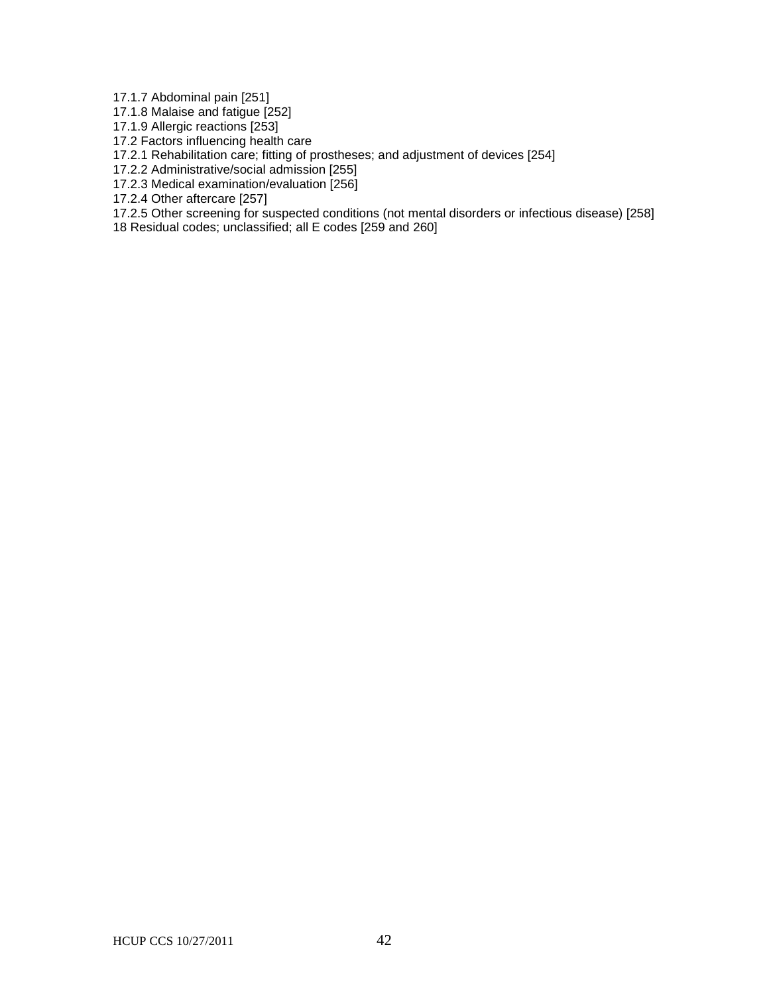17.1.7 Abdominal pain [251]

17.1.8 Malaise and fatigue [252]

17.1.9 Allergic reactions [253]

17.2 Factors influencing health care

17.2.1 Rehabilitation care; fitting of prostheses; and adjustment of devices [254]

17.2.2 Administrative/social admission [255]

17.2.3 Medical examination/evaluation [256]

17.2.4 Other aftercare [257]

17.2.5 Other screening for suspected conditions (not mental disorders or infectious disease) [258]

18 Residual codes; unclassified; all E codes [259 and 260]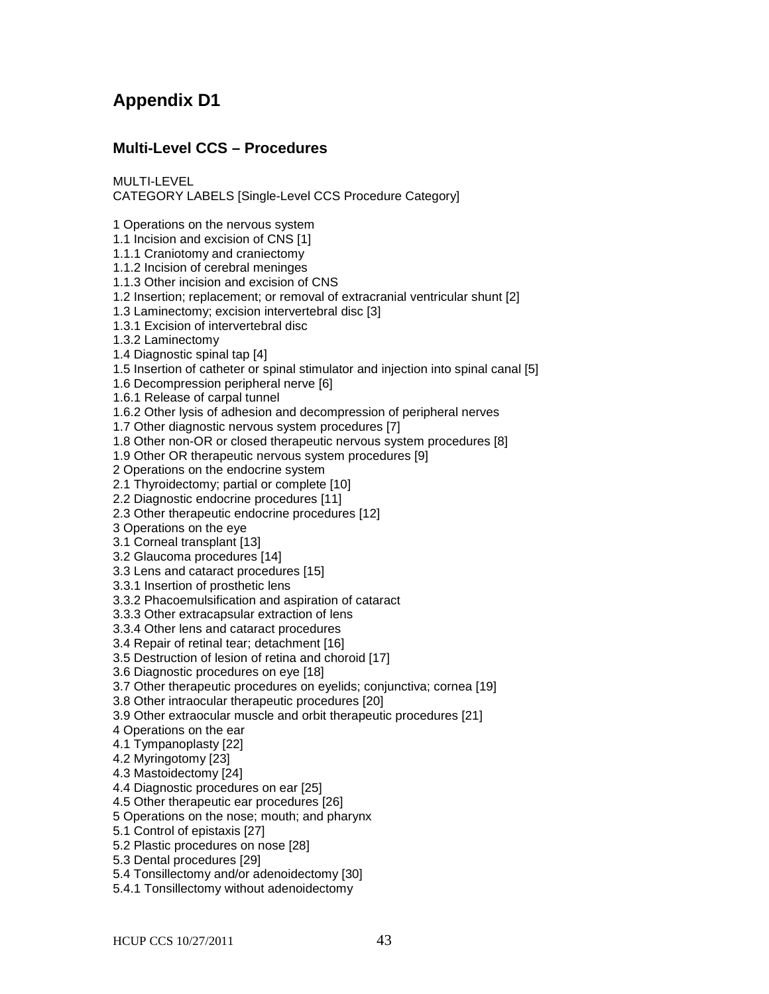# **Appendix D1**

# **Multi-Level CCS – Procedures**

MULTI-LEVEL CATEGORY LABELS [Single-Level CCS Procedure Category]

1 Operations on the nervous system

1.1 Incision and excision of CNS [1]

1.1.1 Craniotomy and craniectomy

1.1.2 Incision of cerebral meninges

1.1.3 Other incision and excision of CNS

1.2 Insertion; replacement; or removal of extracranial ventricular shunt [2]

1.3 Laminectomy; excision intervertebral disc [3]

1.3.1 Excision of intervertebral disc

1.3.2 Laminectomy

1.4 Diagnostic spinal tap [4]

1.5 Insertion of catheter or spinal stimulator and injection into spinal canal [5]

1.6 Decompression peripheral nerve [6]

1.6.1 Release of carpal tunnel

1.6.2 Other lysis of adhesion and decompression of peripheral nerves

1.7 Other diagnostic nervous system procedures [7]

1.8 Other non-OR or closed therapeutic nervous system procedures [8]

1.9 Other OR therapeutic nervous system procedures [9]

2 Operations on the endocrine system

2.1 Thyroidectomy; partial or complete [10]

2.2 Diagnostic endocrine procedures [11]

2.3 Other therapeutic endocrine procedures [12]

3 Operations on the eye

3.1 Corneal transplant [13]

3.2 Glaucoma procedures [14]

3.3 Lens and cataract procedures [15]

3.3.1 Insertion of prosthetic lens

3.3.2 Phacoemulsification and aspiration of cataract

3.3.3 Other extracapsular extraction of lens

3.3.4 Other lens and cataract procedures

3.4 Repair of retinal tear; detachment [16]

3.5 Destruction of lesion of retina and choroid [17]

3.6 Diagnostic procedures on eye [18]

3.7 Other therapeutic procedures on eyelids; conjunctiva; cornea [19]

3.8 Other intraocular therapeutic procedures [20]

3.9 Other extraocular muscle and orbit therapeutic procedures [21]

4 Operations on the ear

4.1 Tympanoplasty [22]

4.2 Myringotomy [23]

4.3 Mastoidectomy [24]

4.4 Diagnostic procedures on ear [25]

4.5 Other therapeutic ear procedures [26]

5 Operations on the nose; mouth; and pharynx

5.1 Control of epistaxis [27]

5.2 Plastic procedures on nose [28]

5.3 Dental procedures [29]

5.4 Tonsillectomy and/or adenoidectomy [30]

5.4.1 Tonsillectomy without adenoidectomy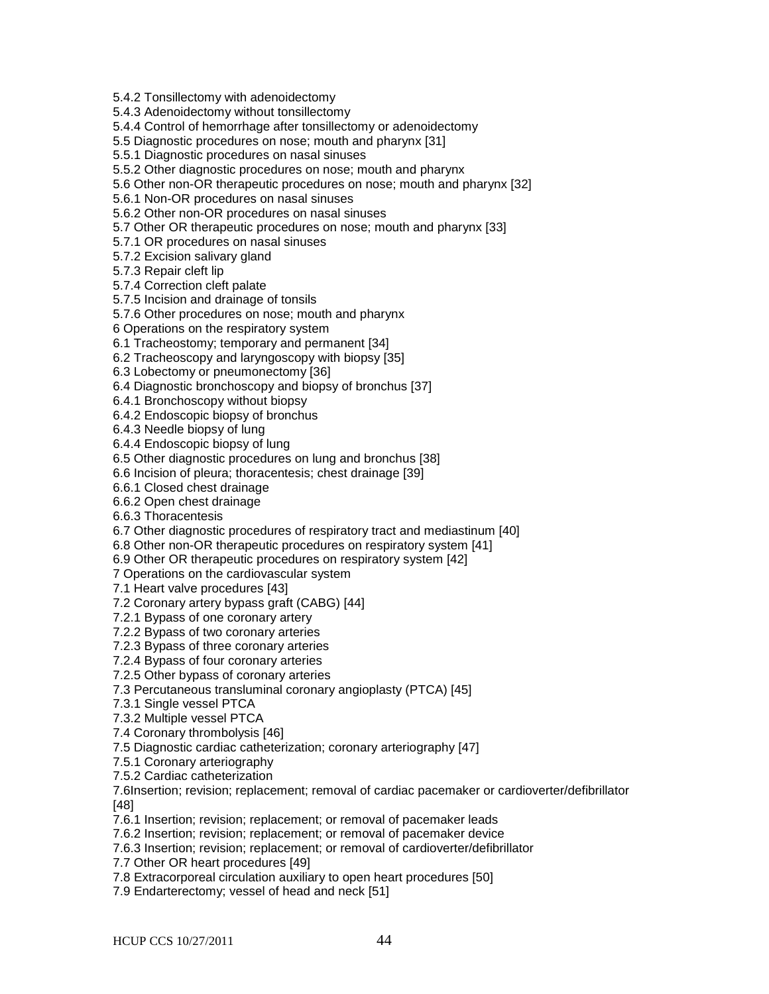5.4.2 Tonsillectomy with adenoidectomy

5.4.3 Adenoidectomy without tonsillectomy

5.4.4 Control of hemorrhage after tonsillectomy or adenoidectomy

5.5 Diagnostic procedures on nose; mouth and pharynx [31]

5.5.1 Diagnostic procedures on nasal sinuses

5.5.2 Other diagnostic procedures on nose; mouth and pharynx

5.6 Other non-OR therapeutic procedures on nose; mouth and pharynx [32]

5.6.1 Non-OR procedures on nasal sinuses

5.6.2 Other non-OR procedures on nasal sinuses

5.7 Other OR therapeutic procedures on nose; mouth and pharynx [33]

5.7.1 OR procedures on nasal sinuses

5.7.2 Excision salivary gland

5.7.3 Repair cleft lip

5.7.4 Correction cleft palate

5.7.5 Incision and drainage of tonsils

5.7.6 Other procedures on nose; mouth and pharynx

6 Operations on the respiratory system

6.1 Tracheostomy; temporary and permanent [34]

6.2 Tracheoscopy and laryngoscopy with biopsy [35]

6.3 Lobectomy or pneumonectomy [36]

6.4 Diagnostic bronchoscopy and biopsy of bronchus [37]

6.4.1 Bronchoscopy without biopsy

6.4.2 Endoscopic biopsy of bronchus

6.4.3 Needle biopsy of lung

6.4.4 Endoscopic biopsy of lung

6.5 Other diagnostic procedures on lung and bronchus [38]

6.6 Incision of pleura; thoracentesis; chest drainage [39]

6.6.1 Closed chest drainage

6.6.2 Open chest drainage

6.6.3 Thoracentesis

6.7 Other diagnostic procedures of respiratory tract and mediastinum [40]

6.8 Other non-OR therapeutic procedures on respiratory system [41]

6.9 Other OR therapeutic procedures on respiratory system [42]

7 Operations on the cardiovascular system

7.1 Heart valve procedures [43]

7.2 Coronary artery bypass graft (CABG) [44]

7.2.1 Bypass of one coronary artery

7.2.2 Bypass of two coronary arteries

7.2.3 Bypass of three coronary arteries

7.2.4 Bypass of four coronary arteries

7.2.5 Other bypass of coronary arteries

7.3 Percutaneous transluminal coronary angioplasty (PTCA) [45]

7.3.1 Single vessel PTCA

7.3.2 Multiple vessel PTCA

7.4 Coronary thrombolysis [46]

7.5 Diagnostic cardiac catheterization; coronary arteriography [47]

7.5.1 Coronary arteriography

7.5.2 Cardiac catheterization

7.6Insertion; revision; replacement; removal of cardiac pacemaker or cardioverter/defibrillator [48]

7.6.1 Insertion; revision; replacement; or removal of pacemaker leads

7.6.2 Insertion; revision; replacement; or removal of pacemaker device

7.6.3 Insertion; revision; replacement; or removal of cardioverter/defibrillator

7.7 Other OR heart procedures [49]

7.8 Extracorporeal circulation auxiliary to open heart procedures [50]

7.9 Endarterectomy; vessel of head and neck [51]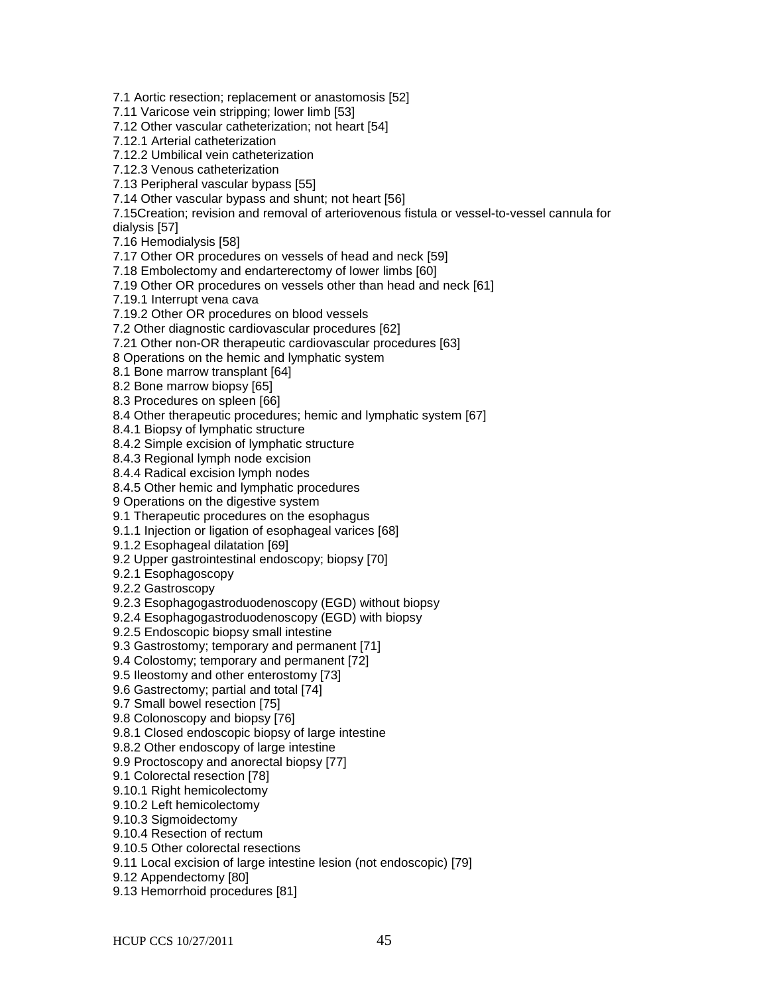7.1 Aortic resection; replacement or anastomosis [52]

7.11 Varicose vein stripping; lower limb [53]

7.12 Other vascular catheterization; not heart [54]

7.12.1 Arterial catheterization

7.12.2 Umbilical vein catheterization

7.12.3 Venous catheterization

7.13 Peripheral vascular bypass [55]

7.14 Other vascular bypass and shunt; not heart [56]

7.15Creation; revision and removal of arteriovenous fistula or vessel-to-vessel cannula for dialysis [57]

7.16 Hemodialysis [58]

7.17 Other OR procedures on vessels of head and neck [59]

7.18 Embolectomy and endarterectomy of lower limbs [60]

7.19 Other OR procedures on vessels other than head and neck [61]

7.19.1 Interrupt vena cava

7.19.2 Other OR procedures on blood vessels

7.2 Other diagnostic cardiovascular procedures [62]

7.21 Other non-OR therapeutic cardiovascular procedures [63]

8 Operations on the hemic and lymphatic system

8.1 Bone marrow transplant [64]

8.2 Bone marrow biopsy [65]

8.3 Procedures on spleen [66]

8.4 Other therapeutic procedures; hemic and lymphatic system [67]

8.4.1 Biopsy of lymphatic structure

8.4.2 Simple excision of lymphatic structure

8.4.3 Regional lymph node excision

8.4.4 Radical excision lymph nodes

8.4.5 Other hemic and lymphatic procedures

9 Operations on the digestive system

9.1 Therapeutic procedures on the esophagus

9.1.1 Injection or ligation of esophageal varices [68]

9.1.2 Esophageal dilatation [69]

9.2 Upper gastrointestinal endoscopy; biopsy [70]

9.2.1 Esophagoscopy

9.2.2 Gastroscopy

9.2.3 Esophagogastroduodenoscopy (EGD) without biopsy

9.2.4 Esophagogastroduodenoscopy (EGD) with biopsy

9.2.5 Endoscopic biopsy small intestine

9.3 Gastrostomy; temporary and permanent [71]

9.4 Colostomy; temporary and permanent [72]

9.5 Ileostomy and other enterostomy [73]

9.6 Gastrectomy; partial and total [74]

9.7 Small bowel resection [75]

9.8 Colonoscopy and biopsy [76]

9.8.1 Closed endoscopic biopsy of large intestine

9.8.2 Other endoscopy of large intestine

9.9 Proctoscopy and anorectal biopsy [77]

9.1 Colorectal resection [78]

9.10.1 Right hemicolectomy

9.10.2 Left hemicolectomy

9.10.3 Sigmoidectomy

9.10.4 Resection of rectum

9.10.5 Other colorectal resections

9.11 Local excision of large intestine lesion (not endoscopic) [79]

9.12 Appendectomy [80]

9.13 Hemorrhoid procedures [81]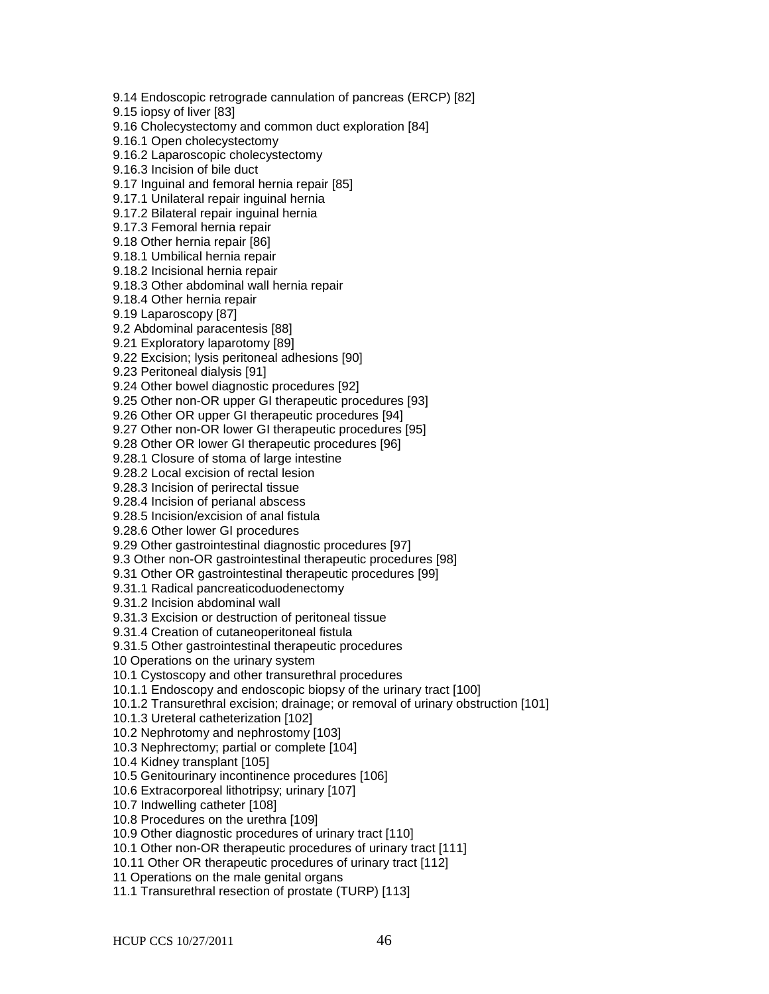9.14 Endoscopic retrograde cannulation of pancreas (ERCP) [82]

9.15 iopsy of liver [83]

9.16 Cholecystectomy and common duct exploration [84]

9.16.1 Open cholecystectomy

9.16.2 Laparoscopic cholecystectomy

9.16.3 Incision of bile duct

9.17 Inguinal and femoral hernia repair [85]

9.17.1 Unilateral repair inguinal hernia

9.17.2 Bilateral repair inguinal hernia

9.17.3 Femoral hernia repair

9.18 Other hernia repair [86]

9.18.1 Umbilical hernia repair

9.18.2 Incisional hernia repair

9.18.3 Other abdominal wall hernia repair

9.18.4 Other hernia repair

9.19 Laparoscopy [87]

9.2 Abdominal paracentesis [88]

9.21 Exploratory laparotomy [89]

9.22 Excision; lysis peritoneal adhesions [90]

9.23 Peritoneal dialysis [91]

9.24 Other bowel diagnostic procedures [92]

9.25 Other non-OR upper GI therapeutic procedures [93]

9.26 Other OR upper GI therapeutic procedures [94]

9.27 Other non-OR lower GI therapeutic procedures [95]

9.28 Other OR lower GI therapeutic procedures [96]

9.28.1 Closure of stoma of large intestine

9.28.2 Local excision of rectal lesion

9.28.3 Incision of perirectal tissue

9.28.4 Incision of perianal abscess

9.28.5 Incision/excision of anal fistula

9.28.6 Other lower GI procedures

9.29 Other gastrointestinal diagnostic procedures [97]

9.3 Other non-OR gastrointestinal therapeutic procedures [98]

9.31 Other OR gastrointestinal therapeutic procedures [99]

9.31.1 Radical pancreaticoduodenectomy

9.31.2 Incision abdominal wall

9.31.3 Excision or destruction of peritoneal tissue

9.31.4 Creation of cutaneoperitoneal fistula

9.31.5 Other gastrointestinal therapeutic procedures

10 Operations on the urinary system

10.1 Cystoscopy and other transurethral procedures

10.1.1 Endoscopy and endoscopic biopsy of the urinary tract [100]

10.1.2 Transurethral excision; drainage; or removal of urinary obstruction [101]

10.1.3 Ureteral catheterization [102]

10.2 Nephrotomy and nephrostomy [103]

10.3 Nephrectomy; partial or complete [104]

10.4 Kidney transplant [105]

10.5 Genitourinary incontinence procedures [106]

10.6 Extracorporeal lithotripsy; urinary [107]

10.7 Indwelling catheter [108]

10.8 Procedures on the urethra [109]

10.9 Other diagnostic procedures of urinary tract [110]

10.1 Other non-OR therapeutic procedures of urinary tract [111]

10.11 Other OR therapeutic procedures of urinary tract [112]

11 Operations on the male genital organs

11.1 Transurethral resection of prostate (TURP) [113]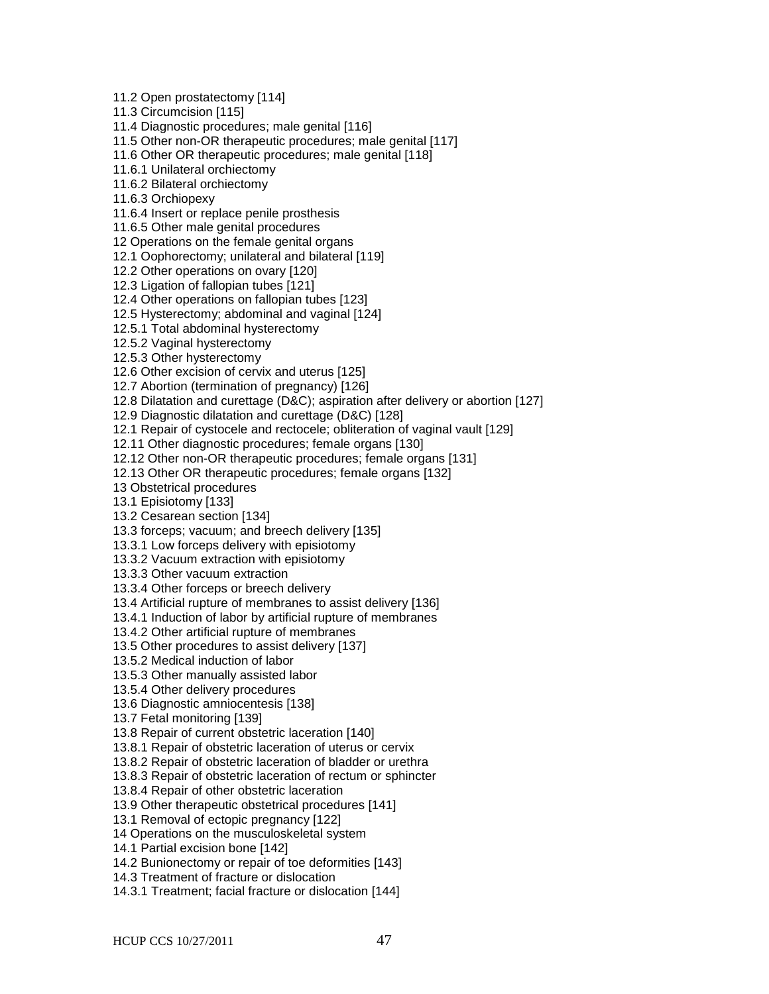11.2 Open prostatectomy [114] 11.3 Circumcision [115] 11.4 Diagnostic procedures; male genital [116] 11.5 Other non-OR therapeutic procedures; male genital [117] 11.6 Other OR therapeutic procedures; male genital [118] 11.6.1 Unilateral orchiectomy 11.6.2 Bilateral orchiectomy 11.6.3 Orchiopexy 11.6.4 Insert or replace penile prosthesis 11.6.5 Other male genital procedures 12 Operations on the female genital organs 12.1 Oophorectomy; unilateral and bilateral [119] 12.2 Other operations on ovary [120] 12.3 Ligation of fallopian tubes [121] 12.4 Other operations on fallopian tubes [123] 12.5 Hysterectomy; abdominal and vaginal [124] 12.5.1 Total abdominal hysterectomy 12.5.2 Vaginal hysterectomy 12.5.3 Other hysterectomy 12.6 Other excision of cervix and uterus [125] 12.7 Abortion (termination of pregnancy) [126] 12.8 Dilatation and curettage (D&C); aspiration after delivery or abortion [127] 12.9 Diagnostic dilatation and curettage (D&C) [128] 12.1 Repair of cystocele and rectocele; obliteration of vaginal vault [129] 12.11 Other diagnostic procedures; female organs [130] 12.12 Other non-OR therapeutic procedures; female organs [131] 12.13 Other OR therapeutic procedures; female organs [132] 13 Obstetrical procedures 13.1 Episiotomy [133] 13.2 Cesarean section [134] 13.3 forceps; vacuum; and breech delivery [135] 13.3.1 Low forceps delivery with episiotomy 13.3.2 Vacuum extraction with episiotomy 13.3.3 Other vacuum extraction 13.3.4 Other forceps or breech delivery 13.4 Artificial rupture of membranes to assist delivery [136] 13.4.1 Induction of labor by artificial rupture of membranes 13.4.2 Other artificial rupture of membranes 13.5 Other procedures to assist delivery [137] 13.5.2 Medical induction of labor 13.5.3 Other manually assisted labor 13.5.4 Other delivery procedures 13.6 Diagnostic amniocentesis [138] 13.7 Fetal monitoring [139] 13.8 Repair of current obstetric laceration [140] 13.8.1 Repair of obstetric laceration of uterus or cervix 13.8.2 Repair of obstetric laceration of bladder or urethra 13.8.3 Repair of obstetric laceration of rectum or sphincter 13.8.4 Repair of other obstetric laceration 13.9 Other therapeutic obstetrical procedures [141] 13.1 Removal of ectopic pregnancy [122] 14 Operations on the musculoskeletal system 14.1 Partial excision bone [142] 14.2 Bunionectomy or repair of toe deformities [143] 14.3 Treatment of fracture or dislocation 14.3.1 Treatment; facial fracture or dislocation [144]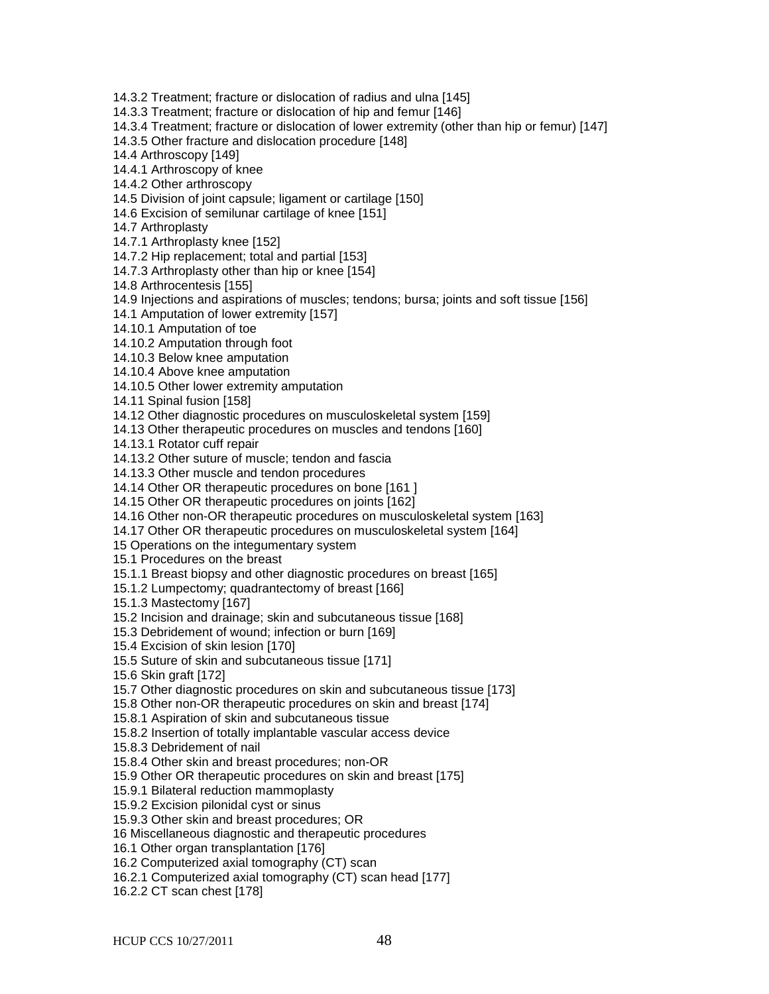14.3.2 Treatment; fracture or dislocation of radius and ulna [145] 14.3.3 Treatment; fracture or dislocation of hip and femur [146] 14.3.4 Treatment; fracture or dislocation of lower extremity (other than hip or femur) [147] 14.3.5 Other fracture and dislocation procedure [148] 14.4 Arthroscopy [149] 14.4.1 Arthroscopy of knee 14.4.2 Other arthroscopy 14.5 Division of joint capsule; ligament or cartilage [150] 14.6 Excision of semilunar cartilage of knee [151] 14.7 Arthroplasty 14.7.1 Arthroplasty knee [152] 14.7.2 Hip replacement; total and partial [153] 14.7.3 Arthroplasty other than hip or knee [154] 14.8 Arthrocentesis [155] 14.9 Injections and aspirations of muscles; tendons; bursa; joints and soft tissue [156] 14.1 Amputation of lower extremity [157] 14.10.1 Amputation of toe 14.10.2 Amputation through foot 14.10.3 Below knee amputation 14.10.4 Above knee amputation 14.10.5 Other lower extremity amputation 14.11 Spinal fusion [158] 14.12 Other diagnostic procedures on musculoskeletal system [159] 14.13 Other therapeutic procedures on muscles and tendons [160] 14.13.1 Rotator cuff repair 14.13.2 Other suture of muscle; tendon and fascia 14.13.3 Other muscle and tendon procedures 14.14 Other OR therapeutic procedures on bone [161 ] 14.15 Other OR therapeutic procedures on joints [162] 14.16 Other non-OR therapeutic procedures on musculoskeletal system [163] 14.17 Other OR therapeutic procedures on musculoskeletal system [164] 15 Operations on the integumentary system 15.1 Procedures on the breast 15.1.1 Breast biopsy and other diagnostic procedures on breast [165] 15.1.2 Lumpectomy; quadrantectomy of breast [166] 15.1.3 Mastectomy [167] 15.2 Incision and drainage; skin and subcutaneous tissue [168] 15.3 Debridement of wound; infection or burn [169] 15.4 Excision of skin lesion [170] 15.5 Suture of skin and subcutaneous tissue [171] 15.6 Skin graft [172] 15.7 Other diagnostic procedures on skin and subcutaneous tissue [173] 15.8 Other non-OR therapeutic procedures on skin and breast [174] 15.8.1 Aspiration of skin and subcutaneous tissue 15.8.2 Insertion of totally implantable vascular access device 15.8.3 Debridement of nail 15.8.4 Other skin and breast procedures; non-OR 15.9 Other OR therapeutic procedures on skin and breast [175] 15.9.1 Bilateral reduction mammoplasty 15.9.2 Excision pilonidal cyst or sinus 15.9.3 Other skin and breast procedures; OR 16 Miscellaneous diagnostic and therapeutic procedures 16.1 Other organ transplantation [176] 16.2 Computerized axial tomography (CT) scan 16.2.1 Computerized axial tomography (CT) scan head [177] 16.2.2 CT scan chest [178]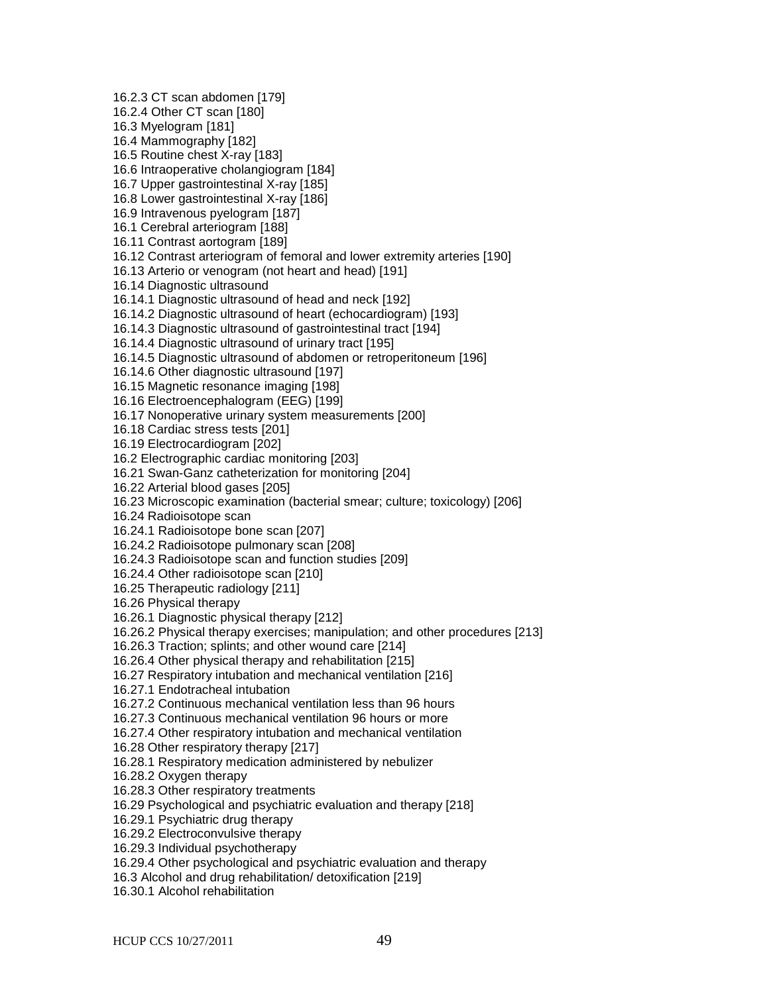16.2.3 CT scan abdomen [179] 16.2.4 Other CT scan [180] 16.3 Myelogram [181] 16.4 Mammography [182] 16.5 Routine chest X-ray [183] 16.6 Intraoperative cholangiogram [184] 16.7 Upper gastrointestinal X-ray [185] 16.8 Lower gastrointestinal X-ray [186] 16.9 Intravenous pyelogram [187] 16.1 Cerebral arteriogram [188] 16.11 Contrast aortogram [189] 16.12 Contrast arteriogram of femoral and lower extremity arteries [190] 16.13 Arterio or venogram (not heart and head) [191] 16.14 Diagnostic ultrasound 16.14.1 Diagnostic ultrasound of head and neck [192] 16.14.2 Diagnostic ultrasound of heart (echocardiogram) [193] 16.14.3 Diagnostic ultrasound of gastrointestinal tract [194] 16.14.4 Diagnostic ultrasound of urinary tract [195] 16.14.5 Diagnostic ultrasound of abdomen or retroperitoneum [196] 16.14.6 Other diagnostic ultrasound [197] 16.15 Magnetic resonance imaging [198] 16.16 Electroencephalogram (EEG) [199] 16.17 Nonoperative urinary system measurements [200] 16.18 Cardiac stress tests [201] 16.19 Electrocardiogram [202] 16.2 Electrographic cardiac monitoring [203] 16.21 Swan-Ganz catheterization for monitoring [204] 16.22 Arterial blood gases [205] 16.23 Microscopic examination (bacterial smear; culture; toxicology) [206] 16.24 Radioisotope scan 16.24.1 Radioisotope bone scan [207] 16.24.2 Radioisotope pulmonary scan [208] 16.24.3 Radioisotope scan and function studies [209] 16.24.4 Other radioisotope scan [210] 16.25 Therapeutic radiology [211] 16.26 Physical therapy 16.26.1 Diagnostic physical therapy [212] 16.26.2 Physical therapy exercises; manipulation; and other procedures [213] 16.26.3 Traction; splints; and other wound care [214] 16.26.4 Other physical therapy and rehabilitation [215] 16.27 Respiratory intubation and mechanical ventilation [216] 16.27.1 Endotracheal intubation 16.27.2 Continuous mechanical ventilation less than 96 hours 16.27.3 Continuous mechanical ventilation 96 hours or more 16.27.4 Other respiratory intubation and mechanical ventilation 16.28 Other respiratory therapy [217] 16.28.1 Respiratory medication administered by nebulizer 16.28.2 Oxygen therapy 16.28.3 Other respiratory treatments 16.29 Psychological and psychiatric evaluation and therapy [218] 16.29.1 Psychiatric drug therapy 16.29.2 Electroconvulsive therapy 16.29.3 Individual psychotherapy 16.29.4 Other psychological and psychiatric evaluation and therapy 16.3 Alcohol and drug rehabilitation/ detoxification [219] 16.30.1 Alcohol rehabilitation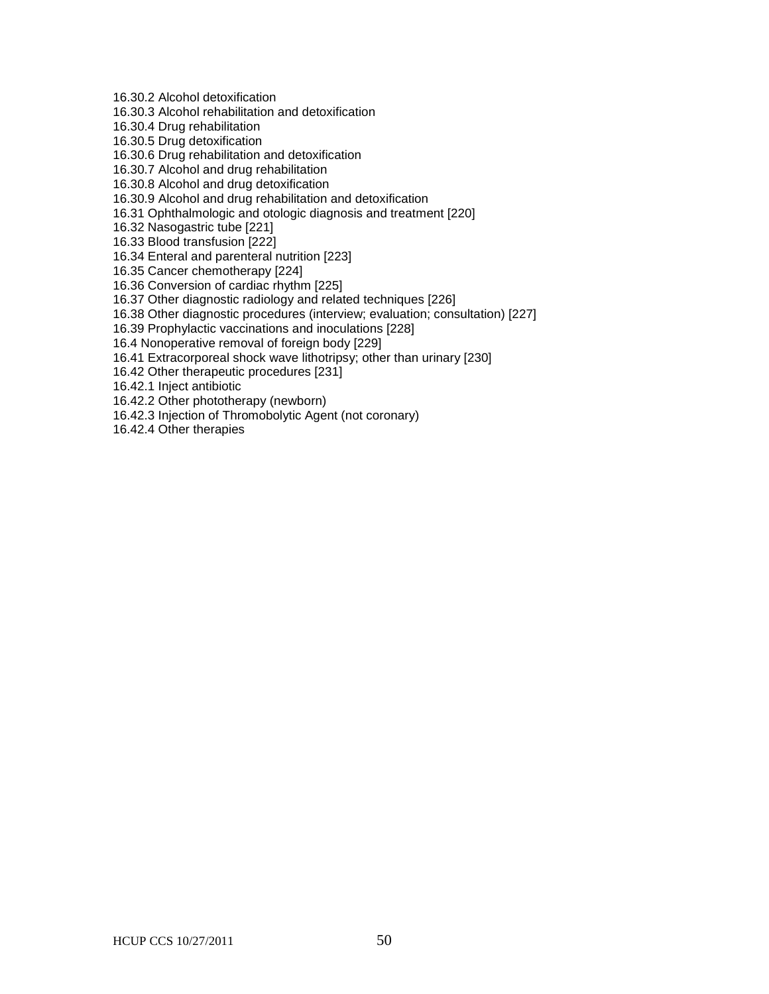16.30.2 Alcohol detoxification

16.30.3 Alcohol rehabilitation and detoxification

16.30.4 Drug rehabilitation

16.30.5 Drug detoxification

16.30.6 Drug rehabilitation and detoxification

16.30.7 Alcohol and drug rehabilitation

16.30.8 Alcohol and drug detoxification

16.30.9 Alcohol and drug rehabilitation and detoxification

16.31 Ophthalmologic and otologic diagnosis and treatment [220]

16.32 Nasogastric tube [221]

16.33 Blood transfusion [222]

16.34 Enteral and parenteral nutrition [223]

16.35 Cancer chemotherapy [224]

16.36 Conversion of cardiac rhythm [225]

16.37 Other diagnostic radiology and related techniques [226]

16.38 Other diagnostic procedures (interview; evaluation; consultation) [227]

16.39 Prophylactic vaccinations and inoculations [228]

16.4 Nonoperative removal of foreign body [229]

16.41 Extracorporeal shock wave lithotripsy; other than urinary [230]

16.42 Other therapeutic procedures [231]

16.42.1 Inject antibiotic

16.42.2 Other phototherapy (newborn)

16.42.3 Injection of Thromobolytic Agent (not coronary)

16.42.4 Other therapies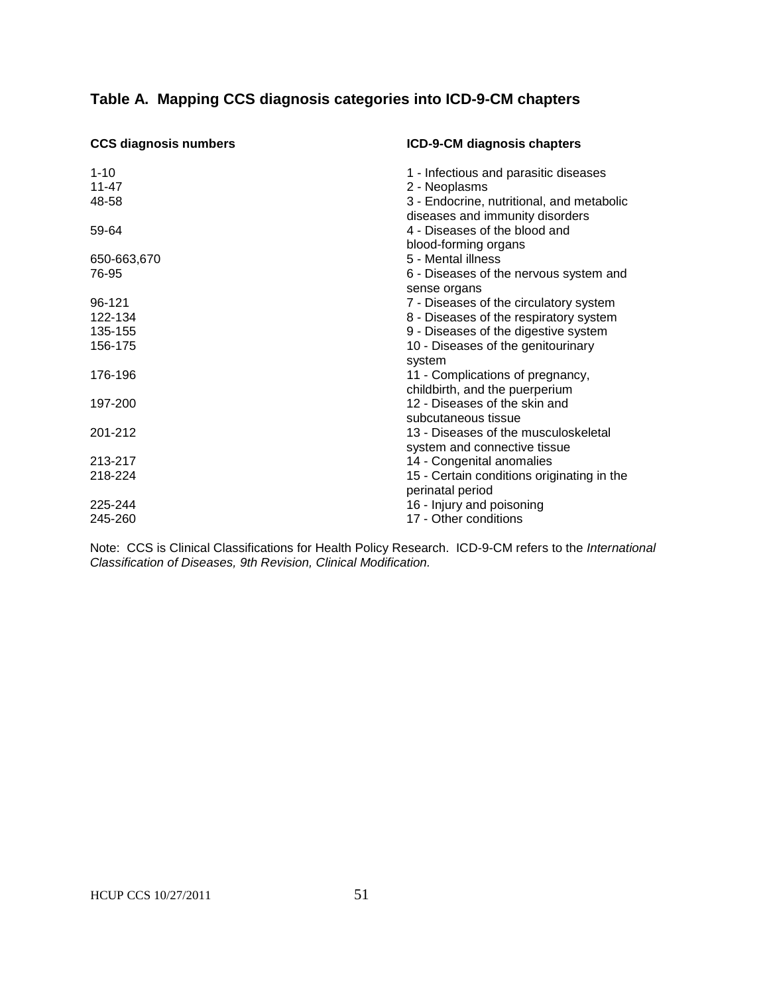# **Table A. Mapping CCS diagnosis categories into ICD-9-CM chapters**

| <b>CCS diagnosis numbers</b> | ICD-9-CM diagnosis chapters                                                  |
|------------------------------|------------------------------------------------------------------------------|
| $1 - 10$                     | 1 - Infectious and parasitic diseases                                        |
| 11-47                        | 2 - Neoplasms                                                                |
| 48-58                        | 3 - Endocrine, nutritional, and metabolic<br>diseases and immunity disorders |
| 59-64                        | 4 - Diseases of the blood and                                                |
|                              | blood-forming organs                                                         |
| 650-663,670                  | 5 - Mental illness                                                           |
| 76-95                        | 6 - Diseases of the nervous system and<br>sense organs                       |
| 96-121                       | 7 - Diseases of the circulatory system                                       |
| 122-134                      | 8 - Diseases of the respiratory system                                       |
| 135-155                      | 9 - Diseases of the digestive system                                         |
| 156-175                      | 10 - Diseases of the genitourinary                                           |
|                              | system                                                                       |
| 176-196                      | 11 - Complications of pregnancy,<br>childbirth, and the puerperium           |
| 197-200                      | 12 - Diseases of the skin and                                                |
|                              | subcutaneous tissue                                                          |
| 201-212                      | 13 - Diseases of the musculoskeletal                                         |
|                              | system and connective tissue                                                 |
| 213-217                      | 14 - Congenital anomalies                                                    |
| 218-224                      | 15 - Certain conditions originating in the                                   |
|                              | perinatal period                                                             |
| 225-244                      | 16 - Injury and poisoning                                                    |
| 245-260                      | 17 - Other conditions                                                        |

Note: CCS is Clinical Classifications for Health Policy Research. ICD-9-CM refers to the *International Classification of Diseases, 9th Revision, Clinical Modification.*